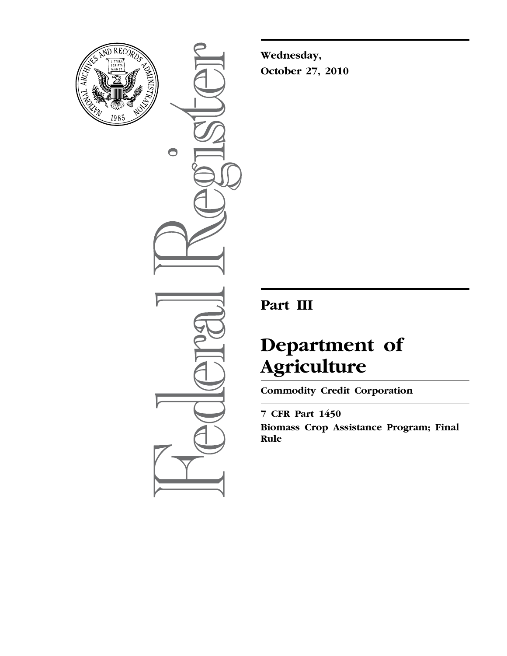

 $\bullet$ 

**Wednesday, October 27, 2010** 

# **Part III**

# **Department of Agriculture**

**Commodity Credit Corporation** 

**7 CFR Part 1450 Biomass Crop Assistance Program; Final Rule**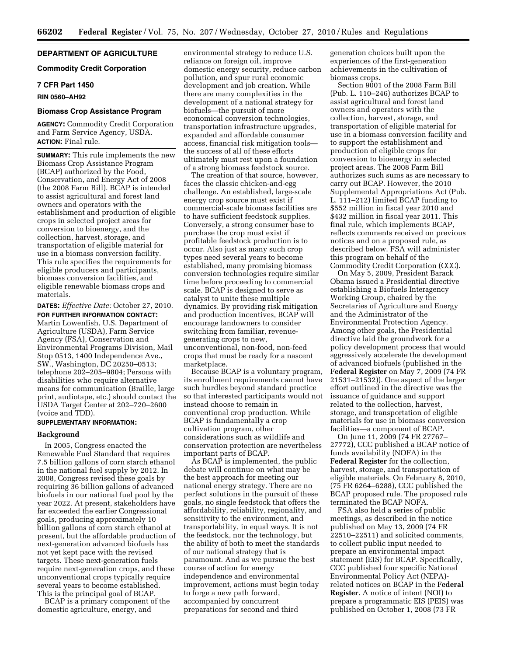# **DEPARTMENT OF AGRICULTURE**

# **Commodity Credit Corporation**

# **7 CFR Part 1450**

# **RIN 0560–AH92**

# **Biomass Crop Assistance Program**

**AGENCY:** Commodity Credit Corporation and Farm Service Agency, USDA. **ACTION:** Final rule.

**SUMMARY:** This rule implements the new Biomass Crop Assistance Program (BCAP) authorized by the Food, Conservation, and Energy Act of 2008 (the 2008 Farm Bill). BCAP is intended to assist agricultural and forest land owners and operators with the establishment and production of eligible crops in selected project areas for conversion to bioenergy, and the collection, harvest, storage, and transportation of eligible material for use in a biomass conversion facility. This rule specifies the requirements for eligible producers and participants, biomass conversion facilities, and eligible renewable biomass crops and materials.

**DATES:** *Effective Date:* October 27, 2010. **FOR FURTHER INFORMATION CONTACT:**  Martin Lowenfish, U.S. Department of Agriculture (USDA), Farm Service Agency (FSA), Conservation and Environmental Programs Division, Mail Stop 0513, 1400 Independence Ave., SW., Washington, DC 20250–0513; telephone 202–205–9804; Persons with disabilities who require alternative means for communication (Braille, large print, audiotape, etc.) should contact the USDA Target Center at 202–720–2600 (voice and TDD).

#### **SUPPLEMENTARY INFORMATION:**

#### **Background**

In 2005, Congress enacted the Renewable Fuel Standard that requires 7.5 billion gallons of corn starch ethanol in the national fuel supply by 2012. In 2008, Congress revised these goals by requiring 36 billion gallons of advanced biofuels in our national fuel pool by the year 2022. At present, stakeholders have far exceeded the earlier Congressional goals, producing approximately 10 billion gallons of corn starch ethanol at present, but the affordable production of next-generation advanced biofuels has not yet kept pace with the revised targets. These next-generation fuels require next-generation crops, and these unconventional crops typically require several years to become established. This is the principal goal of BCAP.

BCAP is a primary component of the domestic agriculture, energy, and

environmental strategy to reduce U.S. reliance on foreign oil, improve domestic energy security, reduce carbon pollution, and spur rural economic development and job creation. While there are many complexities in the development of a national strategy for biofuels—the pursuit of more economical conversion technologies, transportation infrastructure upgrades, expanded and affordable consumer access, financial risk mitigation tools the success of all of these efforts ultimately must rest upon a foundation of a strong biomass feedstock source.

The creation of that source, however, faces the classic chicken-and-egg challenge. An established, large-scale energy crop source must exist if commercial-scale biomass facilities are to have sufficient feedstock supplies. Conversely, a strong consumer base to purchase the crop must exist if profitable feedstock production is to occur. Also just as many such crop types need several years to become established, many promising biomass conversion technologies require similar time before proceeding to commercial scale. BCAP is designed to serve as catalyst to unite these multiple dynamics. By providing risk mitigation and production incentives, BCAP will encourage landowners to consider switching from familiar, revenuegenerating crops to new, unconventional, non-food, non-feed crops that must be ready for a nascent marketplace.

Because BCAP is a voluntary program, its enrollment requirements cannot have such hurdles beyond standard practice so that interested participants would not instead choose to remain in conventional crop production. While BCAP is fundamentally a crop cultivation program, other considerations such as wildlife and conservation protection are nevertheless important parts of BCAP.

As BCAP is implemented, the public debate will continue on what may be the best approach for meeting our national energy strategy. There are no perfect solutions in the pursuit of these goals, no single feedstock that offers the affordability, reliability, regionality, and sensitivity to the environment, and transportability, in equal ways. It is not the feedstock, nor the technology, but the ability of both to meet the standards of our national strategy that is paramount. And as we pursue the best course of action for energy independence and environmental improvement, actions must begin today to forge a new path forward, accompanied by concurrent preparations for second and third

generation choices built upon the experiences of the first-generation achievements in the cultivation of biomass crops.

Section 9001 of the 2008 Farm Bill (Pub. L. 110–246) authorizes BCAP to assist agricultural and forest land owners and operators with the collection, harvest, storage, and transportation of eligible material for use in a biomass conversion facility and to support the establishment and production of eligible crops for conversion to bioenergy in selected project areas. The 2008 Farm Bill authorizes such sums as are necessary to carry out BCAP. However, the 2010 Supplemental Appropriations Act (Pub. L. 111–212) limited BCAP funding to \$552 million in fiscal year 2010 and \$432 million in fiscal year 2011. This final rule, which implements BCAP, reflects comments received on previous notices and on a proposed rule, as described below. FSA will administer this program on behalf of the Commodity Credit Corporation (CCC).

On May 5, 2009, President Barack Obama issued a Presidential directive establishing a Biofuels Interagency Working Group, chaired by the Secretaries of Agriculture and Energy and the Administrator of the Environmental Protection Agency. Among other goals, the Presidential directive laid the groundwork for a policy development process that would aggressively accelerate the development of advanced biofuels (published in the **Federal Register** on May 7, 2009 (74 FR 21531–21532)). One aspect of the larger effort outlined in the directive was the issuance of guidance and support related to the collection, harvest, storage, and transportation of eligible materials for use in biomass conversion facilities—a component of BCAP.

On June 11, 2009 (74 FR 27767– 27772), CCC published a BCAP notice of funds availability (NOFA) in the **Federal Register** for the collection, harvest, storage, and transportation of eligible materials. On February 8, 2010, (75 FR 6264–6288), CCC published the BCAP proposed rule. The proposed rule terminated the BCAP NOFA.

FSA also held a series of public meetings, as described in the notice published on May 13, 2009 (74 FR 22510–22511) and solicited comments, to collect public input needed to prepare an environmental impact statement (EIS) for BCAP. Specifically, CCC published four specific National Environmental Policy Act (NEPA) related notices on BCAP in the **Federal Register**. A notice of intent (NOI) to prepare a programmatic EIS (PEIS) was published on October 1, 2008 (73 FR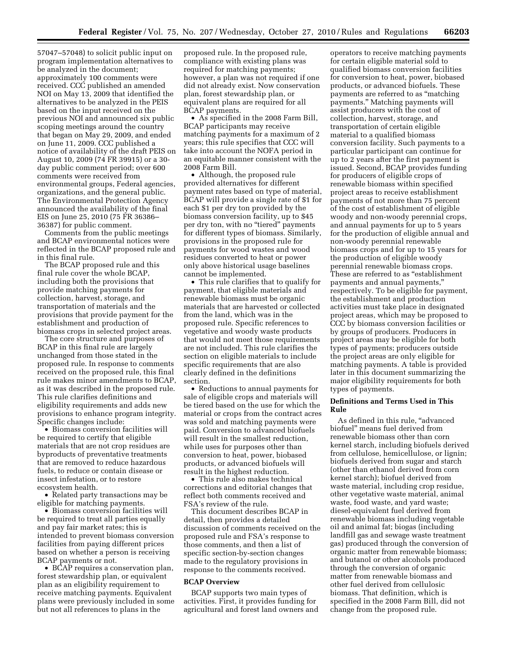57047–57048) to solicit public input on program implementation alternatives to be analyzed in the document; approximately 100 comments were received. CCC published an amended NOI on May 13, 2009 that identified the alternatives to be analyzed in the PEIS based on the input received on the previous NOI and announced six public scoping meetings around the country that began on May 29, 2009, and ended on June 11, 2009. CCC published a notice of availability of the draft PEIS on August 10, 2009 (74 FR 39915) or a 30 day public comment period; over 600 comments were received from environmental groups, Federal agencies, organizations, and the general public. The Environmental Protection Agency announced the availability of the final EIS on June 25, 2010 (75 FR 36386– 36387) for public comment.

Comments from the public meetings and BCAP environmental notices were reflected in the BCAP proposed rule and in this final rule.

The BCAP proposed rule and this final rule cover the whole BCAP, including both the provisions that provide matching payments for collection, harvest, storage, and transportation of materials and the provisions that provide payment for the establishment and production of biomass crops in selected project areas.

The core structure and purposes of BCAP in this final rule are largely unchanged from those stated in the proposed rule. In response to comments received on the proposed rule, this final rule makes minor amendments to BCAP, as it was described in the proposed rule. This rule clarifies definitions and eligibility requirements and adds new provisions to enhance program integrity. Specific changes include:

• Biomass conversion facilities will be required to certify that eligible materials that are not crop residues are byproducts of preventative treatments that are removed to reduce hazardous fuels, to reduce or contain disease or insect infestation, or to restore ecosystem health.

• Related party transactions may be eligible for matching payments.

• Biomass conversion facilities will be required to treat all parties equally and pay fair market rates; this is intended to prevent biomass conversion facilities from paying different prices based on whether a person is receiving BCAP payments or not.

• BCAP requires a conservation plan, forest stewardship plan, or equivalent plan as an eligibility requirement to receive matching payments. Equivalent plans were previously included in some but not all references to plans in the

proposed rule. In the proposed rule, compliance with existing plans was required for matching payments; however, a plan was not required if one did not already exist. Now conservation plan, forest stewardship plan, or equivalent plans are required for all BCAP payments.

• As specified in the 2008 Farm Bill, BCAP participants may receive matching payments for a maximum of 2 years; this rule specifies that CCC will take into account the NOFA period in an equitable manner consistent with the 2008 Farm Bill.

• Although, the proposed rule provided alternatives for different payment rates based on type of material, BCAP will provide a single rate of \$1 for each \$1 per dry ton provided by the biomass conversion facility, up to \$45 per dry ton, with no "tiered" payments for different types of biomass. Similarly, provisions in the proposed rule for payments for wood wastes and wood residues converted to heat or power only above historical usage baselines cannot be implemented.

• This rule clarifies that to qualify for payment, that eligible materials and renewable biomass must be organic materials that are harvested or collected from the land, which was in the proposed rule. Specific references to vegetative and woody waste products that would not meet those requirements are not included. This rule clarifies the section on eligible materials to include specific requirements that are also clearly defined in the definitions section.

• Reductions to annual payments for sale of eligible crops and materials will be tiered based on the use for which the material or crops from the contract acres was sold and matching payments were paid. Conversion to advanced biofuels will result in the smallest reduction, while uses for purposes other than conversion to heat, power, biobased products, or advanced biofuels will result in the highest reduction.

• This rule also makes technical corrections and editorial changes that reflect both comments received and FSA's review of the rule.

This document describes BCAP in detail, then provides a detailed discussion of comments received on the proposed rule and FSA's response to those comments, and then a list of specific section-by-section changes made to the regulatory provisions in response to the comments received.

#### **BCAP Overview**

BCAP supports two main types of activities. First, it provides funding for agricultural and forest land owners and

operators to receive matching payments for certain eligible material sold to qualified biomass conversion facilities for conversion to heat, power, biobased products, or advanced biofuels. These payments are referred to as ''matching payments.'' Matching payments will assist producers with the cost of collection, harvest, storage, and transportation of certain eligible material to a qualified biomass conversion facility. Such payments to a particular participant can continue for up to 2 years after the first payment is issued. Second, BCAP provides funding for producers of eligible crops of renewable biomass within specified project areas to receive establishment payments of not more than 75 percent of the cost of establishment of eligible woody and non-woody perennial crops, and annual payments for up to 5 years for the production of eligible annual and non-woody perennial renewable biomass crops and for up to 15 years for the production of eligible woody perennial renewable biomass crops. These are referred to as ''establishment payments and annual payments,'' respectively. To be eligible for payment, the establishment and production activities must take place in designated project areas, which may be proposed to CCC by biomass conversion facilities or by groups of producers. Producers in project areas may be eligible for both types of payments; producers outside the project areas are only eligible for matching payments. A table is provided later in this document summarizing the major eligibility requirements for both types of payments.

# **Definitions and Terms Used in This Rule**

As defined in this rule, "advanced biofuel'' means fuel derived from renewable biomass other than corn kernel starch, including biofuels derived from cellulose, hemicellulose, or lignin; biofuels derived from sugar and starch (other than ethanol derived from corn kernel starch); biofuel derived from waste material, including crop residue, other vegetative waste material, animal waste, food waste, and yard waste; diesel-equivalent fuel derived from renewable biomass including vegetable oil and animal fat; biogas (including landfill gas and sewage waste treatment gas) produced through the conversion of organic matter from renewable biomass; and butanol or other alcohols produced through the conversion of organic matter from renewable biomass and other fuel derived from cellulosic biomass. That definition, which is specified in the 2008 Farm Bill, did not change from the proposed rule.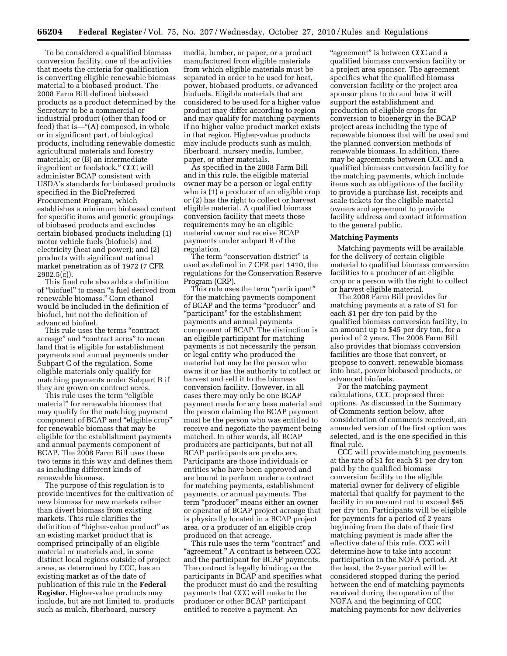To be considered a qualified biomass conversion facility, one of the activities that meets the criteria for qualification is converting eligible renewable biomass material to a biobased product. The 2008 Farm Bill defined biobased products as a product determined by the Secretary to be a commercial or industrial product (other than food or feed) that is—"(A) composed, in whole or in significant part, of biological products, including renewable domestic agricultural materials and forestry materials; or (B) an intermediate ingredient or feedstock.'' CCC will administer BCAP consistent with USDA's standards for biobased products specified in the BioPreferred Procurement Program, which establishes a minimum biobased content for specific items and generic groupings of biobased products and excludes certain biobased products including (1) motor vehicle fuels (biofuels) and electricity (heat and power); and (2) products with significant national market penetration as of 1972 (7 CFR  $2902.5(c)$ ).

This final rule also adds a definition of ''biofuel'' to mean ''a fuel derived from renewable biomass.'' Corn ethanol would be included in the definition of biofuel, but not the definition of advanced biofuel.

This rule uses the terms "contract" acreage'' and ''contract acres'' to mean land that is eligible for establishment payments and annual payments under Subpart C of the regulation. Some eligible materials only qualify for matching payments under Subpart B if they are grown on contract acres.

This rule uses the term ''eligible material'' for renewable biomass that may qualify for the matching payment component of BCAP and ''eligible crop'' for renewable biomass that may be eligible for the establishment payments and annual payments component of BCAP. The 2008 Farm Bill uses these two terms in this way and defines them as including different kinds of renewable biomass.

The purpose of this regulation is to provide incentives for the cultivation of new biomass for new markets rather than divert biomass from existing markets. This rule clarifies the definition of ''higher-value product'' as an existing market product that is comprised principally of an eligible material or materials and, in some distinct local regions outside of project areas, as determined by CCC, has an existing market as of the date of publication of this rule in the **Federal Register.** Higher-value products may include, but are not limited to, products such as mulch, fiberboard, nursery

media, lumber, or paper, or a product manufactured from eligible materials from which eligible materials must be separated in order to be used for heat, power, biobased products, or advanced biofuels. Eligible materials that are considered to be used for a higher value product may differ according to region and may qualify for matching payments if no higher value product market exists in that region. Higher-value products may include products such as mulch, fiberboard, nursery media, lumber, paper, or other materials.

As specified in the 2008 Farm Bill and in this rule, the eligible material owner may be a person or legal entity who is (1) a producer of an eligible crop or (2) has the right to collect or harvest eligible material. A qualified biomass conversion facility that meets those requirements may be an eligible material owner and receive BCAP payments under subpart B of the regulation.

The term ''conservation district'' is used as defined in 7 CFR part 1410, the regulations for the Conservation Reserve Program (CRP).

This rule uses the term "participant" for the matching payments component of BCAP and the terms ''producer'' and ''participant'' for the establishment payments and annual payments component of BCAP. The distinction is an eligible participant for matching payments is not necessarily the person or legal entity who produced the material but may be the person who owns it or has the authority to collect or harvest and sell it to the biomass conversion facility. However, in all cases there may only be one BCAP payment made for any base material and the person claiming the BCAP payment must be the person who was entitled to receive and negotiate the payment being matched. In other words, all BCAP producers are participants, but not all BCAP participants are producers. Participants are those individuals or entities who have been approved and are bound to perform under a contract for matching payments, establishment payments, or annual payments. The term ''producer'' means either an owner or operator of BCAP project acreage that is physically located in a BCAP project area, or a producer of an eligible crop produced on that acreage.

This rule uses the term "contract" and "agreement." A contract is between CCC and the participant for BCAP payments. The contract is legally binding on the participants in BCAP and specifies what the producer must do and the resulting payments that CCC will make to the producer or other BCAP participant entitled to receive a payment. An

"agreement" is between CCC and a qualified biomass conversion facility or a project area sponsor. The agreement specifies what the qualified biomass conversion facility or the project area sponsor plans to do and how it will support the establishment and production of eligible crops for conversion to bioenergy in the BCAP project areas including the type of renewable biomass that will be used and the planned conversion methods of renewable biomass. In addition, there may be agreements between CCC and a qualified biomass conversion facility for the matching payments, which include items such as obligations of the facility to provide a purchase list, receipts and scale tickets for the eligible material owners and agreement to provide facility address and contact information to the general public.

#### **Matching Payments**

Matching payments will be available for the delivery of certain eligible material to qualified biomass conversion facilities to a producer of an eligible crop or a person with the right to collect or harvest eligible material.

The 2008 Farm Bill provides for matching payments at a rate of \$1 for each \$1 per dry ton paid by the qualified biomass conversion facility, in an amount up to \$45 per dry ton, for a period of 2 years. The 2008 Farm Bill also provides that biomass conversion facilities are those that convert, or propose to convert, renewable biomass into heat, power biobased products, or advanced biofuels.

For the matching payment calculations, CCC proposed three options. As discussed in the Summary of Comments section below, after consideration of comments received, an amended version of the first option was selected, and is the one specified in this final rule.

CCC will provide matching payments at the rate of \$1 for each \$1 per dry ton paid by the qualified biomass conversion facility to the eligible material owner for delivery of eligible material that qualify for payment to the facility in an amount not to exceed \$45 per dry ton. Participants will be eligible for payments for a period of 2 years beginning from the date of their first matching payment is made after the effective date of this rule. CCC will determine how to take into account participation in the NOFA period. At the least, the 2-year period will be considered stopped during the period between the end of matching payments received during the operation of the NOFA and the beginning of CCC matching payments for new deliveries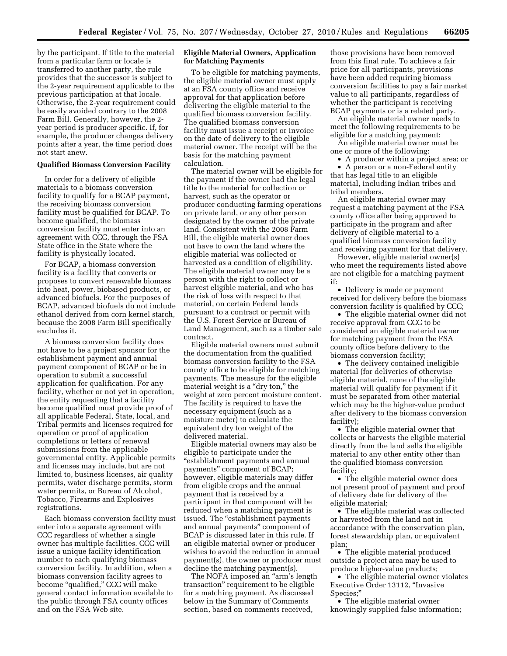by the participant. If title to the material from a particular farm or locale is transferred to another party, the rule provides that the successor is subject to the 2-year requirement applicable to the previous participation at that locale. Otherwise, the 2-year requirement could be easily avoided contrary to the 2008 Farm Bill. Generally, however, the 2 year period is producer specific. If, for example, the producer changes delivery points after a year, the time period does not start anew.

#### **Qualified Biomass Conversion Facility**

In order for a delivery of eligible materials to a biomass conversion facility to qualify for a BCAP payment, the receiving biomass conversion facility must be qualified for BCAP. To become qualified, the biomass conversion facility must enter into an agreement with CCC, through the FSA State office in the State where the facility is physically located.

For BCAP, a biomass conversion facility is a facility that converts or proposes to convert renewable biomass into heat, power, biobased products, or advanced biofuels. For the purposes of BCAP, advanced biofuels do not include ethanol derived from corn kernel starch, because the 2008 Farm Bill specifically excludes it.

A biomass conversion facility does not have to be a project sponsor for the establishment payment and annual payment component of BCAP or be in operation to submit a successful application for qualification. For any facility, whether or not yet in operation, the entity requesting that a facility become qualified must provide proof of all applicable Federal, State, local, and Tribal permits and licenses required for operation or proof of application completions or letters of renewal submissions from the applicable governmental entity. Applicable permits and licenses may include, but are not limited to, business licenses, air quality permits, water discharge permits, storm water permits, or Bureau of Alcohol, Tobacco, Firearms and Explosives registrations.

Each biomass conversion facility must enter into a separate agreement with CCC regardless of whether a single owner has multiple facilities. CCC will issue a unique facility identification number to each qualifying biomass conversion facility. In addition, when a biomass conversion facility agrees to become "qualified," CCC will make general contact information available to the public through FSA county offices and on the FSA Web site.

# **Eligible Material Owners, Application for Matching Payments**

To be eligible for matching payments, the eligible material owner must apply at an FSA county office and receive approval for that application before delivering the eligible material to the qualified biomass conversion facility. The qualified biomass conversion facility must issue a receipt or invoice on the date of delivery to the eligible material owner. The receipt will be the basis for the matching payment calculation.

The material owner will be eligible for the payment if the owner had the legal title to the material for collection or harvest, such as the operator or producer conducting farming operations on private land, or any other person designated by the owner of the private land. Consistent with the 2008 Farm Bill, the eligible material owner does not have to own the land where the eligible material was collected or harvested as a condition of eligibility. The eligible material owner may be a person with the right to collect or harvest eligible material, and who has the risk of loss with respect to that material, on certain Federal lands pursuant to a contract or permit with the U.S. Forest Service or Bureau of Land Management, such as a timber sale contract.

Eligible material owners must submit the documentation from the qualified biomass conversion facility to the FSA county office to be eligible for matching payments. The measure for the eligible material weight is a "dry ton," the weight at zero percent moisture content. The facility is required to have the necessary equipment (such as a moisture meter) to calculate the equivalent dry ton weight of the delivered material.

Eligible material owners may also be eligible to participate under the ''establishment payments and annual payments'' component of BCAP; however, eligible materials may differ from eligible crops and the annual payment that is received by a participant in that component will be reduced when a matching payment is issued. The "establishment payments and annual payments'' component of BCAP is discussed later in this rule. If an eligible material owner or producer wishes to avoid the reduction in annual payment(s), the owner or producer must decline the matching payment(s).

The NOFA imposed an "arm's length" transaction'' requirement to be eligible for a matching payment. As discussed below in the Summary of Comments section, based on comments received,

those provisions have been removed from this final rule. To achieve a fair price for all participants, provisions have been added requiring biomass conversion facilities to pay a fair market value to all participants, regardless of whether the participant is receiving BCAP payments or is a related party.

An eligible material owner needs to meet the following requirements to be eligible for a matching payment:

An eligible material owner must be one or more of the following:

• A producer within a project area; or • A person or a non-Federal entity that has legal title to an eligible

material, including Indian tribes and tribal members.

An eligible material owner may request a matching payment at the FSA county office after being approved to participate in the program and after delivery of eligible material to a qualified biomass conversion facility and receiving payment for that delivery.

However, eligible material owner(s) who meet the requirements listed above are not eligible for a matching payment if:

• Delivery is made or payment received for delivery before the biomass conversion facility is qualified by CCC;

• The eligible material owner did not receive approval from CCC to be considered an eligible material owner for matching payment from the FSA county office before delivery to the biomass conversion facility;

• The delivery contained ineligible material (for deliveries of otherwise eligible material, none of the eligible material will qualify for payment if it must be separated from other material which may be the higher-value product after delivery to the biomass conversion facility);

• The eligible material owner that collects or harvests the eligible material directly from the land sells the eligible material to any other entity other than the qualified biomass conversion facility;

• The eligible material owner does not present proof of payment and proof of delivery date for delivery of the eligible material;

• The eligible material was collected or harvested from the land not in accordance with the conservation plan, forest stewardship plan, or equivalent plan;

• The eligible material produced outside a project area may be used to produce higher-value products;

• The eligible material owner violates Executive Order 13112, ''Invasive Species;''

• The eligible material owner knowingly supplied false information;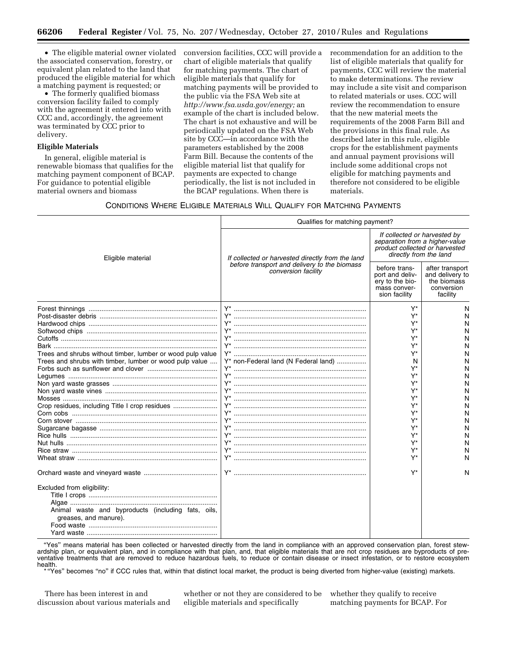• The eligible material owner violated the associated conservation, forestry, or equivalent plan related to the land that produced the eligible material for which a matching payment is requested; or

• The formerly qualified biomass conversion facility failed to comply with the agreement it entered into with CCC and, accordingly, the agreement was terminated by CCC prior to delivery.

#### **Eligible Materials**

In general, eligible material is renewable biomass that qualifies for the matching payment component of BCAP. For guidance to potential eligible material owners and biomass

conversion facilities, CCC will provide a chart of eligible materials that qualify for matching payments. The chart of eligible materials that qualify for matching payments will be provided to the public via the FSA Web site at *[http://www.fsa.usda.gov/energy;](http://www.fsa.usda.gov/energy)* an example of the chart is included below. The chart is not exhaustive and will be periodically updated on the FSA Web site by CCC—in accordance with the parameters established by the 2008 Farm Bill. Because the contents of the eligible material list that qualify for payments are expected to change periodically, the list is not included in the BCAP regulations. When there is

recommendation for an addition to the list of eligible materials that qualify for payments, CCC will review the material to make determinations. The review may include a site visit and comparison to related materials or uses. CCC will review the recommendation to ensure that the new material meets the requirements of the 2008 Farm Bill and the provisions in this final rule. As described later in this rule, eligible crops for the establishment payments and annual payment provisions will include some additional crops not eligible for matching payments and therefore not considered to be eligible materials.

# CONDITIONS WHERE ELIGIBLE MATERIALS WILL QUALIFY FOR MATCHING PAYMENTS

|                                                                             | Qualifies for matching payment?                                     |                                                                                                                            |                                                                             |  |
|-----------------------------------------------------------------------------|---------------------------------------------------------------------|----------------------------------------------------------------------------------------------------------------------------|-----------------------------------------------------------------------------|--|
| Eligible material                                                           | If collected or harvested directly from the land                    | If collected or harvested by<br>separation from a higher-value<br>product collected or harvested<br>directly from the land |                                                                             |  |
|                                                                             | before transport and delivery to the biomass<br>conversion facility | before trans-<br>port and deliv-<br>ery to the bio-<br>mass conver-<br>sion facility                                       | after transport<br>and delivery to<br>the biomass<br>conversion<br>facility |  |
|                                                                             |                                                                     | $Y^*$                                                                                                                      | N                                                                           |  |
|                                                                             |                                                                     | Y*                                                                                                                         | N                                                                           |  |
|                                                                             |                                                                     | Y*                                                                                                                         | N                                                                           |  |
|                                                                             | Y* ………………………………………………………………                                         | Y*                                                                                                                         | N                                                                           |  |
|                                                                             | Y*                                                                  | Y*                                                                                                                         | N                                                                           |  |
|                                                                             |                                                                     | Y*                                                                                                                         | N                                                                           |  |
| Trees and shrubs without timber, lumber or wood pulp value                  |                                                                     | Y*                                                                                                                         | N                                                                           |  |
| Trees and shrubs with timber, lumber or wood pulp value                     | Y* non-Federal land (N Federal land)                                | N                                                                                                                          | N                                                                           |  |
|                                                                             |                                                                     | Y*                                                                                                                         | N                                                                           |  |
|                                                                             |                                                                     | Y*                                                                                                                         | N                                                                           |  |
|                                                                             |                                                                     | Y*                                                                                                                         | N                                                                           |  |
|                                                                             |                                                                     | Y*                                                                                                                         | N                                                                           |  |
|                                                                             |                                                                     | Y*                                                                                                                         | N                                                                           |  |
| Crop residues, including Title I crop residues                              |                                                                     | Y*                                                                                                                         | N                                                                           |  |
|                                                                             |                                                                     | Y*                                                                                                                         | N                                                                           |  |
|                                                                             | Y*                                                                  | Y*                                                                                                                         | N                                                                           |  |
|                                                                             |                                                                     | Y*                                                                                                                         | N                                                                           |  |
|                                                                             |                                                                     | Y*                                                                                                                         | N                                                                           |  |
|                                                                             |                                                                     | Y*                                                                                                                         | N                                                                           |  |
|                                                                             | Y*                                                                  | $Y^*$                                                                                                                      | N                                                                           |  |
|                                                                             |                                                                     | Y*                                                                                                                         | N                                                                           |  |
|                                                                             |                                                                     | Y*                                                                                                                         | N                                                                           |  |
| Excluded from eligibility:                                                  |                                                                     |                                                                                                                            |                                                                             |  |
|                                                                             |                                                                     |                                                                                                                            |                                                                             |  |
|                                                                             |                                                                     |                                                                                                                            |                                                                             |  |
| Animal waste and byproducts (including fats, oils,<br>greases, and manure). |                                                                     |                                                                                                                            |                                                                             |  |
|                                                                             |                                                                     |                                                                                                                            |                                                                             |  |
|                                                                             |                                                                     |                                                                                                                            |                                                                             |  |

"Yes" means material has been collected or harvested directly from the land in compliance with an approved conservation plan, forest stewardship plan, or equivalent plan, and in compliance with that plan, and, that eligible materials that are not crop residues are byproducts of preventative treatments that are removed to reduce hazardous fuels, to reduce or contain disease or insect infestation, or to restore ecosystem

health.<br>\*"Yes" becomes "no" if CCC rules that, within that distinct local market, the product is being diverted from higher-value (existing) markets.

There has been interest in and discussion about various materials and

whether or not they are considered to be eligible materials and specifically

whether they qualify to receive matching payments for BCAP. For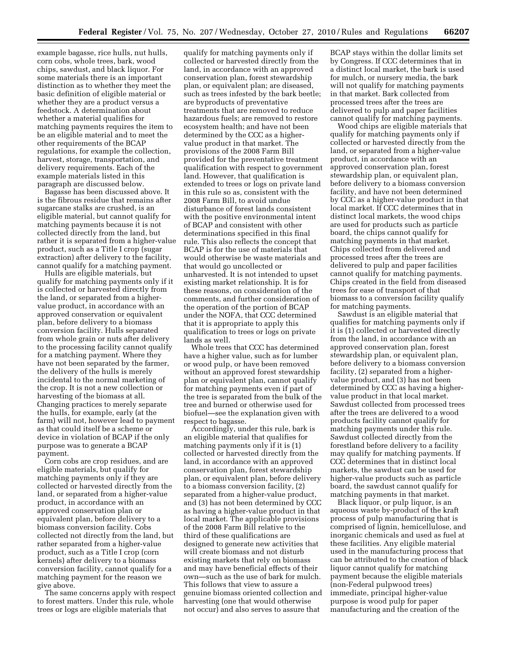example bagasse, rice hulls, nut hulls, corn cobs, whole trees, bark, wood chips, sawdust, and black liquor. For some materials there is an important distinction as to whether they meet the basic definition of eligible material or whether they are a product versus a feedstock. A determination about whether a material qualifies for matching payments requires the item to be an eligible material and to meet the other requirements of the BCAP regulations, for example the collection, harvest, storage, transportation, and delivery requirements. Each of the example materials listed in this paragraph are discussed below.

Bagasse has been discussed above. It is the fibrous residue that remains after sugarcane stalks are crushed, is an eligible material, but cannot qualify for matching payments because it is not collected directly from the land, but rather it is separated from a higher-value product, such as a Title I crop (sugar extraction) after delivery to the facility, cannot qualify for a matching payment.

Hulls are eligible materials, but qualify for matching payments only if it is collected or harvested directly from the land, or separated from a highervalue product, in accordance with an approved conservation or equivalent plan, before delivery to a biomass conversion facility. Hulls separated from whole grain or nuts after delivery to the processing facility cannot qualify for a matching payment. Where they have not been separated by the farmer, the delivery of the hulls is merely incidental to the normal marketing of the crop. It is not a new collection or harvesting of the biomass at all. Changing practices to merely separate the hulls, for example, early (at the farm) will not, however lead to payment as that could itself be a scheme or device in violation of BCAP if the only purpose was to generate a BCAP payment.

Corn cobs are crop residues, and are eligible materials, but qualify for matching payments only if they are collected or harvested directly from the land, or separated from a higher-value product, in accordance with an approved conservation plan or equivalent plan, before delivery to a biomass conversion facility. Cobs collected not directly from the land, but rather separated from a higher-value product, such as a Title I crop (corn kernels) after delivery to a biomass conversion facility, cannot qualify for a matching payment for the reason we give above.

The same concerns apply with respect to forest matters. Under this rule, whole trees or logs are eligible materials that

qualify for matching payments only if collected or harvested directly from the land, in accordance with an approved conservation plan, forest stewardship plan, or equivalent plan; are diseased, such as trees infested by the bark beetle; are byproducts of preventative treatments that are removed to reduce hazardous fuels; are removed to restore ecosystem health; and have not been determined by the CCC as a highervalue product in that market. The provisions of the 2008 Farm Bill provided for the preventative treatment qualification with respect to government land. However, that qualification is extended to trees or logs on private land in this rule so as, consistent with the 2008 Farm Bill, to avoid undue disturbance of forest lands consistent with the positive environmental intent of BCAP and consistent with other determinations specified in this final rule. This also reflects the concept that BCAP is for the use of materials that would otherwise be waste materials and that would go uncollected or unharvested. It is not intended to upset existing market relationship. It is for these reasons, on consideration of the comments, and further consideration of the operation of the portion of BCAP under the NOFA, that CCC determined that it is appropriate to apply this qualification to trees or logs on private lands as well.

Whole trees that CCC has determined have a higher value, such as for lumber or wood pulp, or have been removed without an approved forest stewardship plan or equivalent plan, cannot qualify for matching payments even if part of the tree is separated from the bulk of the tree and burned or otherwise used for biofuel—see the explanation given with respect to bagasse.

Accordingly, under this rule, bark is an eligible material that qualifies for matching payments only if it is (1) collected or harvested directly from the land, in accordance with an approved conservation plan, forest stewardship plan, or equivalent plan, before delivery to a biomass conversion facility, (2) separated from a higher-value product, and (3) has not been determined by CCC as having a higher-value product in that local market. The applicable provisions of the 2008 Farm Bill relative to the third of these qualifications are designed to generate new activities that will create biomass and not disturb existing markets that rely on biomass and may have beneficial effects of their own—such as the use of bark for mulch. This follows that view to assure a genuine biomass oriented collection and harvesting (one that would otherwise not occur) and also serves to assure that

BCAP stays within the dollar limits set by Congress. If CCC determines that in a distinct local market, the bark is used for mulch, or nursery media, the bark will not qualify for matching payments in that market. Bark collected from processed trees after the trees are delivered to pulp and paper facilities cannot qualify for matching payments.

Wood chips are eligible materials that qualify for matching payments only if collected or harvested directly from the land, or separated from a higher-value product, in accordance with an approved conservation plan, forest stewardship plan, or equivalent plan, before delivery to a biomass conversion facility, and have not been determined by CCC as a higher-value product in that local market. If CCC determines that in distinct local markets, the wood chips are used for products such as particle board, the chips cannot qualify for matching payments in that market. Chips collected from delivered and processed trees after the trees are delivered to pulp and paper facilities cannot qualify for matching payments. Chips created in the field from diseased trees for ease of transport of that biomass to a conversion facility qualify for matching payments.

Sawdust is an eligible material that qualifies for matching payments only if it is (1) collected or harvested directly from the land, in accordance with an approved conservation plan, forest stewardship plan, or equivalent plan, before delivery to a biomass conversion facility, (2) separated from a highervalue product, and (3) has not been determined by CCC as having a highervalue product in that local market. Sawdust collected from processed trees after the trees are delivered to a wood products facility cannot qualify for matching payments under this rule. Sawdust collected directly from the forestland before delivery to a facility may qualify for matching payments. If CCC determines that in distinct local markets, the sawdust can be used for higher-value products such as particle board, the sawdust cannot qualify for matching payments in that market.

Black liquor, or pulp liquor, is an aqueous waste by-product of the kraft process of pulp manufacturing that is comprised of lignin, hemicellulose, and inorganic chemicals and used as fuel at these facilities. Any eligible material used in the manufacturing process that can be attributed to the creation of black liquor cannot qualify for matching payment because the eligible materials (non-Federal pulpwood trees) immediate, principal higher-value purpose is wood pulp for paper manufacturing and the creation of the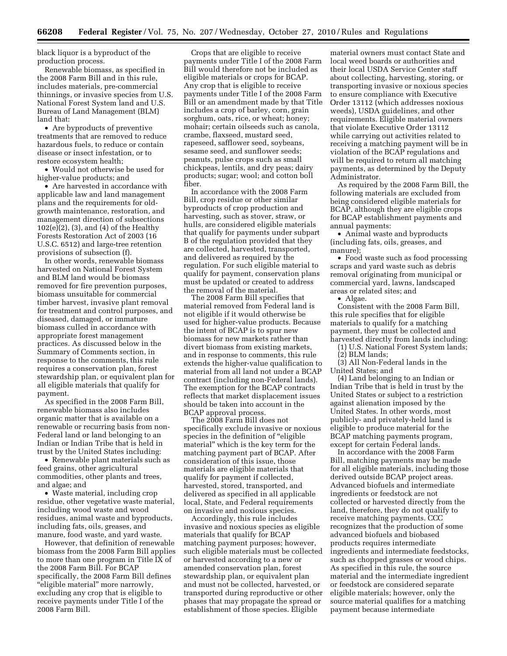black liquor is a byproduct of the production process.

Renewable biomass, as specified in the 2008 Farm Bill and in this rule, includes materials, pre-commercial thinnings, or invasive species from U.S. National Forest System land and U.S. Bureau of Land Management (BLM) land that:

• Are byproducts of preventive treatments that are removed to reduce hazardous fuels, to reduce or contain disease or insect infestation, or to restore ecosystem health;

• Would not otherwise be used for higher-value products; and

• Are harvested in accordance with applicable law and land management plans and the requirements for oldgrowth maintenance, restoration, and management direction of subsections 102(e)(2), (3), and (4) of the Healthy Forests Restoration Act of 2003 (16 U.S.C. 6512) and large-tree retention provisions of subsection (f).

In other words, renewable biomass harvested on National Forest System and BLM land would be biomass removed for fire prevention purposes, biomass unsuitable for commercial timber harvest, invasive plant removal for treatment and control purposes, and diseased, damaged, or immature biomass culled in accordance with appropriate forest management practices. As discussed below in the Summary of Comments section, in response to the comments, this rule requires a conservation plan, forest stewardship plan, or equivalent plan for all eligible materials that qualify for payment.

As specified in the 2008 Farm Bill, renewable biomass also includes organic matter that is available on a renewable or recurring basis from non-Federal land or land belonging to an Indian or Indian Tribe that is held in trust by the United States including:

• Renewable plant materials such as feed grains, other agricultural commodities, other plants and trees, and algae; and

• Waste material, including crop residue, other vegetative waste material, including wood waste and wood residues, animal waste and byproducts, including fats, oils, greases, and manure, food waste, and yard waste.

However, that definition of renewable biomass from the 2008 Farm Bill applies to more than one program in Title IX of the 2008 Farm Bill. For BCAP specifically, the 2008 Farm Bill defines "eligible material" more narrowly, excluding any crop that is eligible to receive payments under Title I of the 2008 Farm Bill.

Crops that are eligible to receive payments under Title I of the 2008 Farm Bill would therefore not be included as eligible materials or crops for BCAP. Any crop that is eligible to receive payments under Title I of the 2008 Farm Bill or an amendment made by that Title includes a crop of barley, corn, grain sorghum, oats, rice, or wheat; honey; mohair; certain oilseeds such as canola, crambe, flaxseed, mustard seed, rapeseed, safflower seed, soybeans, sesame seed, and sunflower seeds; peanuts, pulse crops such as small chickpeas, lentils, and dry peas; dairy products; sugar; wool; and cotton boll fiber.

In accordance with the 2008 Farm Bill, crop residue or other similar byproducts of crop production and harvesting, such as stover, straw, or hulls, are considered eligible materials that qualify for payments under subpart B of the regulation provided that they are collected, harvested, transported, and delivered as required by the regulation. For such eligible material to qualify for payment, conservation plans must be updated or created to address the removal of the material.

The 2008 Farm Bill specifies that material removed from Federal land is not eligible if it would otherwise be used for higher-value products. Because the intent of BCAP is to spur new biomass for new markets rather than divert biomass from existing markets, and in response to comments, this rule extends the higher-value qualification to material from all land not under a BCAP contract (including non-Federal lands). The exemption for the BCAP contracts reflects that market displacement issues should be taken into account in the BCAP approval process.

The 2008 Farm Bill does not specifically exclude invasive or noxious species in the definition of "eligible material'' which is the key term for the matching payment part of BCAP. After consideration of this issue, those materials are eligible materials that qualify for payment if collected, harvested, stored, transported, and delivered as specified in all applicable local, State, and Federal requirements on invasive and noxious species.

Accordingly, this rule includes invasive and noxious species as eligible materials that qualify for BCAP matching payment purposes; however, such eligible materials must be collected or harvested according to a new or amended conservation plan, forest stewardship plan, or equivalent plan and must not be collected, harvested, or transported during reproductive or other phases that may propagate the spread or establishment of those species. Eligible

material owners must contact State and local weed boards or authorities and their local USDA Service Center staff about collecting, harvesting, storing, or transporting invasive or noxious species to ensure compliance with Executive Order 13112 (which addresses noxious weeds), USDA guidelines, and other requirements. Eligible material owners that violate Executive Order 13112 while carrying out activities related to receiving a matching payment will be in violation of the BCAP regulations and will be required to return all matching payments, as determined by the Deputy Administrator.

As required by the 2008 Farm Bill, the following materials are excluded from being considered eligible materials for BCAP, although they are eligible crops for BCAP establishment payments and annual payments:

• Animal waste and byproducts (including fats, oils, greases, and manure);

• Food waste such as food processing scraps and yard waste such as debris removal originating from municipal or commercial yard, lawns, landscaped areas or related sites; and

• Algae.

Consistent with the 2008 Farm Bill, this rule specifies that for eligible materials to qualify for a matching payment, they must be collected and harvested directly from lands including:

(1) U.S. National Forest System lands;

(2) BLM lands;

(3) All Non-Federal lands in the United States; and

(4) Land belonging to an Indian or Indian Tribe that is held in trust by the United States or subject to a restriction against alienation imposed by the United States. In other words, most publicly- and privately-held land is eligible to produce material for the BCAP matching payments program, except for certain Federal lands.

In accordance with the 2008 Farm Bill, matching payments may be made for all eligible materials, including those derived outside BCAP project areas. Advanced biofuels and intermediate ingredients or feedstock are not collected or harvested directly from the land, therefore, they do not qualify to receive matching payments. CCC recognizes that the production of some advanced biofuels and biobased products requires intermediate ingredients and intermediate feedstocks, such as chopped grasses or wood chips. As specified in this rule, the source material and the intermediate ingredient or feedstock are considered separate eligible materials; however, only the source material qualifies for a matching payment because intermediate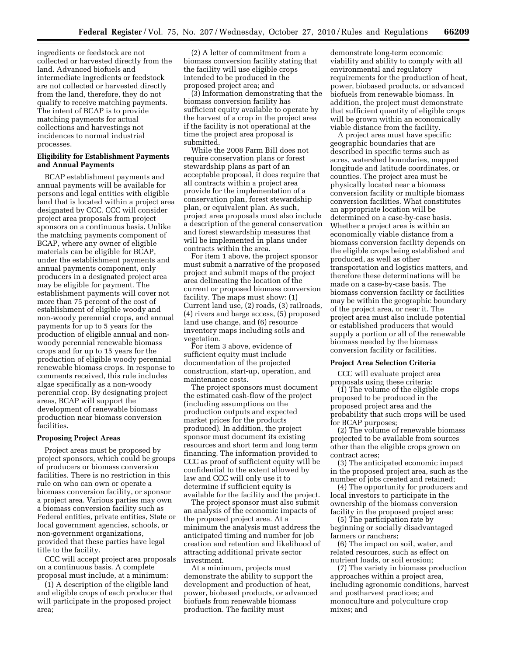ingredients or feedstock are not collected or harvested directly from the land. Advanced biofuels and intermediate ingredients or feedstock are not collected or harvested directly from the land, therefore, they do not qualify to receive matching payments. The intent of BCAP is to provide matching payments for actual collections and harvestings not incidences to normal industrial processes.

# **Eligibility for Establishment Payments and Annual Payments**

BCAP establishment payments and annual payments will be available for persons and legal entities with eligible land that is located within a project area designated by CCC. CCC will consider project area proposals from project sponsors on a continuous basis. Unlike the matching payments component of BCAP, where any owner of eligible materials can be eligible for BCAP, under the establishment payments and annual payments component, only producers in a designated project area may be eligible for payment. The establishment payments will cover not more than 75 percent of the cost of establishment of eligible woody and non-woody perennial crops, and annual payments for up to 5 years for the production of eligible annual and nonwoody perennial renewable biomass crops and for up to 15 years for the production of eligible woody perennial renewable biomass crops. In response to comments received, this rule includes algae specifically as a non-woody perennial crop. By designating project areas, BCAP will support the development of renewable biomass production near biomass conversion facilities.

#### **Proposing Project Areas**

Project areas must be proposed by project sponsors, which could be groups of producers or biomass conversion facilities. There is no restriction in this rule on who can own or operate a biomass conversion facility, or sponsor a project area. Various parties may own a biomass conversion facility such as Federal entities, private entities, State or local government agencies, schools, or non-government organizations, provided that these parties have legal title to the facility.

CCC will accept project area proposals on a continuous basis. A complete proposal must include, at a minimum:

(1) A description of the eligible land and eligible crops of each producer that will participate in the proposed project area;

(2) A letter of commitment from a biomass conversion facility stating that the facility will use eligible crops intended to be produced in the proposed project area; and

(3) Information demonstrating that the biomass conversion facility has sufficient equity available to operate by the harvest of a crop in the project area if the facility is not operational at the time the project area proposal is submitted.

While the 2008 Farm Bill does not require conservation plans or forest stewardship plans as part of an acceptable proposal, it does require that all contracts within a project area provide for the implementation of a conservation plan, forest stewardship plan, or equivalent plan. As such, project area proposals must also include a description of the general conservation and forest stewardship measures that will be implemented in plans under contracts within the area.

For item 1 above, the project sponsor must submit a narrative of the proposed project and submit maps of the project area delineating the location of the current or proposed biomass conversion facility. The maps must show: (1) Current land use, (2) roads, (3) railroads, (4) rivers and barge access, (5) proposed land use change, and (6) resource inventory maps including soils and vegetation.

For item 3 above, evidence of sufficient equity must include documentation of the projected construction, start-up, operation, and maintenance costs.

The project sponsors must document the estimated cash-flow of the project (including assumptions on the production outputs and expected market prices for the products produced). In addition, the project sponsor must document its existing resources and short term and long term financing. The information provided to CCC as proof of sufficient equity will be confidential to the extent allowed by law and CCC will only use it to determine if sufficient equity is available for the facility and the project.

The project sponsor must also submit an analysis of the economic impacts of the proposed project area. At a minimum the analysis must address the anticipated timing and number for job creation and retention and likelihood of attracting additional private sector investment.

At a minimum, projects must demonstrate the ability to support the development and production of heat, power, biobased products, or advanced biofuels from renewable biomass production. The facility must

demonstrate long-term economic viability and ability to comply with all environmental and regulatory requirements for the production of heat, power, biobased products, or advanced biofuels from renewable biomass. In addition, the project must demonstrate that sufficient quantity of eligible crops will be grown within an economically viable distance from the facility.

A project area must have specific geographic boundaries that are described in specific terms such as acres, watershed boundaries, mapped longitude and latitude coordinates, or counties. The project area must be physically located near a biomass conversion facility or multiple biomass conversion facilities. What constitutes an appropriate location will be determined on a case-by-case basis. Whether a project area is within an economically viable distance from a biomass conversion facility depends on the eligible crops being established and produced, as well as other transportation and logistics matters, and therefore these determinations will be made on a case-by-case basis. The biomass conversion facility or facilities may be within the geographic boundary of the project area, or near it. The project area must also include potential or established producers that would supply a portion or all of the renewable biomass needed by the biomass conversion facility or facilities.

# **Project Area Selection Criteria**

CCC will evaluate project area proposals using these criteria:

 $(i)$  The volume of the eligible crops proposed to be produced in the proposed project area and the probability that such crops will be used for BCAP purposes;

(2) The volume of renewable biomass projected to be available from sources other than the eligible crops grown on contract acres;

(3) The anticipated economic impact in the proposed project area, such as the number of jobs created and retained;

(4) The opportunity for producers and local investors to participate in the ownership of the biomass conversion facility in the proposed project area;

(5) The participation rate by beginning or socially disadvantaged farmers or ranchers;

(6) The impact on soil, water, and related resources, such as effect on nutrient loads, or soil erosion;

(7) The variety in biomass production approaches within a project area, including agronomic conditions, harvest and postharvest practices; and monoculture and polyculture crop mixes; and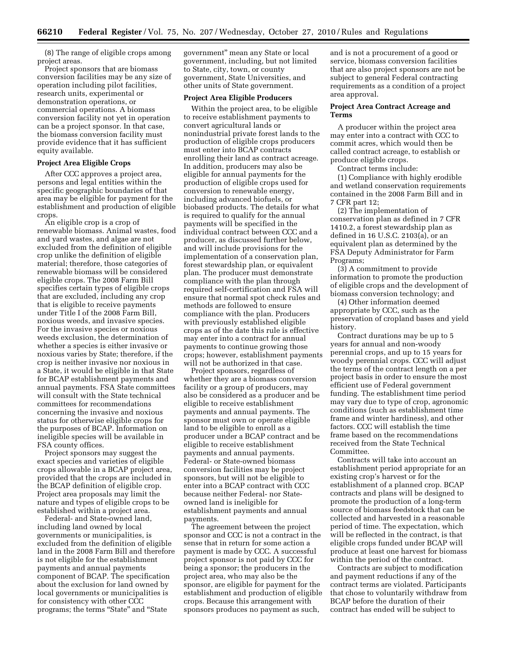(8) The range of eligible crops among project areas.

Project sponsors that are biomass conversion facilities may be any size of operation including pilot facilities, research units, experimental or demonstration operations, or commercial operations. A biomass conversion facility not yet in operation can be a project sponsor. In that case, the biomass conversion facility must provide evidence that it has sufficient equity available.

# **Project Area Eligible Crops**

After CCC approves a project area, persons and legal entities within the specific geographic boundaries of that area may be eligible for payment for the establishment and production of eligible crops.

An eligible crop is a crop of renewable biomass. Animal wastes, food and yard wastes, and algae are not excluded from the definition of eligible crop unlike the definition of eligible material; therefore, those categories of renewable biomass will be considered eligible crops. The 2008 Farm Bill specifies certain types of eligible crops that are excluded, including any crop that is eligible to receive payments under Title I of the 2008 Farm Bill, noxious weeds, and invasive species. For the invasive species or noxious weeds exclusion, the determination of whether a species is either invasive or noxious varies by State; therefore, if the crop is neither invasive nor noxious in a State, it would be eligible in that State for BCAP establishment payments and annual payments. FSA State committees will consult with the State technical committees for recommendations concerning the invasive and noxious status for otherwise eligible crops for the purposes of BCAP. Information on ineligible species will be available in FSA county offices.

Project sponsors may suggest the exact species and varieties of eligible crops allowable in a BCAP project area, provided that the crops are included in the BCAP definition of eligible crop. Project area proposals may limit the nature and types of eligible crops to be established within a project area.

Federal- and State-owned land, including land owned by local governments or municipalities, is excluded from the definition of eligible land in the 2008 Farm Bill and therefore is not eligible for the establishment payments and annual payments component of BCAP. The specification about the exclusion for land owned by local governments or municipalities is for consistency with other CCC programs; the terms "State" and "State

government'' mean any State or local government, including, but not limited to State, city, town, or county government, State Universities, and other units of State government.

#### **Project Area Eligible Producers**

Within the project area, to be eligible to receive establishment payments to convert agricultural lands or nonindustrial private forest lands to the production of eligible crops producers must enter into BCAP contracts enrolling their land as contract acreage. In addition, producers may also be eligible for annual payments for the production of eligible crops used for conversion to renewable energy, including advanced biofuels, or biobased products. The details for what is required to qualify for the annual payments will be specified in the individual contract between CCC and a producer, as discussed further below, and will include provisions for the implementation of a conservation plan, forest stewardship plan, or equivalent plan. The producer must demonstrate compliance with the plan through required self-certification and FSA will ensure that normal spot check rules and methods are followed to ensure compliance with the plan. Producers with previously established eligible crops as of the date this rule is effective may enter into a contract for annual payments to continue growing those crops; however, establishment payments will not be authorized in that case.

Project sponsors, regardless of whether they are a biomass conversion facility or a group of producers, may also be considered as a producer and be eligible to receive establishment payments and annual payments. The sponsor must own or operate eligible land to be eligible to enroll as a producer under a BCAP contract and be eligible to receive establishment payments and annual payments. Federal- or State-owned biomass conversion facilities may be project sponsors, but will not be eligible to enter into a BCAP contract with CCC because neither Federal- nor Stateowned land is ineligible for establishment payments and annual payments.

The agreement between the project sponsor and CCC is not a contract in the sense that in return for some action a payment is made by CCC. A successful project sponsor is not paid by CCC for being a sponsor; the producers in the project area, who may also be the sponsor, are eligible for payment for the establishment and production of eligible crops. Because this arrangement with sponsors produces no payment as such,

and is not a procurement of a good or service, biomass conversion facilities that are also project sponsors are not be subject to general Federal contracting requirements as a condition of a project area approval.

# **Project Area Contract Acreage and Terms**

A producer within the project area may enter into a contract with CCC to commit acres, which would then be called contract acreage, to establish or produce eligible crops.

Contract terms include:

(1) Compliance with highly erodible and wetland conservation requirements contained in the 2008 Farm Bill and in 7 CFR part 12;

(2) The implementation of conservation plan as defined in 7 CFR 1410.2, a forest stewardship plan as defined in 16 U.S.C. 2103(a), or an equivalent plan as determined by the FSA Deputy Administrator for Farm Programs;

(3) A commitment to provide information to promote the production of eligible crops and the development of biomass conversion technology; and

(4) Other information deemed appropriate by CCC, such as the preservation of cropland bases and yield history.

Contract durations may be up to 5 years for annual and non-woody perennial crops, and up to 15 years for woody perennial crops. CCC will adjust the terms of the contract length on a per project basis in order to ensure the most efficient use of Federal government funding. The establishment time period may vary due to type of crop, agronomic conditions (such as establishment time frame and winter hardiness), and other factors. CCC will establish the time frame based on the recommendations received from the State Technical Committee.

Contracts will take into account an establishment period appropriate for an existing crop's harvest or for the establishment of a planned crop. BCAP contracts and plans will be designed to promote the production of a long-term source of biomass feedstock that can be collected and harvested in a reasonable period of time. The expectation, which will be reflected in the contract, is that eligible crops funded under BCAP will produce at least one harvest for biomass within the period of the contract.

Contracts are subject to modification and payment reductions if any of the contract terms are violated. Participants that chose to voluntarily withdraw from BCAP before the duration of their contract has ended will be subject to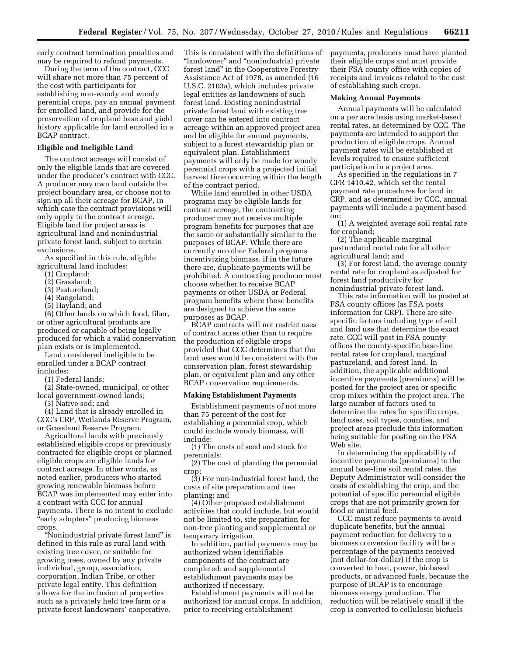early contract termination penalties and may be required to refund payments.

During the term of the contract, CCC will share not more than 75 percent of the cost with participants for establishing non-woody and woody perennial crops, pay an annual payment for enrolled land, and provide for the preservation of cropland base and yield history applicable for land enrolled in a BCAP contract.

#### **Eligible and Ineligible Land**

The contract acreage will consist of only the eligible lands that are covered under the producer's contract with CCC. A producer may own land outside the project boundary area, or choose not to sign up all their acreage for BCAP, in which case the contract provisions will only apply to the contract acreage. Eligible land for project areas is agricultural land and nonindustrial private forest land, subject to certain exclusions.

As specified in this rule, eligible agricultural land includes:

- (1) Cropland;
- (2) Grassland;
- (3) Pastureland;
- (4) Rangeland;
- (5) Hayland; and

(6) Other lands on which food, fiber, or other agricultural products are produced or capable of being legally produced for which a valid conservation plan exists or is implemented.

Land considered ineligible to be enrolled under a BCAP contract includes:

(1) Federal lands;

(2) State-owned, municipal, or other local government-owned lands;

(3) Native sod; and

(4) Land that is already enrolled in CCC's CRP, Wetlands Reserve Program, or Grassland Reserve Program.

Agricultural lands with previously established eligible crops or previously contracted for eligible crops or planned eligible crops are eligible lands for contract acreage. In other words, as noted earlier, producers who started growing renewable biomass before BCAP was implemented may enter into a contract with CCC for annual payments. There is no intent to exclude "early adopters" producing biomass crops.

''Nonindustrial private forest land'' is defined in this rule as rural land with existing tree cover, or suitable for growing trees, owned by any private individual, group, association, corporation, Indian Tribe, or other private legal entity. This definition allows for the inclusion of properties such as a privately held tree farm or a private forest landowners' cooperative.

This is consistent with the definitions of ''landowner'' and ''nonindustrial private forest land'' in the Cooperative Forestry Assistance Act of 1978, as amended (16 U.S.C. 2103a), which includes private legal entities as landowners of such forest land. Existing nonindustrial private forest land with existing tree cover can be entered into contract acreage within an approved project area and be eligible for annual payments, subject to a forest stewardship plan or equivalent plan. Establishment payments will only be made for woody perennial crops with a projected initial harvest time occurring within the length of the contract period.

While land enrolled in other USDA programs may be eligible lands for contract acreage, the contracting producer may not receive multiple program benefits for purposes that are the same or substantially similar to the purposes of BCAP. While there are currently no other Federal programs incentivizing biomass, if in the future there are, duplicate payments will be prohibited. A contracting producer must choose whether to receive BCAP payments or other USDA or Federal program benefits where those benefits are designed to achieve the same purposes as BCAP.

BCAP contracts will not restrict uses of contract acres other than to require the production of eligible crops provided that CCC determines that the land uses would be consistent with the conservation plan, forest stewardship plan, or equivalent plan and any other BCAP conservation requirements.

# **Making Establishment Payments**

Establishment payments of not more than 75 percent of the cost for establishing a perennial crop, which could include woody biomass, will include:

(1) The costs of seed and stock for perennials;

(2) The cost of planting the perennial crop

(3) For non-industrial forest land, the costs of site preparation and tree planting; and

(4) Other proposed establishment activities that could include, but would not be limited to, site preparation for non-tree planting and supplemental or temporary irrigation.

In addition, partial payments may be authorized when identifiable components of the contract are completed; and supplemental establishment payments may be authorized if necessary.

Establishment payments will not be authorized for annual crops. In addition, prior to receiving establishment

payments, producers must have planted their eligible crops and must provide their FSA county office with copies of receipts and invoices related to the cost of establishing such crops.

#### **Making Annual Payments**

Annual payments will be calculated on a per acre basis using market-based rental rates, as determined by CCC. The payments are intended to support the production of eligible crops. Annual payment rates will be established at levels required to ensure sufficient participation in a project area.

As specified in the regulations in 7 CFR 1410.42, which set the rental payment rate procedures for land in CRP, and as determined by CCC, annual payments will include a payment based on:

(1) A weighted average soil rental rate for cropland;

(2) The applicable marginal pastureland rental rate for all other agricultural land; and

(3) For forest land, the average county rental rate for cropland as adjusted for forest land productivity for nonindustrial private forest land.

This rate information will be posted at FSA county offices (as FSA posts information for CRP). There are sitespecific factors including type of soil and land use that determine the exact rate. CCC will post in FSA county offices the county-specific base-line rental rates for cropland, marginal pastureland, and forest land. In addition, the applicable additional incentive payments (premiums) will be posted for the project area or specific crop mixes within the project area. The large number of factors used to determine the rates for specific crops, land uses, soil types, counties, and project areas preclude this information being suitable for posting on the FSA Web site.

In determining the applicability of incentive payments (premiums) to the annual base-line soil rental rates, the Deputy Administrator will consider the costs of establishing the crop, and the potential of specific perennial eligible crops that are not primarily grown for food or animal feed.

CCC must reduce payments to avoid duplicate benefits, but the annual payment reduction for delivery to a biomass conversion facility will be a percentage of the payments received (not dollar-for-dollar) if the crop is converted to heat, power, biobased products, or advanced fuels, because the purpose of BCAP is to encourage biomass energy production. The reduction will be relatively small if the crop is converted to cellulosic biofuels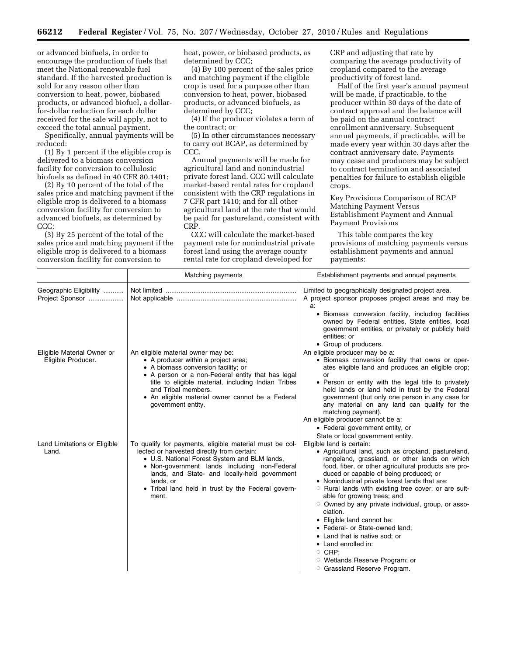or advanced biofuels, in order to encourage the production of fuels that meet the National renewable fuel standard. If the harvested production is sold for any reason other than conversion to heat, power, biobased products, or advanced biofuel, a dollarfor-dollar reduction for each dollar received for the sale will apply, not to exceed the total annual payment.

Specifically, annual payments will be reduced:

(1) By 1 percent if the eligible crop is delivered to a biomass conversion facility for conversion to cellulosic biofuels as defined in 40 CFR 80.1401;

(2) By 10 percent of the total of the sales price and matching payment if the eligible crop is delivered to a biomass conversion facility for conversion to advanced biofuels, as determined by CCC;

(3) By 25 percent of the total of the sales price and matching payment if the eligible crop is delivered to a biomass conversion facility for conversion to

heat, power, or biobased products, as determined by CCC;

(4) By 100 percent of the sales price and matching payment if the eligible crop is used for a purpose other than conversion to heat, power, biobased products, or advanced biofuels, as determined by CCC;

(4) If the producer violates a term of the contract; or

(5) In other circumstances necessary to carry out BCAP, as determined by CCC.

Annual payments will be made for agricultural land and nonindustrial private forest land. CCC will calculate market-based rental rates for cropland consistent with the CRP regulations in 7 CFR part 1410; and for all other agricultural land at the rate that would be paid for pastureland, consistent with CRP.

CCC will calculate the market-based payment rate for nonindustrial private forest land using the average county rental rate for cropland developed for

CRP and adjusting that rate by comparing the average productivity of cropland compared to the average productivity of forest land.

Half of the first year's annual payment will be made, if practicable, to the producer within 30 days of the date of contract approval and the balance will be paid on the annual contract enrollment anniversary. Subsequent annual payments, if practicable, will be made every year within 30 days after the contract anniversary date. Payments may cease and producers may be subject to contract termination and associated penalties for failure to establish eligible crops.

Key Provisions Comparison of BCAP Matching Payment Versus Establishment Payment and Annual Payment Provisions

This table compares the key provisions of matching payments versus establishment payments and annual payments:

|                                                  | Matching payments                                                                                                                                                                                                                                                                                                                  | Establishment payments and annual payments                                                                                                                                                                                                                                                                                                                                                                                                                                                                                                                                                                                                                       |
|--------------------------------------------------|------------------------------------------------------------------------------------------------------------------------------------------------------------------------------------------------------------------------------------------------------------------------------------------------------------------------------------|------------------------------------------------------------------------------------------------------------------------------------------------------------------------------------------------------------------------------------------------------------------------------------------------------------------------------------------------------------------------------------------------------------------------------------------------------------------------------------------------------------------------------------------------------------------------------------------------------------------------------------------------------------------|
| Geographic Eligibility<br>Project Sponsor        |                                                                                                                                                                                                                                                                                                                                    | Limited to geographically designated project area.<br>A project sponsor proposes project areas and may be<br>a:                                                                                                                                                                                                                                                                                                                                                                                                                                                                                                                                                  |
|                                                  |                                                                                                                                                                                                                                                                                                                                    | • Biomass conversion facility, including facilities<br>owned by Federal entities, State entities, local<br>government entities, or privately or publicly held<br>entities; or<br>• Group of producers.                                                                                                                                                                                                                                                                                                                                                                                                                                                           |
| Eligible Material Owner or<br>Eligible Producer. | An eligible material owner may be:<br>• A producer within a project area;<br>• A biomass conversion facility; or<br>• A person or a non-Federal entity that has legal<br>title to eligible material, including Indian Tribes<br>and Tribal members.<br>• An eligible material owner cannot be a Federal<br>government entity.      | An eligible producer may be a:<br>• Biomass conversion facility that owns or oper-<br>ates eligible land and produces an eligible crop;<br>or<br>• Person or entity with the legal title to privately<br>held lands or land held in trust by the Federal<br>government (but only one person in any case for<br>any material on any land can qualify for the<br>matching payment).<br>An eligible producer cannot be a:<br>• Federal government entity, or<br>State or local government entity.                                                                                                                                                                   |
| Land Limitations or Eligible<br>Land.            | To qualify for payments, eligible material must be col-<br>lected or harvested directly from certain:<br>• U.S. National Forest System and BLM lands,<br>• Non-government lands including non-Federal<br>lands, and State- and locally-held government<br>lands, or<br>• Tribal land held in trust by the Federal govern-<br>ment. | Eligible land is certain:<br>• Agricultural land, such as cropland, pastureland,<br>rangeland, grassland, or other lands on which<br>food, fiber, or other agricultural products are pro-<br>duced or capable of being produced; or<br>• Nonindustrial private forest lands that are:<br><b>O</b> Rural lands with existing tree cover, or are suit-<br>able for growing trees; and<br>O Owned by any private individual, group, or asso-<br>ciation.<br>• Eligible land cannot be:<br>• Federal- or State-owned land;<br>• Land that is native sod; or<br>• Land enrolled in:<br>$\circ$ CRP:<br>O Wetlands Reserve Program; or<br>O Grassland Reserve Program. |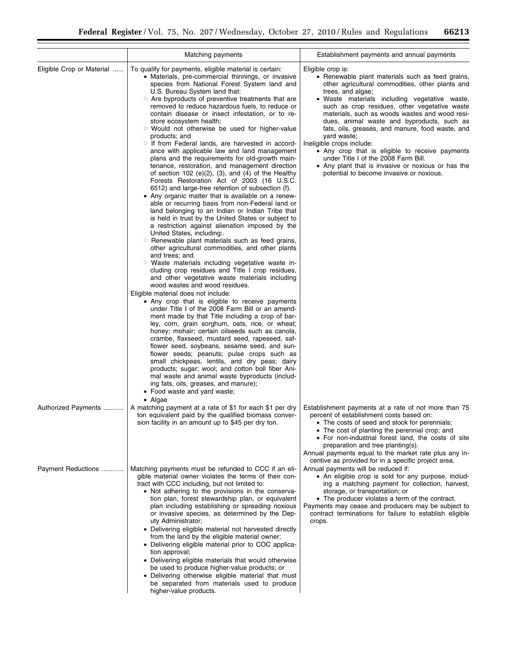|                           | Matching payments                                                                                                                                                                                                                                                                                                                                                                                                                                                                                                                                                                                                                                                                                                                                                                                                                                                                                                                                                                                                                                                                                                                                                                                                                                                                                                                                                                                                                                                                                                                                                                                                                                                                                                                                                                                                                                                                                                                                                                                                                                                                                                                                                          | Establishment payments and annual payments                                                                                                                                                                                                                                                                                                                                                                                                                                                                                                                                                                                                    |
|---------------------------|----------------------------------------------------------------------------------------------------------------------------------------------------------------------------------------------------------------------------------------------------------------------------------------------------------------------------------------------------------------------------------------------------------------------------------------------------------------------------------------------------------------------------------------------------------------------------------------------------------------------------------------------------------------------------------------------------------------------------------------------------------------------------------------------------------------------------------------------------------------------------------------------------------------------------------------------------------------------------------------------------------------------------------------------------------------------------------------------------------------------------------------------------------------------------------------------------------------------------------------------------------------------------------------------------------------------------------------------------------------------------------------------------------------------------------------------------------------------------------------------------------------------------------------------------------------------------------------------------------------------------------------------------------------------------------------------------------------------------------------------------------------------------------------------------------------------------------------------------------------------------------------------------------------------------------------------------------------------------------------------------------------------------------------------------------------------------------------------------------------------------------------------------------------------------|-----------------------------------------------------------------------------------------------------------------------------------------------------------------------------------------------------------------------------------------------------------------------------------------------------------------------------------------------------------------------------------------------------------------------------------------------------------------------------------------------------------------------------------------------------------------------------------------------------------------------------------------------|
| Eligible Crop or Material | To qualify for payments, eligible material is certain:<br>• Materials, pre-commercial thinnings, or invasive<br>species from National Forest System land and<br>U.S. Bureau System land that:<br>○ Are byproducts of preventive treatments that are<br>removed to reduce hazardous fuels, to reduce or<br>contain disease or insect infestation, or to re-<br>store ecosystem health;<br>○ Would not otherwise be used for higher-value<br>products; and<br>If from Federal lands, are harvested in accord-<br>ance with applicable law and land management<br>plans and the requirements for old-growth main-<br>tenance, restoration, and management direction<br>of section 102 (e) $(2)$ , $(3)$ , and $(4)$ of the Healthy<br>Forests Restoration Act of 2003 (16 U.S.C.<br>6512) and large-tree retention of subsection (f).<br>• Any organic matter that is available on a renew-<br>able or recurring basis from non-Federal land or<br>land belonging to an Indian or Indian Tribe that<br>is held in trust by the United States or subject to<br>a restriction against alienation imposed by the<br>United States, including:<br>○ Renewable plant materials such as feed grains,<br>other agricultural commodities, and other plants<br>and trees; and.<br>○ Waste materials including vegetative waste in-<br>cluding crop residues and Title I crop residues,<br>and other vegetative waste materials including<br>wood wastes and wood residues.<br>Eligible material does not include:<br>• Any crop that is eligible to receive payments<br>under Title I of the 2008 Farm Bill or an amend-<br>ment made by that Title including a crop of bar-<br>ley, corn, grain sorghum, oats, rice, or wheat;<br>honey; mohair; certain oilseeds such as canola,<br>crambe, flaxseed, mustard seed, rapeseed, saf-<br>flower seed, soybeans, sesame seed, and sun-<br>flower seeds; peanuts; pulse crops such as<br>small chickpeas, lentils, and dry peas; dairy<br>products; sugar; wool; and cotton boll fiber Ani-<br>mal waste and animal waste byproducts (includ-<br>ing fats, oils, greases, and manure);<br>• Food waste and yard waste;<br>$\bullet$ Algae | Eligible crop is:<br>• Renewable plant materials such as feed grains,<br>other agricultural commodities, other plants and<br>trees, and algae;<br>• Waste materials including vegetative waste,<br>such as crop residues, other vegetative waste<br>materials, such as woods wastes and wood resi-<br>dues, animal waste and byproducts, such as<br>fats, oils, greases, and manure, food waste, and<br>yard waste;<br>Ineligible crops include:<br>• Any crop that is eligible to receive payments<br>under Title I of the 2008 Farm Bill.<br>• Any plant that is invasive or noxious or has the<br>potential to become invasive or noxious. |
| Authorized Payments       | A matching payment at a rate of \$1 for each \$1 per dry<br>ton equivalent paid by the qualified biomass conver-<br>sion facility in an amount up to \$45 per dry ton.                                                                                                                                                                                                                                                                                                                                                                                                                                                                                                                                                                                                                                                                                                                                                                                                                                                                                                                                                                                                                                                                                                                                                                                                                                                                                                                                                                                                                                                                                                                                                                                                                                                                                                                                                                                                                                                                                                                                                                                                     | Establishment payments at a rate of not more than 75<br>percent of establishment costs based on:<br>• The costs of seed and stock for perennials;<br>• The cost of planting the perennial crop; and<br>• For non-industrial forest land, the costs of site<br>preparation and tree planting(s).<br>Annual payments equal to the market rate plus any in-<br>centive as provided for in a specific project area.                                                                                                                                                                                                                               |
| Payment Reductions        | Matching payments must be refunded to CCC if an eli-<br>gible material owner violates the terms of their con-<br>tract with CCC including, but not limited to:<br>• Not adhering to the provisions in the conserva-<br>tion plan, forest stewardship plan, or equivalent<br>plan including establishing or spreading noxious<br>or invasive species, as determined by the Dep-<br>uty Administrator;<br>• Delivering eligible material not harvested directly<br>from the land by the eligible material owner;<br>• Delivering eligible material prior to COC applica-<br>tion approval;<br>• Delivering eligible materials that would otherwise<br>be used to produce higher-value products; or<br>• Delivering otherwise eligible material that must<br>be separated from materials used to produce<br>higher-value products.                                                                                                                                                                                                                                                                                                                                                                                                                                                                                                                                                                                                                                                                                                                                                                                                                                                                                                                                                                                                                                                                                                                                                                                                                                                                                                                                            | Annual payments will be reduced if:<br>• An eligible crop is sold for any purpose, includ-<br>ing a matching payment for collection, harvest,<br>storage, or transportation; or<br>• The producer violates a term of the contract.<br>Payments may cease and producers may be subject to<br>contract terminations for failure to establish eligible<br>crops.                                                                                                                                                                                                                                                                                 |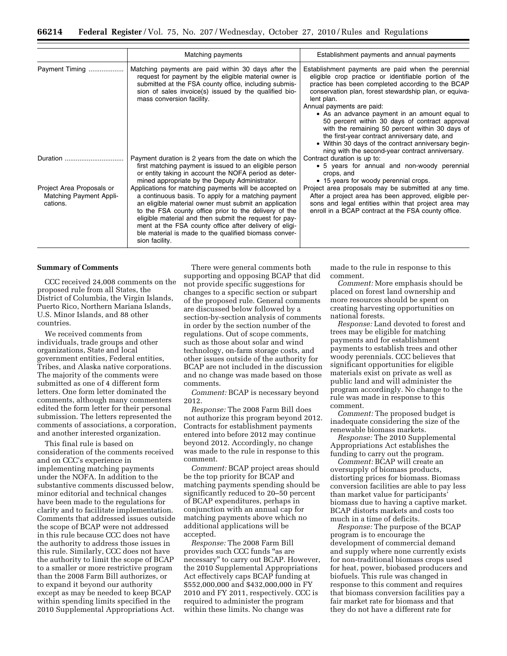|                                                                         | Matching payments                                                                                                                                                                                                                                                                                                                                                                                                              | Establishment payments and annual payments                                                                                                                                                                                                                                                                                                                                                                                                                                                                                                                                             |
|-------------------------------------------------------------------------|--------------------------------------------------------------------------------------------------------------------------------------------------------------------------------------------------------------------------------------------------------------------------------------------------------------------------------------------------------------------------------------------------------------------------------|----------------------------------------------------------------------------------------------------------------------------------------------------------------------------------------------------------------------------------------------------------------------------------------------------------------------------------------------------------------------------------------------------------------------------------------------------------------------------------------------------------------------------------------------------------------------------------------|
| Payment Timing                                                          | Matching payments are paid within 30 days after the<br>request for payment by the eligible material owner is<br>submitted at the FSA county office, including submis-<br>sion of sales invoice(s) issued by the qualified bio-<br>mass conversion facility.                                                                                                                                                                    | Establishment payments are paid when the perennial<br>eligible crop practice or identifiable portion of the<br>practice has been completed according to the BCAP<br>conservation plan, forest stewardship plan, or equiva-<br>lent plan.<br>Annual payments are paid:<br>• As an advance payment in an amount equal to<br>50 percent within 30 days of contract approval<br>with the remaining 50 percent within 30 days of<br>the first-year contract anniversary date, and<br>• Within 30 days of the contract anniversary begin-<br>ning with the second-year contract anniversary. |
| Duration $\ldots$                                                       | Payment duration is 2 years from the date on which the<br>first matching payment is issued to an eligible person<br>or entity taking in account the NOFA period as deter-<br>mined appropriate by the Deputy Administrator.                                                                                                                                                                                                    | Contract duration is up to:<br>• 5 years for annual and non-woody perennial<br>crops, and<br>• 15 years for woody perennial crops.                                                                                                                                                                                                                                                                                                                                                                                                                                                     |
| Project Area Proposals or<br><b>Matching Payment Appli-</b><br>cations. | Applications for matching payments will be accepted on<br>a continuous basis. To apply for a matching payment<br>an eligible material owner must submit an application<br>to the FSA county office prior to the delivery of the<br>eligible material and then submit the request for pay-<br>ment at the FSA county office after delivery of eligi-<br>ble material is made to the qualified biomass conver-<br>sion facility. | Project area proposals may be submitted at any time.<br>After a project area has been approved, eligible per-<br>sons and legal entities within that project area may<br>enroll in a BCAP contract at the FSA county office.                                                                                                                                                                                                                                                                                                                                                           |

#### **Summary of Comments**

CCC received 24,008 comments on the proposed rule from all States, the District of Columbia, the Virgin Islands, Puerto Rico, Northern Mariana Islands, U.S. Minor Islands, and 88 other countries.

We received comments from individuals, trade groups and other organizations, State and local government entities, Federal entities, Tribes, and Alaska native corporations. The majority of the comments were submitted as one of 4 different form letters. One form letter dominated the comments, although many commenters edited the form letter for their personal submission. The letters represented the comments of associations, a corporation, and another interested organization.

This final rule is based on consideration of the comments received and on CCC's experience in implementing matching payments under the NOFA. In addition to the substantive comments discussed below, minor editorial and technical changes have been made to the regulations for clarity and to facilitate implementation. Comments that addressed issues outside the scope of BCAP were not addressed in this rule because CCC does not have the authority to address those issues in this rule. Similarly, CCC does not have the authority to limit the scope of BCAP to a smaller or more restrictive program than the 2008 Farm Bill authorizes, or to expand it beyond our authority except as may be needed to keep BCAP within spending limits specified in the 2010 Supplemental Appropriations Act.

There were general comments both supporting and opposing BCAP that did not provide specific suggestions for changes to a specific section or subpart of the proposed rule. General comments are discussed below followed by a section-by-section analysis of comments in order by the section number of the regulations. Out of scope comments, such as those about solar and wind technology, on-farm storage costs, and other issues outside of the authority for BCAP are not included in the discussion and no change was made based on those comments.

*Comment:* BCAP is necessary beyond 2012.

*Response:* The 2008 Farm Bill does not authorize this program beyond 2012. Contracts for establishment payments entered into before 2012 may continue beyond 2012. Accordingly, no change was made to the rule in response to this comment.

*Comment:* BCAP project areas should be the top priority for BCAP and matching payments spending should be significantly reduced to 20–50 percent of BCAP expenditures, perhaps in conjunction with an annual cap for matching payments above which no additional applications will be accepted.

*Response:* The 2008 Farm Bill provides such CCC funds ''as are necessary'' to carry out BCAP. However, the 2010 Supplemental Appropriations Act effectively caps BCAP funding at \$552,000,000 and \$432,000,000 in FY 2010 and FY 2011, respectively. CCC is required to administer the program within these limits. No change was

made to the rule in response to this comment.

*Comment:* More emphasis should be placed on forest land ownership and more resources should be spent on creating harvesting opportunities on national forests.

*Response:* Land devoted to forest and trees may be eligible for matching payments and for establishment payments to establish trees and other woody perennials. CCC believes that significant opportunities for eligible materials exist on private as well as public land and will administer the program accordingly. No change to the rule was made in response to this comment.

*Comment:* The proposed budget is inadequate considering the size of the renewable biomass markets.

*Response:* The 2010 Supplemental Appropriations Act establishes the funding to carry out the program.

*Comment:* BCAP will create an oversupply of biomass products, distorting prices for biomass. Biomass conversion facilities are able to pay less than market value for participants' biomass due to having a captive market. BCAP distorts markets and costs too much in a time of deficits.

*Response:* The purpose of the BCAP program is to encourage the development of commercial demand and supply where none currently exists for non-traditional biomass crops used for heat, power, biobased producers and biofuels. This rule was changed in response to this comment and requires that biomass conversion facilities pay a fair market rate for biomass and that they do not have a different rate for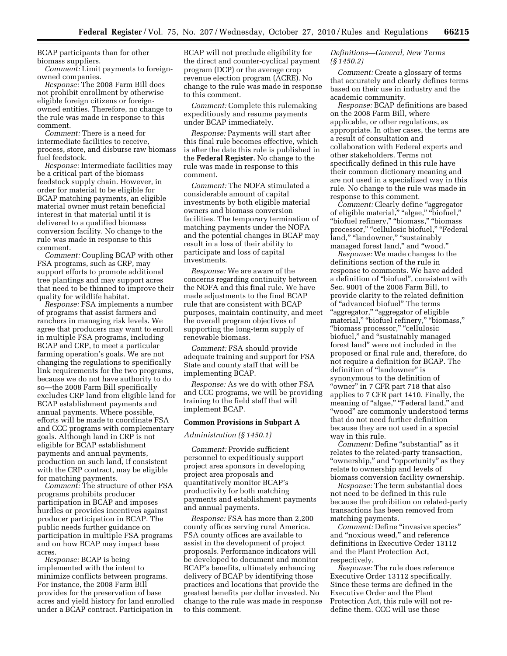BCAP participants than for other biomass suppliers.

*Comment:* Limit payments to foreignowned companies.

*Response:* The 2008 Farm Bill does not prohibit enrollment by otherwise eligible foreign citizens or foreignowned entities. Therefore, no change to the rule was made in response to this comment.

*Comment:* There is a need for intermediate facilities to receive, process, store, and disburse raw biomass fuel feedstock.

*Response:* Intermediate facilities may be a critical part of the biomass feedstock supply chain. However, in order for material to be eligible for BCAP matching payments, an eligible material owner must retain beneficial interest in that material until it is delivered to a qualified biomass conversion facility. No change to the rule was made in response to this comment.

*Comment:* Coupling BCAP with other FSA programs, such as CRP, may support efforts to promote additional tree plantings and may support acres that need to be thinned to improve their quality for wildlife habitat.

*Response:* FSA implements a number of programs that assist farmers and ranchers in managing risk levels. We agree that producers may want to enroll in multiple FSA programs, including BCAP and CRP, to meet a particular farming operation's goals. We are not changing the regulations to specifically link requirements for the two programs, because we do not have authority to do so—the 2008 Farm Bill specifically excludes CRP land from eligible land for BCAP establishment payments and annual payments. Where possible, efforts will be made to coordinate FSA and CCC programs with complementary goals. Although land in CRP is not eligible for BCAP establishment payments and annual payments, production on such land, if consistent with the CRP contract, may be eligible for matching payments.

*Comment:* The structure of other FSA programs prohibits producer participation in BCAP and imposes hurdles or provides incentives against producer participation in BCAP. The public needs further guidance on participation in multiple FSA programs and on how BCAP may impact base acres.

*Response:* BCAP is being implemented with the intent to minimize conflicts between programs. For instance, the 2008 Farm Bill provides for the preservation of base acres and yield history for land enrolled under a BCAP contract. Participation in

BCAP will not preclude eligibility for the direct and counter-cyclical payment program (DCP) or the average crop revenue election program (ACRE). No change to the rule was made in response to this comment.

*Comment:* Complete this rulemaking expeditiously and resume payments under BCAP immediately.

*Response:* Payments will start after this final rule becomes effective, which is after the date this rule is published in the **Federal Register.** No change to the rule was made in response to this comment.

*Comment:* The NOFA stimulated a considerable amount of capital investments by both eligible material owners and biomass conversion facilities. The temporary termination of matching payments under the NOFA and the potential changes in BCAP may result in a loss of their ability to participate and loss of capital investments.

*Response:* We are aware of the concerns regarding continuity between the NOFA and this final rule. We have made adjustments to the final BCAP rule that are consistent with BCAP purposes, maintain continuity, and meet the overall program objectives of supporting the long-term supply of renewable biomass.

*Comment:* FSA should provide adequate training and support for FSA State and county staff that will be implementing BCAP.

*Response:* As we do with other FSA and CCC programs, we will be providing training to the field staff that will implement BCAP.

#### **Common Provisions in Subpart A**

# *Administration (§ 1450.1)*

*Comment:* Provide sufficient personnel to expeditiously support project area sponsors in developing project area proposals and quantitatively monitor BCAP's productivity for both matching payments and establishment payments and annual payments.

*Response:* FSA has more than 2,200 county offices serving rural America. FSA county offices are available to assist in the development of project proposals. Performance indicators will be developed to document and monitor BCAP's benefits, ultimately enhancing delivery of BCAP by identifying those practices and locations that provide the greatest benefits per dollar invested. No change to the rule was made in response to this comment.

# *Definitions—General, New Terms (§ 1450.2)*

*Comment:* Create a glossary of terms that accurately and clearly defines terms based on their use in industry and the academic community.

*Response:* BCAP definitions are based on the 2008 Farm Bill, where applicable, or other regulations, as appropriate. In other cases, the terms are a result of consultation and collaboration with Federal experts and other stakeholders. Terms not specifically defined in this rule have their common dictionary meaning and are not used in a specialized way in this rule. No change to the rule was made in response to this comment.

*Comment:* Clearly define ''aggregator of eligible material,'' ''algae,'' ''biofuel,'' ''biofuel refinery,'' ''biomass,'' ''biomass processor," "cellulosic biofuel," "Federal land," "landowner," "sustainably managed forest land,'' and ''wood.''

*Response:* We made changes to the definitions section of the rule in response to comments. We have added a definition of ''biofuel'', consistent with Sec. 9001 of the 2008 Farm Bill, to provide clarity to the related definition of ''advanced biofuel'' The terms ''aggregator,'' ''aggregator of eligible material," "biofuel refinery," "biomass," "biomass processor," "cellulosic biofuel,'' and ''sustainably managed forest land'' were not included in the proposed or final rule and, therefore, do not require a definition for BCAP. The definition of "landowner" is synonymous to the definition of "owner" in 7 CFR part 718 that also applies to 7 CFR part 1410. Finally, the meaning of "algae," "Federal land," and ''wood'' are commonly understood terms that do not need further definition because they are not used in a special way in this rule.

*Comment: Define* "substantial" as it relates to the related-party transaction, "ownership," and "opportunity" as they relate to ownership and levels of biomass conversion facility ownership.

*Response:* The term substantial does not need to be defined in this rule because the prohibition on related-party transactions has been removed from matching payments.

*Comment:* Define ''invasive species'' and ''noxious weed,'' and reference definitions in Executive Order 13112 and the Plant Protection Act, respectively.

*Response:* The rule does reference Executive Order 13112 specifically. Since these terms are defined in the Executive Order and the Plant Protection Act, this rule will not redefine them. CCC will use those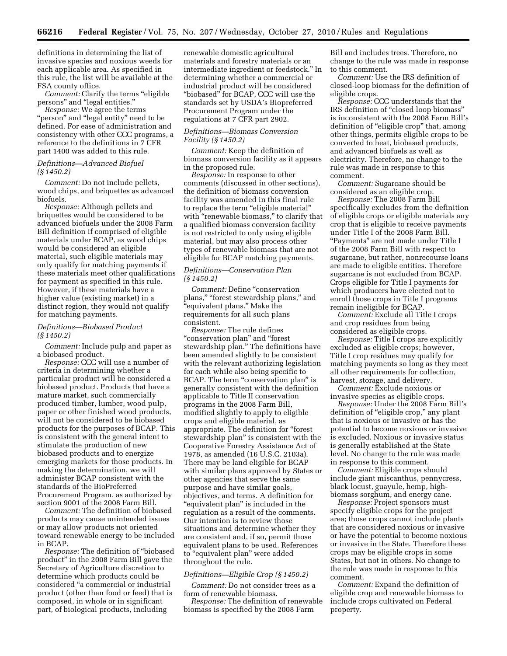definitions in determining the list of invasive species and noxious weeds for each applicable area. As specified in this rule, the list will be available at the FSA county office.

*Comment:* Clarify the terms "eligible" persons'' and ''legal entities.''

*Response:* We agree the terms "person" and "legal entity" need to be defined. For ease of administration and consistency with other CCC programs, a reference to the definitions in 7 CFR part 1400 was added to this rule.

# *Definitions—Advanced Biofuel (§ 1450.2)*

*Comment:* Do not include pellets, wood chips, and briquettes as advanced biofuels.

*Response:* Although pellets and briquettes would be considered to be advanced biofuels under the 2008 Farm Bill definition if comprised of eligible materials under BCAP, as wood chips would be considered an eligible material, such eligible materials may only qualify for matching payments if these materials meet other qualifications for payment as specified in this rule. However, if these materials have a higher value (existing market) in a distinct region, they would not qualify for matching payments.

# *Definitions—Biobased Product (§ 1450.2)*

*Comment:* Include pulp and paper as a biobased product.

*Response:* CCC will use a number of criteria in determining whether a particular product will be considered a biobased product. Products that have a mature market, such commercially produced timber, lumber, wood pulp, paper or other finished wood products, will not be considered to be biobased products for the purposes of BCAP. This is consistent with the general intent to stimulate the production of new biobased products and to energize emerging markets for those products. In making the determination, we will administer BCAP consistent with the standards of the BioPreferred Procurement Program, as authorized by section 9001 of the 2008 Farm Bill.

*Comment:* The definition of biobased products may cause unintended issues or may allow products not oriented toward renewable energy to be included in BCAP.

*Response:* The definition of ''biobased product'' in the 2008 Farm Bill gave the Secretary of Agriculture discretion to determine which products could be considered ''a commercial or industrial product (other than food or feed) that is composed, in whole or in significant part, of biological products, including

renewable domestic agricultural materials and forestry materials or an intermediate ingredient or feedstock.'' In determining whether a commercial or industrial product will be considered "biobased" for BCAP, CCC will use the standards set by USDA's Biopreferred Procurement Program under the regulations at 7 CFR part 2902.

# *Definitions—Biomass Conversion Facility (§ 1450.2)*

*Comment:* Keep the definition of biomass conversion facility as it appears in the proposed rule.

*Response:* In response to other comments (discussed in other sections), the definition of biomass conversion facility was amended in this final rule to replace the term "eligible material" with "renewable biomass," to clarify that a qualified biomass conversion facility is not restricted to only using eligible material, but may also process other types of renewable biomass that are not eligible for BCAP matching payments.

# *Definitions—Conservation Plan (§ 1450.2)*

*Comment:* Define ''conservation plans," "forest stewardship plans," and ''equivalent plans.'' Make the requirements for all such plans consistent.

*Response:* The rule defines ''conservation plan'' and ''forest stewardship plan.'' The definitions have been amended slightly to be consistent with the relevant authorizing legislation for each while also being specific to BCAP. The term "conservation plan" is generally consistent with the definition applicable to Title II conservation programs in the 2008 Farm Bill, modified slightly to apply to eligible crops and eligible material, as appropriate. The definition for ''forest stewardship plan'' is consistent with the Cooperative Forestry Assistance Act of 1978, as amended (16 U.S.C. 2103a). There may be land eligible for BCAP with similar plans approved by States or other agencies that serve the same purpose and have similar goals, objectives, and terms. A definition for "equivalent plan" is included in the regulation as a result of the comments. Our intention is to review those situations and determine whether they are consistent and, if so, permit those equivalent plans to be used. References to ''equivalent plan'' were added throughout the rule.

#### *Definitions—Eligible Crop (§ 1450.2)*

*Comment:* Do not consider trees as a form of renewable biomass.

*Response:* The definition of renewable biomass is specified by the 2008 Farm

Bill and includes trees. Therefore, no change to the rule was made in response to this comment.

*Comment:* Use the IRS definition of closed-loop biomass for the definition of eligible crops.

*Response:* CCC understands that the IRS definition of ''closed loop biomass'' is inconsistent with the 2008 Farm Bill's definition of "eligible crop" that, among other things, permits eligible crops to be converted to heat, biobased products, and advanced biofuels as well as electricity. Therefore, no change to the rule was made in response to this comment.

*Comment:* Sugarcane should be considered as an eligible crop.

*Response:* The 2008 Farm Bill specifically excludes from the definition of eligible crops or eligible materials any crop that is eligible to receive payments under Title I of the 2008 Farm Bill. ''Payments'' are not made under Title I of the 2008 Farm Bill with respect to sugarcane, but rather, nonrecourse loans are made to eligible entities. Therefore sugarcane is not excluded from BCAP. Crops eligible for Title I payments for which producers have elected not to enroll those crops in Title I programs remain ineligible for BCAP.

*Comment:* Exclude all Title I crops and crop residues from being considered as eligible crops.

*Response:* Title I crops are explicitly excluded as eligible crops; however, Title I crop residues may qualify for matching payments so long as they meet all other requirements for collection, harvest, storage, and delivery.

*Comment:* Exclude noxious or invasive species as eligible crops.

*Response:* Under the 2008 Farm Bill's definition of ''eligible crop,'' any plant that is noxious or invasive or has the potential to become noxious or invasive is excluded. Noxious or invasive status is generally established at the State level. No change to the rule was made in response to this comment.

*Comment:* Eligible crops should include giant miscanthus, pennycress, black locust, guayule, hemp, highbiomass sorghum, and energy cane.

*Response:* Project sponsors must specify eligible crops for the project area; those crops cannot include plants that are considered noxious or invasive or have the potential to become noxious or invasive in the State. Therefore these crops may be eligible crops in some States, but not in others. No change to the rule was made in response to this comment.

*Comment:* Expand the definition of eligible crop and renewable biomass to include crops cultivated on Federal property.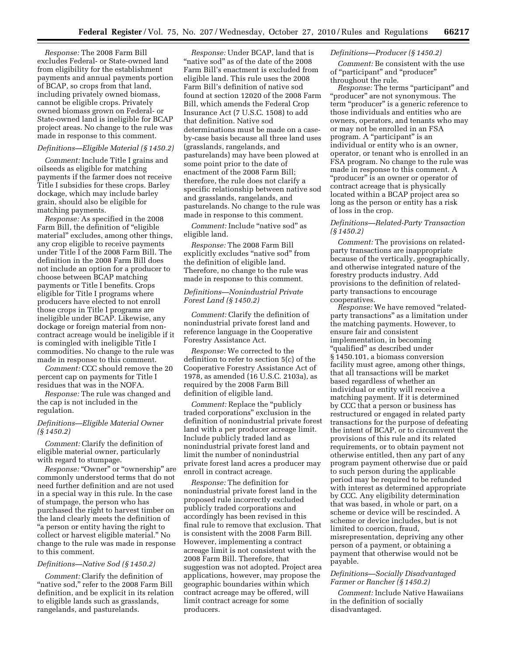*Response:* The 2008 Farm Bill excludes Federal- or State-owned land from eligibility for the establishment payments and annual payments portion of BCAP, so crops from that land, including privately owned biomass, cannot be eligible crops. Privately owned biomass grown on Federal- or State-owned land is ineligible for BCAP project areas. No change to the rule was made in response to this comment.

#### *Definitions—Eligible Material (§ 1450.2)*

*Comment:* Include Title I grains and oilseeds as eligible for matching payments if the farmer does not receive Title I subsidies for these crops. Barley dockage, which may include barley grain, should also be eligible for matching payments.

*Response:* As specified in the 2008 Farm Bill, the definition of "eligible material'' excludes, among other things, any crop eligible to receive payments under Title I of the 2008 Farm Bill. The definition in the 2008 Farm Bill does not include an option for a producer to choose between BCAP matching payments or Title I benefits. Crops eligible for Title I programs where producers have elected to not enroll those crops in Title I programs are ineligible under BCAP. Likewise, any dockage or foreign material from noncontract acreage would be ineligible if it is comingled with ineligible Title I commodities. No change to the rule was made in response to this comment.

*Comment:* CCC should remove the 20 percent cap on payments for Title I residues that was in the NOFA.

*Response:* The rule was changed and the cap is not included in the regulation.

#### *Definitions—Eligible Material Owner (§ 1450.2)*

*Comment:* Clarify the definition of eligible material owner, particularly with regard to stumpage.

*Response:* "Owner" or "ownership" are commonly understood terms that do not need further definition and are not used in a special way in this rule. In the case of stumpage, the person who has purchased the right to harvest timber on the land clearly meets the definition of ''a person or entity having the right to collect or harvest eligible material.'' No change to the rule was made in response to this comment.

# *Definitions—Native Sod (§ 1450.2)*

*Comment:* Clarify the definition of "native sod," refer to the 2008 Farm Bill definition, and be explicit in its relation to eligible lands such as grasslands, rangelands, and pasturelands.

*Response:* Under BCAP, land that is ''native sod'' as of the date of the 2008 Farm Bill's enactment is excluded from eligible land. This rule uses the 2008 Farm Bill's definition of native sod found at section 12020 of the 2008 Farm Bill, which amends the Federal Crop Insurance Act (7 U.S.C. 1508) to add that definition. Native sod determinations must be made on a caseby-case basis because all three land uses (grasslands, rangelands, and pasturelands) may have been plowed at some point prior to the date of enactment of the 2008 Farm Bill; therefore, the rule does not clarify a specific relationship between native sod and grasslands, rangelands, and pasturelands. No change to the rule was made in response to this comment.

*Comment:* Include "native sod" as eligible land.

*Response:* The 2008 Farm Bill explicitly excludes "native sod" from the definition of eligible land. Therefore, no change to the rule was made in response to this comment.

# *Definitions—Nonindustrial Private Forest Land (§ 1450.2)*

*Comment:* Clarify the definition of nonindustrial private forest land and reference language in the Cooperative Forestry Assistance Act.

*Response:* We corrected to the definition to refer to section 5(c) of the Cooperative Forestry Assistance Act of 1978, as amended (16 U.S.C. 2103a), as required by the 2008 Farm Bill definition of eligible land.

*Comment:* Replace the "publicly" traded corporations'' exclusion in the definition of nonindustrial private forest land with a per producer acreage limit. Include publicly traded land as nonindustrial private forest land and limit the number of nonindustrial private forest land acres a producer may enroll in contract acreage.

*Response:* The definition for nonindustrial private forest land in the proposed rule incorrectly excluded publicly traded corporations and accordingly has been revised in this final rule to remove that exclusion. That is consistent with the 2008 Farm Bill. However, implementing a contract acreage limit is not consistent with the 2008 Farm Bill. Therefore, that suggestion was not adopted. Project area applications, however, may propose the geographic boundaries within which contract acreage may be offered, will limit contract acreage for some producers.

# *Definitions—Producer (§ 1450.2)*

*Comment:* Be consistent with the use of ''participant'' and ''producer'' throughout the rule.

*Response:* The terms "participant" and ''producer'' are not synonymous. The term "producer" is a generic reference to those individuals and entities who are owners, operators, and tenants who may or may not be enrolled in an FSA program. A "participant" is an individual or entity who is an owner, operator, or tenant who is enrolled in an FSA program. No change to the rule was made in response to this comment. A "producer" is an owner or operator of contract acreage that is physically located within a BCAP project area so long as the person or entity has a risk of loss in the crop.

# *Definitions—Related-Party Transaction (§ 1450.2)*

*Comment:* The provisions on relatedparty transactions are inappropriate because of the vertically, geographically, and otherwise integrated nature of the forestry products industry. Add provisions to the definition of relatedparty transactions to encourage cooperatives.

*Response:* We have removed "relatedparty transactions'' as a limitation under the matching payments. However, to ensure fair and consistent implementation, in becoming "qualified" as described under § 1450.101, a biomass conversion facility must agree, among other things, that all transactions will be market based regardless of whether an individual or entity will receive a matching payment. If it is determined by CCC that a person or business has restructured or engaged in related party transactions for the purpose of defeating the intent of BCAP, or to circumvent the provisions of this rule and its related requirements, or to obtain payment not otherwise entitled, then any part of any program payment otherwise due or paid to such person during the applicable period may be required to be refunded with interest as determined appropriate by CCC. Any eligibility determination that was based, in whole or part, on a scheme or device will be rescinded. A scheme or device includes, but is not limited to coercion, fraud, misrepresentation, depriving any other person of a payment, or obtaining a payment that otherwise would not be payable.

# *Definitions—Socially Disadvantaged Farmer or Rancher (§ 1450.2)*

*Comment:* Include Native Hawaiians in the definition of socially disadvantaged.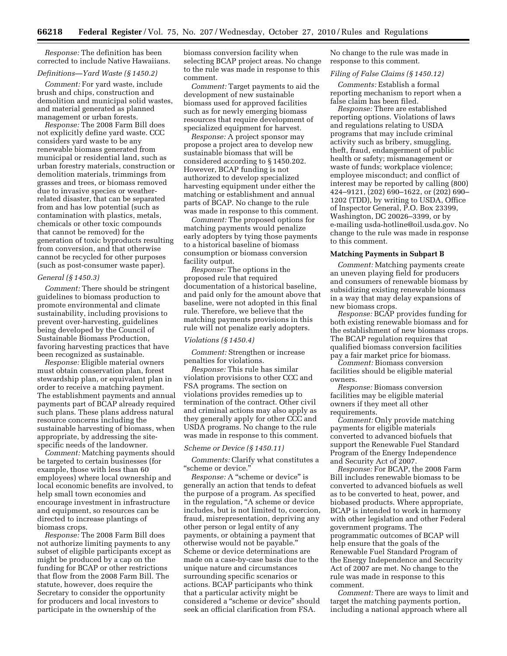*Response:* The definition has been corrected to include Native Hawaiians.

# *Definitions—Yard Waste (§ 1450.2)*

*Comment:* For yard waste, include brush and chips, construction and demolition and municipal solid wastes, and material generated as planned management or urban forests.

*Response:* The 2008 Farm Bill does not explicitly define yard waste. CCC considers yard waste to be any renewable biomass generated from municipal or residential land, such as urban forestry materials, construction or demolition materials, trimmings from grasses and trees, or biomass removed due to invasive species or weatherrelated disaster, that can be separated from and has low potential (such as contamination with plastics, metals, chemicals or other toxic compounds that cannot be removed) for the generation of toxic byproducts resulting from conversion, and that otherwise cannot be recycled for other purposes (such as post-consumer waste paper).

#### *General (§ 1450.3)*

*Comment:* There should be stringent guidelines to biomass production to promote environmental and climate sustainability, including provisions to prevent over-harvesting, guidelines being developed by the Council of Sustainable Biomass Production, favoring harvesting practices that have been recognized as sustainable.

*Response:* Eligible material owners must obtain conservation plan, forest stewardship plan, or equivalent plan in order to receive a matching payment. The establishment payments and annual payments part of BCAP already required such plans. These plans address natural resource concerns including the sustainable harvesting of biomass, when appropriate, by addressing the sitespecific needs of the landowner.

*Comment:* Matching payments should be targeted to certain businesses (for example, those with less than 60 employees) where local ownership and local economic benefits are involved, to help small town economies and encourage investment in infrastructure and equipment, so resources can be directed to increase plantings of biomass crops.

*Response:* The 2008 Farm Bill does not authorize limiting payments to any subset of eligible participants except as might be produced by a cap on the funding for BCAP or other restrictions that flow from the 2008 Farm Bill. The statute, however, does require the Secretary to consider the opportunity for producers and local investors to participate in the ownership of the

biomass conversion facility when selecting BCAP project areas. No change to the rule was made in response to this comment.

*Comment:* Target payments to aid the development of new sustainable biomass used for approved facilities such as for newly emerging biomass resources that require development of specialized equipment for harvest.

*Response:* A project sponsor may propose a project area to develop new sustainable biomass that will be considered according to § 1450.202. However, BCAP funding is not authorized to develop specialized harvesting equipment under either the matching or establishment and annual parts of BCAP. No change to the rule was made in response to this comment.

*Comment:* The proposed options for matching payments would penalize early adopters by tying those payments to a historical baseline of biomass consumption or biomass conversion facility output.

*Response:* The options in the proposed rule that required documentation of a historical baseline, and paid only for the amount above that baseline, were not adopted in this final rule. Therefore, we believe that the matching payments provisions in this rule will not penalize early adopters.

#### *Violations (§ 1450.4)*

*Comment:* Strengthen or increase penalties for violations.

*Response:* This rule has similar violation provisions to other CCC and FSA programs. The section on violations provides remedies up to termination of the contract. Other civil and criminal actions may also apply as they generally apply for other CCC and USDA programs. No change to the rule was made in response to this comment.

# *Scheme or Device (§ 1450.11)*

*Comments:* Clarify what constitutes a ''scheme or device.''

*Response:* A ''scheme or device'' is generally an action that tends to defeat the purpose of a program. As specified in the regulation, ''A scheme or device includes, but is not limited to, coercion, fraud, misrepresentation, depriving any other person or legal entity of any payments, or obtaining a payment that otherwise would not be payable.'' Scheme or device determinations are made on a case-by-case basis due to the unique nature and circumstances surrounding specific scenarios or actions. BCAP participants who think that a particular activity might be considered a ''scheme or device'' should seek an official clarification from FSA.

No change to the rule was made in response to this comment.

#### *Filing of False Claims (§ 1450.12)*

*Comments:* Establish a formal reporting mechanism to report when a false claim has been filed.

*Response:* There are established reporting options. Violations of laws and regulations relating to USDA programs that may include criminal activity such as bribery, smuggling, theft, fraud, endangerment of public health or safety; mismanagement or waste of funds; workplace violence; employee misconduct; and conflict of interest may be reported by calling (800) 424–9121, (202) 690–1622, or (202) 690– 1202 (TDD), by writing to USDA, Office of Inspector General, P.O. Box 23399, Washington, DC 20026–3399, or by [e-mailing usda-hotline@oil.usda.gov. N](mailto:usda-hotline@oil.usda.gov)o change to the rule was made in response to this comment.

#### **Matching Payments in Subpart B**

*Comment:* Matching payments create an uneven playing field for producers and consumers of renewable biomass by subsidizing existing renewable biomass in a way that may delay expansions of new biomass crops.

*Response:* BCAP provides funding for both existing renewable biomass and for the establishment of new biomass crops. The BCAP regulation requires that qualified biomass conversion facilities pay a fair market price for biomass. *Comment:* Biomass conversion

facilities should be eligible material owners.

*Response:* Biomass conversion facilities may be eligible material owners if they meet all other requirements.

*Comment:* Only provide matching payments for eligible materials converted to advanced biofuels that support the Renewable Fuel Standard Program of the Energy Independence and Security Act of 2007.

*Response:* For BCAP, the 2008 Farm Bill includes renewable biomass to be converted to advanced biofuels as well as to be converted to heat, power, and biobased products. Where appropriate, BCAP is intended to work in harmony with other legislation and other Federal government programs. The programmatic outcomes of BCAP will help ensure that the goals of the Renewable Fuel Standard Program of the Energy Independence and Security Act of 2007 are met. No change to the rule was made in response to this comment.

*Comment:* There are ways to limit and target the matching payments portion, including a national approach where all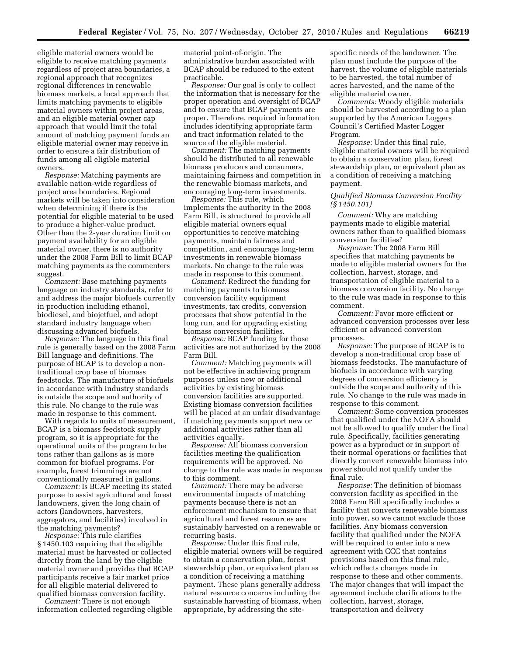eligible material owners would be eligible to receive matching payments regardless of project area boundaries, a regional approach that recognizes regional differences in renewable biomass markets, a local approach that limits matching payments to eligible material owners within project areas, and an eligible material owner cap approach that would limit the total amount of matching payment funds an eligible material owner may receive in order to ensure a fair distribution of funds among all eligible material owners.

*Response:* Matching payments are available nation-wide regardless of project area boundaries. Regional markets will be taken into consideration when determining if there is the potential for eligible material to be used to produce a higher-value product. Other than the 2-year duration limit on payment availability for an eligible material owner, there is no authority under the 2008 Farm Bill to limit BCAP matching payments as the commenters suggest.

*Comment:* Base matching payments language on industry standards, refer to and address the major biofuels currently in production including ethanol, biodiesel, and biojetfuel, and adopt standard industry language when discussing advanced biofuels.

*Response:* The language in this final rule is generally based on the 2008 Farm Bill language and definitions. The purpose of BCAP is to develop a nontraditional crop base of biomass feedstocks. The manufacture of biofuels in accordance with industry standards is outside the scope and authority of this rule. No change to the rule was made in response to this comment.

With regards to units of measurement, BCAP is a biomass feedstock supply program, so it is appropriate for the operational units of the program to be tons rather than gallons as is more common for biofuel programs. For example, forest trimmings are not conventionally measured in gallons.

*Comment:* Is BCAP meeting its stated purpose to assist agricultural and forest landowners, given the long chain of actors (landowners, harvesters, aggregators, and facilities) involved in the matching payments?

*Response:* This rule clarifies § 1450.103 requiring that the eligible material must be harvested or collected directly from the land by the eligible material owner and provides that BCAP participants receive a fair market price for all eligible material delivered to qualified biomass conversion facility.

*Comment:* There is not enough information collected regarding eligible

material point-of-origin. The administrative burden associated with BCAP should be reduced to the extent practicable.

*Response:* Our goal is only to collect the information that is necessary for the proper operation and oversight of BCAP and to ensure that BCAP payments are proper. Therefore, required information includes identifying appropriate farm and tract information related to the source of the eligible material.

*Comment:* The matching payments should be distributed to all renewable biomass producers and consumers, maintaining fairness and competition in the renewable biomass markets, and encouraging long-term investments.

*Response:* This rule, which implements the authority in the 2008 Farm Bill, is structured to provide all eligible material owners equal opportunities to receive matching payments, maintain fairness and competition, and encourage long-term investments in renewable biomass markets. No change to the rule was made in response to this comment.

*Comment:* Redirect the funding for matching payments to biomass conversion facility equipment investments, tax credits, conversion processes that show potential in the long run, and for upgrading existing biomass conversion facilities.

*Response:* BCAP funding for those activities are not authorized by the 2008 Farm Bill.

*Comment:* Matching payments will not be effective in achieving program purposes unless new or additional activities by existing biomass conversion facilities are supported. Existing biomass conversion facilities will be placed at an unfair disadvantage if matching payments support new or additional activities rather than all activities equally.

*Response:* All biomass conversion facilities meeting the qualification requirements will be approved. No change to the rule was made in response to this comment.

*Comment:* There may be adverse environmental impacts of matching payments because there is not an enforcement mechanism to ensure that agricultural and forest resources are sustainably harvested on a renewable or recurring basis.

*Response:* Under this final rule, eligible material owners will be required to obtain a conservation plan, forest stewardship plan, or equivalent plan as a condition of receiving a matching payment. These plans generally address natural resource concerns including the sustainable harvesting of biomass, when appropriate, by addressing the sitespecific needs of the landowner. The plan must include the purpose of the harvest, the volume of eligible materials to be harvested, the total number of acres harvested, and the name of the eligible material owner.

*Comments:* Woody eligible materials should be harvested according to a plan supported by the American Loggers Council's Certified Master Logger Program.

*Response:* Under this final rule, eligible material owners will be required to obtain a conservation plan, forest stewardship plan, or equivalent plan as a condition of receiving a matching payment.

# *Qualified Biomass Conversion Facility (§ 1450.101)*

*Comment:* Why are matching payments made to eligible material owners rather than to qualified biomass conversion facilities?

*Response:* The 2008 Farm Bill specifies that matching payments be made to eligible material owners for the collection, harvest, storage, and transportation of eligible material to a biomass conversion facility. No change to the rule was made in response to this comment.

*Comment:* Favor more efficient or advanced conversion processes over less efficient or advanced conversion processes.

*Response:* The purpose of BCAP is to develop a non-traditional crop base of biomass feedstocks. The manufacture of biofuels in accordance with varying degrees of conversion efficiency is outside the scope and authority of this rule. No change to the rule was made in response to this comment.

*Comment:* Some conversion processes that qualified under the NOFA should not be allowed to qualify under the final rule. Specifically, facilities generating power as a byproduct or in support of their normal operations or facilities that directly convert renewable biomass into power should not qualify under the final rule.

*Response:* The definition of biomass conversion facility as specified in the 2008 Farm Bill specifically includes a facility that converts renewable biomass into power, so we cannot exclude those facilities. Any biomass conversion facility that qualified under the NOFA will be required to enter into a new agreement with CCC that contains provisions based on this final rule, which reflects changes made in response to these and other comments. The major changes that will impact the agreement include clarifications to the collection, harvest, storage, transportation and delivery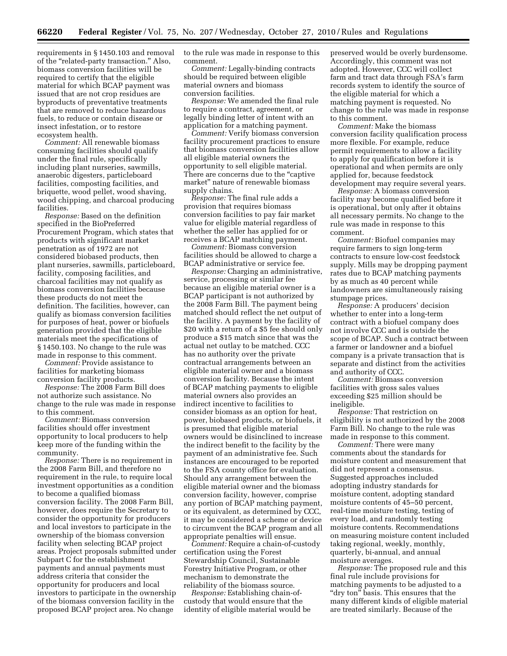requirements in § 1450.103 and removal of the ''related-party transaction.'' Also, biomass conversion facilities will be required to certify that the eligible material for which BCAP payment was issued that are not crop residues are byproducts of preventative treatments that are removed to reduce hazardous fuels, to reduce or contain disease or insect infestation, or to restore ecosystem health.

*Comment:* All renewable biomass consuming facilities should qualify under the final rule, specifically including plant nurseries, sawmills, anaerobic digesters, particleboard facilities, composting facilities, and briquette, wood pellet, wood shaving, wood chipping, and charcoal producing facilities.

*Response:* Based on the definition specified in the BioPreferred Procurement Program, which states that products with significant market penetration as of 1972 are not considered biobased products, then plant nurseries, sawmills, particleboard, facility, composing facilities, and charcoal facilities may not qualify as biomass conversion facilities because these products do not meet the definition. The facilities, however, can qualify as biomass conversion facilities for purposes of heat, power or biofuels generation provided that the eligible materials meet the specifications of § 1450.103. No change to the rule was made in response to this comment.

*Comment:* Provide assistance to facilities for marketing biomass conversion facility products.

*Response:* The 2008 Farm Bill does not authorize such assistance. No change to the rule was made in response to this comment.

*Comment:* Biomass conversion facilities should offer investment opportunity to local producers to help keep more of the funding within the community.

*Response:* There is no requirement in the 2008 Farm Bill, and therefore no requirement in the rule, to require local investment opportunities as a condition to become a qualified biomass conversion facility. The 2008 Farm Bill, however, does require the Secretary to consider the opportunity for producers and local investors to participate in the ownership of the biomass conversion facility when selecting BCAP project areas. Project proposals submitted under Subpart C for the establishment payments and annual payments must address criteria that consider the opportunity for producers and local investors to participate in the ownership of the biomass conversion facility in the proposed BCAP project area. No change

to the rule was made in response to this comment.

*Comment:* Legally-binding contracts should be required between eligible material owners and biomass conversion facilities.

*Response:* We amended the final rule to require a contract, agreement, or legally binding letter of intent with an application for a matching payment.

*Comment:* Verify biomass conversion facility procurement practices to ensure that biomass conversion facilities allow all eligible material owners the opportunity to sell eligible material. There are concerns due to the "captive" market'' nature of renewable biomass supply chains.

*Response:* The final rule adds a provision that requires biomass conversion facilities to pay fair market value for eligible material regardless of whether the seller has applied for or receives a BCAP matching payment.

*Comment:* Biomass conversion facilities should be allowed to charge a BCAP administrative or service fee.

*Response:* Charging an administrative, service, processing or similar fee because an eligible material owner is a BCAP participant is not authorized by the 2008 Farm Bill. The payment being matched should reflect the net output of the facility. A payment by the facility of \$20 with a return of a \$5 fee should only produce a \$15 match since that was the actual net outlay to be matched. CCC has no authority over the private contractual arrangements between an eligible material owner and a biomass conversion facility. Because the intent of BCAP matching payments to eligible material owners also provides an indirect incentive to facilities to consider biomass as an option for heat, power, biobased products, or biofuels, it is presumed that eligible material owners would be disinclined to increase the indirect benefit to the facility by the payment of an administrative fee. Such instances are encouraged to be reported to the FSA county office for evaluation. Should any arrangement between the eligible material owner and the biomass conversion facility, however, comprise any portion of BCAP matching payment, or its equivalent, as determined by CCC, it may be considered a scheme or device to circumvent the BCAP program and all appropriate penalties will ensue.

*Comment:* Require a chain-of-custody certification using the Forest Stewardship Council, Sustainable Forestry Initiative Program, or other mechanism to demonstrate the reliability of the biomass source.

*Response:* Establishing chain-ofcustody that would ensure that the identity of eligible material would be preserved would be overly burdensome. Accordingly, this comment was not adopted. However, CCC will collect farm and tract data through FSA's farm records system to identify the source of the eligible material for which a matching payment is requested. No change to the rule was made in response to this comment.

*Comment:* Make the biomass conversion facility qualification process more flexible. For example, reduce permit requirements to allow a facility to apply for qualification before it is operational and when permits are only applied for, because feedstock development may require several years.

*Response:* A biomass conversion facility may become qualified before it is operational, but only after it obtains all necessary permits. No change to the rule was made in response to this comment.

*Comment:* Biofuel companies may require farmers to sign long-term contracts to ensure low-cost feedstock supply. Mills may be dropping payment rates due to BCAP matching payments by as much as 40 percent while landowners are simultaneously raising stumpage prices.

*Response:* A producers' decision whether to enter into a long-term contract with a biofuel company does not involve CCC and is outside the scope of BCAP. Such a contract between a farmer or landowner and a biofuel company is a private transaction that is separate and distinct from the activities and authority of CCC.

*Comment:* Biomass conversion facilities with gross sales values exceeding \$25 million should be ineligible.

*Response:* That restriction on eligibility is not authorized by the 2008 Farm Bill. No change to the rule was made in response to this comment.

*Comment:* There were many comments about the standards for moisture content and measurement that did not represent a consensus. Suggested approaches included adopting industry standards for moisture content, adopting standard moisture contents of 45–50 percent, real-time moisture testing, testing of every load, and randomly testing moisture contents. Recommendations on measuring moisture content included taking regional, weekly, monthly, quarterly, bi-annual, and annual moisture averages.

*Response:* The proposed rule and this final rule include provisions for matching payments to be adjusted to a "dry ton" basis. This ensures that the many different kinds of eligible material are treated similarly. Because of the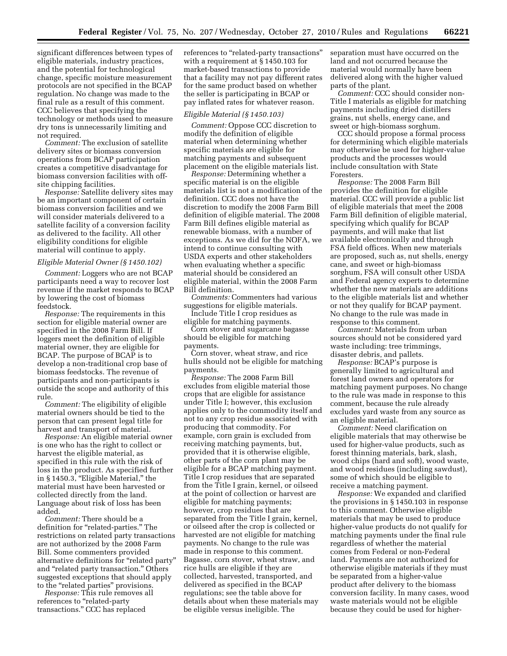significant differences between types of eligible materials, industry practices, and the potential for technological change, specific moisture measurement protocols are not specified in the BCAP regulation. No change was made to the final rule as a result of this comment. CCC believes that specifying the technology or methods used to measure dry tons is unnecessarily limiting and not required.

*Comment:* The exclusion of satellite delivery sites or biomass conversion operations from BCAP participation creates a competitive disadvantage for biomass conversion facilities with offsite chipping facilities.

*Response:* Satellite delivery sites may be an important component of certain biomass conversion facilities and we will consider materials delivered to a satellite facility of a conversion facility as delivered to the facility. All other eligibility conditions for eligible material will continue to apply.

# *Eligible Material Owner (§ 1450.102)*

*Comment:* Loggers who are not BCAP participants need a way to recover lost revenue if the market responds to BCAP by lowering the cost of biomass feedstock.

*Response:* The requirements in this section for eligible material owner are specified in the 2008 Farm Bill. If loggers meet the definition of eligible material owner, they are eligible for BCAP. The purpose of BCAP is to develop a non-traditional crop base of biomass feedstocks. The revenue of participants and non-participants is outside the scope and authority of this rule.

*Comment:* The eligibility of eligible material owners should be tied to the person that can present legal title for harvest and transport of material.

*Response:* An eligible material owner is one who has the right to collect or harvest the eligible material, as specified in this rule with the risk of loss in the product. As specified further in § 1450.3, "Eligible Material," the material must have been harvested or collected directly from the land. Language about risk of loss has been added.

*Comment:* There should be a definition for "related-parties." The restrictions on related party transactions are not authorized by the 2008 Farm Bill. Some commenters provided alternative definitions for "related party" and ''related party transaction.'' Others suggested exceptions that should apply to the ''related parties'' provisions.

*Response:* This rule removes all references to ''related-party transactions.'' CCC has replaced

references to "related-party transactions" with a requirement at § 1450.103 for market-based transactions to provide that a facility may not pay different rates for the same product based on whether the seller is participating in BCAP or pay inflated rates for whatever reason.

#### *Eligible Material (§ 1450.103)*

*Comment:* Oppose CCC discretion to modify the definition of eligible material when determining whether specific materials are eligible for matching payments and subsequent placement on the eligible materials list.

*Response:* Determining whether a specific material is on the eligible materials list is not a modification of the definition. CCC does not have the discretion to modify the 2008 Farm Bill definition of eligible material. The 2008 Farm Bill defines eligible material as renewable biomass, with a number of exceptions. As we did for the NOFA, we intend to continue consulting with USDA experts and other stakeholders when evaluating whether a specific material should be considered an eligible material, within the 2008 Farm Bill definition.

*Comments:* Commenters had various suggestions for eligible materials.

Include Title I crop residues as eligible for matching payments.

Corn stover and sugarcane bagasse should be eligible for matching payments.

Corn stover, wheat straw, and rice hulls should not be eligible for matching payments.

*Response:* The 2008 Farm Bill excludes from eligible material those crops that are eligible for assistance under Title I; however, this exclusion applies only to the commodity itself and not to any crop residue associated with producing that commodity. For example, corn grain is excluded from receiving matching payments, but, provided that it is otherwise eligible, other parts of the corn plant may be eligible for a BCAP matching payment. Title I crop residues that are separated from the Title I grain, kernel, or oilseed at the point of collection or harvest are eligible for matching payments; however, crop residues that are separated from the Title I grain, kernel, or oilseed after the crop is collected or harvested are not eligible for matching payments. No change to the rule was made in response to this comment. Bagasse, corn stover, wheat straw, and rice hulls are eligible if they are collected, harvested, transported, and delivered as specified in the BCAP regulations; see the table above for details about when these materials may be eligible versus ineligible. The

separation must have occurred on the land and not occurred because the material would normally have been delivered along with the higher valued parts of the plant.

*Comment:* CCC should consider non-Title I materials as eligible for matching payments including dried distillers grains, nut shells, energy cane, and sweet or high-biomass sorghum.

CCC should propose a formal process for determining which eligible materials may otherwise be used for higher-value products and the processes would include consultation with State Foresters.

*Response:* The 2008 Farm Bill provides the definition for eligible material. CCC will provide a public list of eligible materials that meet the 2008 Farm Bill definition of eligible material, specifying which qualify for BCAP payments, and will make that list available electronically and through FSA field offices. When new materials are proposed, such as, nut shells, energy cane, and sweet or high-biomass sorghum, FSA will consult other USDA and Federal agency experts to determine whether the new materials are additions to the eligible materials list and whether or not they qualify for BCAP payment. No change to the rule was made in response to this comment.

*Comment:* Materials from urban sources should not be considered yard waste including: tree trimmings, disaster debris, and pallets.

*Response:* BCAP's purpose is generally limited to agricultural and forest land owners and operators for matching payment purposes. No change to the rule was made in response to this comment, because the rule already excludes yard waste from any source as an eligible material.

*Comment:* Need clarification on eligible materials that may otherwise be used for higher-value products, such as forest thinning materials, bark, slash, wood chips (hard and soft), wood waste, and wood residues (including sawdust), some of which should be eligible to receive a matching payment.

*Response:* We expanded and clarified the provisions in § 1450.103 in response to this comment. Otherwise eligible materials that may be used to produce higher-value products do not qualify for matching payments under the final rule regardless of whether the material comes from Federal or non-Federal land. Payments are not authorized for otherwise eligible materials if they must be separated from a higher-value product after delivery to the biomass conversion facility. In many cases, wood waste materials would not be eligible because they could be used for higher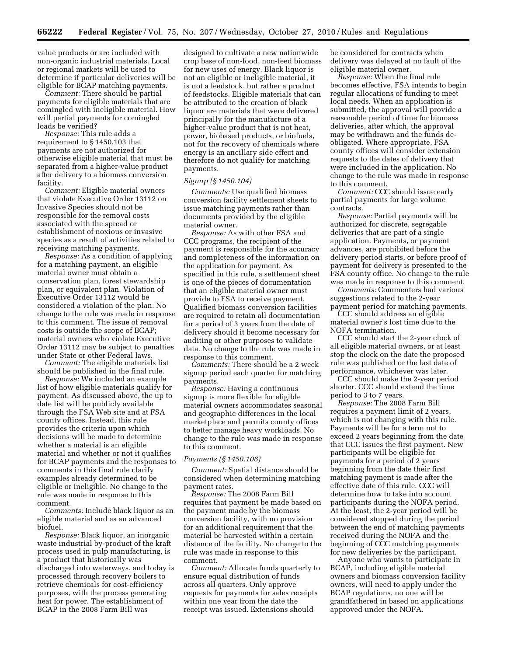value products or are included with non-organic industrial materials. Local or regional markets will be used to determine if particular deliveries will be eligible for BCAP matching payments.

*Comment:* There should be partial payments for eligible materials that are comingled with ineligible material. How will partial payments for comingled loads be verified?

*Response:* This rule adds a requirement to § 1450.103 that payments are not authorized for otherwise eligible material that must be separated from a higher-value product after delivery to a biomass conversion facility.

*Comment:* Eligible material owners that violate Executive Order 13112 on Invasive Species should not be responsible for the removal costs associated with the spread or establishment of noxious or invasive species as a result of activities related to receiving matching payments.

*Response:* As a condition of applying for a matching payment, an eligible material owner must obtain a conservation plan, forest stewardship plan, or equivalent plan. Violation of Executive Order 13112 would be considered a violation of the plan. No change to the rule was made in response to this comment. The issue of removal costs is outside the scope of BCAP; material owners who violate Executive Order 13112 may be subject to penalties under State or other Federal laws.

*Comment:* The eligible materials list should be published in the final rule.

*Response:* We included an example list of how eligible materials qualify for payment. As discussed above, the up to date list will be publicly available through the FSA Web site and at FSA county offices. Instead, this rule provides the criteria upon which decisions will be made to determine whether a material is an eligible material and whether or not it qualifies for BCAP payments and the responses to comments in this final rule clarify examples already determined to be eligible or ineligible. No change to the rule was made in response to this comment.

*Comments:* Include black liquor as an eligible material and as an advanced biofuel.

*Response:* Black liquor, an inorganic waste industrial by-product of the kraft process used in pulp manufacturing, is a product that historically was discharged into waterways, and today is processed through recovery boilers to retrieve chemicals for cost-efficiency purposes, with the process generating heat for power. The establishment of BCAP in the 2008 Farm Bill was

designed to cultivate a new nationwide crop base of non-food, non-feed biomass for new uses of energy. Black liquor is not an eligible or ineligible material, it is not a feedstock, but rather a product of feedstocks. Eligible materials that can be attributed to the creation of black liquor are materials that were delivered principally for the manufacture of a higher-value product that is not heat, power, biobased products, or biofuels, not for the recovery of chemicals where energy is an ancillary side effect and therefore do not qualify for matching payments.

# *Signup (§ 1450.104)*

*Comments:* Use qualified biomass conversion facility settlement sheets to issue matching payments rather than documents provided by the eligible material owner.

*Response:* As with other FSA and CCC programs, the recipient of the payment is responsible for the accuracy and completeness of the information on the application for payment. As specified in this rule, a settlement sheet is one of the pieces of documentation that an eligible material owner must provide to FSA to receive payment. Qualified biomass conversion facilities are required to retain all documentation for a period of 3 years from the date of delivery should it become necessary for auditing or other purposes to validate data. No change to the rule was made in response to this comment.

*Comments:* There should be a 2 week signup period each quarter for matching payments.

*Response:* Having a continuous signup is more flexible for eligible material owners accommodates seasonal and geographic differences in the local marketplace and permits county offices to better manage heavy workloads. No change to the rule was made in response to this comment.

# *Payments (§ 1450.106)*

*Comment:* Spatial distance should be considered when determining matching payment rates.

*Response:* The 2008 Farm Bill requires that payment be made based on the payment made by the biomass conversion facility, with no provision for an additional requirement that the material be harvested within a certain distance of the facility. No change to the rule was made in response to this comment.

*Comment:* Allocate funds quarterly to ensure equal distribution of funds across all quarters. Only approve requests for payments for sales receipts within one year from the date the receipt was issued. Extensions should

be considered for contracts when delivery was delayed at no fault of the eligible material owner.

*Response:* When the final rule becomes effective, FSA intends to begin regular allocations of funding to meet local needs. When an application is submitted, the approval will provide a reasonable period of time for biomass deliveries, after which, the approval may be withdrawn and the funds deobligated. Where appropriate, FSA county offices will consider extension requests to the dates of delivery that were included in the application. No change to the rule was made in response to this comment.

*Comment:* CCC should issue early partial payments for large volume contracts.

*Response:* Partial payments will be authorized for discrete, segregable deliveries that are part of a single application. Payments, or payment advances, are prohibited before the delivery period starts, or before proof of payment for delivery is presented to the FSA county office. No change to the rule was made in response to this comment.

*Comments:* Commenters had various suggestions related to the 2-year payment period for matching payments.

CCC should address an eligible material owner's lost time due to the NOFA termination.

CCC should start the 2-year clock of all eligible material owners, or at least stop the clock on the date the proposed rule was published or the last date of performance, whichever was later.

CCC should make the 2-year period shorter. CCC should extend the time period to 3 to 7 years.

*Response:* The 2008 Farm Bill requires a payment limit of 2 years, which is not changing with this rule. Payments will be for a term not to exceed 2 years beginning from the date that CCC issues the first payment. New participants will be eligible for payments for a period of 2 years beginning from the date their first matching payment is made after the effective date of this rule. CCC will determine how to take into account participants during the NOFA period. At the least, the 2-year period will be considered stopped during the period between the end of matching payments received during the NOFA and the beginning of CCC matching payments for new deliveries by the participant.

Anyone who wants to participate in BCAP, including eligible material owners and biomass conversion facility owners, will need to apply under the BCAP regulations, no one will be grandfathered in based on applications approved under the NOFA.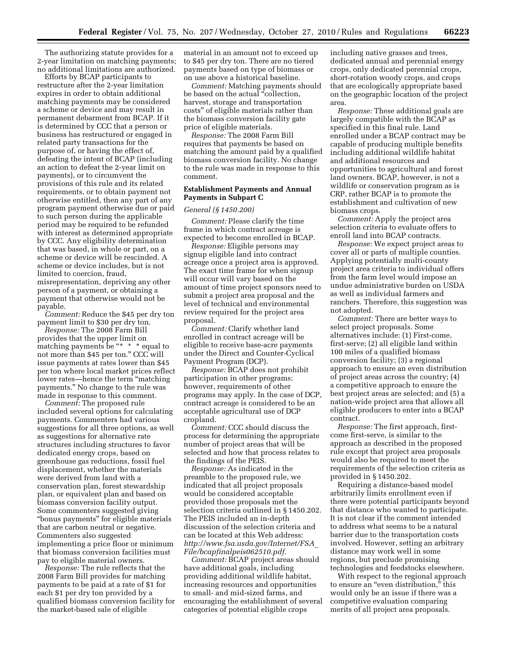The authorizing statute provides for a 2-year limitation on matching payments; no additional limitations are authorized.

Efforts by BCAP participants to restructure after the 2-year limitation expires in order to obtain additional matching payments may be considered a scheme or device and may result in permanent debarment from BCAP. If it is determined by CCC that a person or business has restructured or engaged in related party transactions for the purpose of, or having the effect of, defeating the intent of BCAP (including an action to defeat the 2-year limit on payments), or to circumvent the provisions of this rule and its related requirements, or to obtain payment not otherwise entitled, then any part of any program payment otherwise due or paid to such person during the applicable period may be required to be refunded with interest as determined appropriate by CCC. Any eligibility determination that was based, in whole or part, on a scheme or device will be rescinded. A scheme or device includes, but is not limited to coercion, fraud, misrepresentation, depriving any other person of a payment, or obtaining a payment that otherwise would not be payable.

*Comment:* Reduce the \$45 per dry ton payment limit to \$30 per dry ton.

*Response:* The 2008 Farm Bill provides that the upper limit on matching payments be " $* * *$  equal to not more than \$45 per ton.'' CCC will issue payments at rates lower than \$45 per ton where local market prices reflect lower rates—hence the term ''matching payments.'' No change to the rule was made in response to this comment.

*Comment:* The proposed rule included several options for calculating payments. Commenters had various suggestions for all three options, as well as suggestions for alternative rate structures including structures to favor dedicated energy crops, based on greenhouse gas reductions, fossil fuel displacement, whether the materials were derived from land with a conservation plan, forest stewardship plan, or equivalent plan and based on biomass conversion facility output. Some commenters suggested giving ''bonus payments'' for eligible materials that are carbon neutral or negative. Commenters also suggested implementing a price floor or minimum that biomass conversion facilities must pay to eligible material owners.

*Response:* The rule reflects that the 2008 Farm Bill provides for matching payments to be paid at a rate of \$1 for each \$1 per dry ton provided by a qualified biomass conversion facility for the market-based sale of eligible

material in an amount not to exceed up to \$45 per dry ton. There are no tiered payments based on type of biomass or on use above a historical baseline.

*Comment:* Matching payments should be based on the actual "collection, harvest, storage and transportation costs'' of eligible materials rather than the biomass conversion facility gate price of eligible materials.

*Response:* The 2008 Farm Bill requires that payments be based on matching the amount paid by a qualified biomass conversion facility. No change to the rule was made in response to this comment.

# **Establishment Payments and Annual Payments in Subpart C**

#### *General (§ 1450.200)*

*Comment:* Please clarify the time frame in which contract acreage is expected to become enrolled in BCAP.

*Response:* Eligible persons may signup eligible land into contract acreage once a project area is approved. The exact time frame for when signup will occur will vary based on the amount of time project sponsors need to submit a project area proposal and the level of technical and environmental review required for the project area proposal.

*Comment:* Clarify whether land enrolled in contract acreage will be eligible to receive base-acre payments under the Direct and Counter-Cyclical Payment Program (DCP).

*Response:* BCAP does not prohibit participation in other programs; however, requirements of other programs may apply. In the case of DCP, contract acreage is considered to be an acceptable agricultural use of DCP cropland.

*Comment:* CCC should discuss the process for determining the appropriate number of project areas that will be selected and how that process relates to the findings of the PEIS.

*Response:* As indicated in the preamble to the proposed rule, we indicated that all project proposals would be considered acceptable provided those proposals met the selection criteria outlined in § 1450.202. The PEIS included an in-depth discussion of the selection criteria and can be located at this Web address: *[http://www.fsa.usda.gov/Internet/FSA](http://www.fsa.usda.gov/Internet/FSA_File/bcapfinalpeis062510.pdf)*\_ *[File/bcapfinalpeis062510.pdf.](http://www.fsa.usda.gov/Internet/FSA_File/bcapfinalpeis062510.pdf)* 

*Comment:* BCAP project areas should have additional goals, including providing additional wildlife habitat, increasing resources and opportunities to small- and mid-sized farms, and encouraging the establishment of several categories of potential eligible crops

including native grasses and trees, dedicated annual and perennial energy crops, only dedicated perennial crops, short-rotation woody crops, and crops that are ecologically appropriate based on the geographic location of the project area.

*Response:* These additional goals are largely compatible with the BCAP as specified in this final rule. Land enrolled under a BCAP contract may be capable of producing multiple benefits including additional wildlife habitat and additional resources and opportunities to agricultural and forest land owners. BCAP, however, is not a wildlife or conservation program as is CRP, rather BCAP is to promote the establishment and cultivation of new biomass crops.

*Comment:* Apply the project area selection criteria to evaluate offers to enroll land into BCAP contracts.

*Response:* We expect project areas to cover all or parts of multiple counties. Applying potentially multi-county project area criteria to individual offers from the farm level would impose an undue administrative burden on USDA as well as individual farmers and ranchers. Therefore, this suggestion was not adopted.

*Comment:* There are better ways to select project proposals. Some alternatives include: (1) First-come, first-serve; (2) all eligible land within 100 miles of a qualified biomass conversion facility; (3) a regional approach to ensure an even distribution of project areas across the country; (4) a competitive approach to ensure the best project areas are selected; and (5) a nation-wide project area that allows all eligible producers to enter into a BCAP contract.

*Response:* The first approach, firstcome first-serve, is similar to the approach as described in the proposed rule except that project area proposals would also be required to meet the requirements of the selection criteria as provided in § 1450.202.

Requiring a distance-based model arbitrarily limits enrollment even if there were potential participants beyond that distance who wanted to participate. It is not clear if the comment intended to address what seems to be a natural barrier due to the transportation costs involved. However, setting an arbitrary distance may work well in some regions, but preclude promising technologies and feedstocks elsewhere.

With respect to the regional approach to ensure an "even distribution," this would only be an issue if there was a competitive evaluation comparing merits of all project area proposals.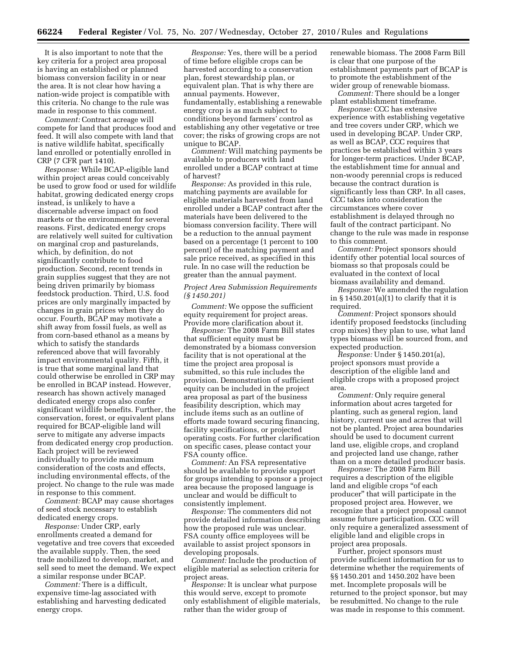It is also important to note that the key criteria for a project area proposal is having an established or planned biomass conversion facility in or near the area. It is not clear how having a nation-wide project is compatible with this criteria. No change to the rule was made in response to this comment.

*Comment:* Contract acreage will compete for land that produces food and feed. It will also compete with land that is native wildlife habitat, specifically land enrolled or potentially enrolled in CRP (7 CFR part 1410).

*Response:* While BCAP-eligible land within project areas could conceivably be used to grow food or used for wildlife habitat, growing dedicated energy crops instead, is unlikely to have a discernable adverse impact on food markets or the environment for several reasons. First, dedicated energy crops are relatively well suited for cultivation on marginal crop and pasturelands, which, by definition, do not significantly contribute to food production. Second, recent trends in grain supplies suggest that they are not being driven primarily by biomass feedstock production. Third, U.S. food prices are only marginally impacted by changes in grain prices when they do occur. Fourth, BCAP may motivate a shift away from fossil fuels, as well as from corn-based ethanol as a means by which to satisfy the standards referenced above that will favorably impact environmental quality. Fifth, it is true that some marginal land that could otherwise be enrolled in CRP may be enrolled in BCAP instead. However, research has shown actively managed dedicated energy crops also confer significant wildlife benefits. Further, the conservation, forest, or equivalent plans required for BCAP-eligible land will serve to mitigate any adverse impacts from dedicated energy crop production. Each project will be reviewed individually to provide maximum consideration of the costs and effects, including environmental effects, of the project. No change to the rule was made in response to this comment.

*Comment:* BCAP may cause shortages of seed stock necessary to establish dedicated energy crops.

*Response:* Under CRP, early enrollments created a demand for vegetative and tree covers that exceeded the available supply. Then, the seed trade mobilized to develop, market, and sell seed to meet the demand. We expect a similar response under BCAP.

*Comment:* There is a difficult, expensive time-lag associated with establishing and harvesting dedicated energy crops.

*Response:* Yes, there will be a period of time before eligible crops can be harvested according to a conservation plan, forest stewardship plan, or equivalent plan. That is why there are annual payments. However, fundamentally, establishing a renewable energy crop is as much subject to conditions beyond farmers' control as establishing any other vegetative or tree cover; the risks of growing crops are not unique to BCAP.

*Comment:* Will matching payments be available to producers with land enrolled under a BCAP contract at time of harvest?

*Response:* As provided in this rule, matching payments are available for eligible materials harvested from land enrolled under a BCAP contract after the materials have been delivered to the biomass conversion facility. There will be a reduction to the annual payment based on a percentage (1 percent to 100 percent) of the matching payment and sale price received, as specified in this rule. In no case will the reduction be greater than the annual payment.

# *Project Area Submission Requirements (§ 1450.201)*

*Comment:* We oppose the sufficient equity requirement for project areas. Provide more clarification about it.

*Response:* The 2008 Farm Bill states that sufficient equity must be demonstrated by a biomass conversion facility that is not operational at the time the project area proposal is submitted, so this rule includes the provision. Demonstration of sufficient equity can be included in the project area proposal as part of the business feasibility description, which may include items such as an outline of efforts made toward securing financing, facility specifications, or projected operating costs. For further clarification on specific cases, please contact your FSA county office.

*Comment:* An FSA representative should be available to provide support for groups intending to sponsor a project area because the proposed language is unclear and would be difficult to consistently implement.

*Response:* The commenters did not provide detailed information describing how the proposed rule was unclear. FSA county office employees will be available to assist project sponsors in developing proposals.

*Comment:* Include the production of eligible material as selection criteria for project areas.

*Response:* It is unclear what purpose this would serve, except to promote only establishment of eligible materials, rather than the wider group of

renewable biomass. The 2008 Farm Bill is clear that one purpose of the establishment payments part of BCAP is to promote the establishment of the wider group of renewable biomass.

*Comment:* There should be a longer plant establishment timeframe.

*Response:* CCC has extensive experience with establishing vegetative and tree covers under CRP, which we used in developing BCAP. Under CRP, as well as BCAP, CCC requires that practices be established within 3 years for longer-term practices. Under BCAP, the establishment time for annual and non-woody perennial crops is reduced because the contract duration is significantly less than CRP. In all cases, CCC takes into consideration the circumstances where cover establishment is delayed through no fault of the contract participant. No change to the rule was made in response to this comment.

*Comment:* Project sponsors should identify other potential local sources of biomass so that proposals could be evaluated in the context of local biomass availability and demand.

*Response:* We amended the regulation in § 1450.201(a)(1) to clarify that it is required.

*Comment:* Project sponsors should identify proposed feedstocks (including crop mixes) they plan to use, what land types biomass will be sourced from, and expected production.

*Response:* Under § 1450.201(a), project sponsors must provide a description of the eligible land and eligible crops with a proposed project area.

*Comment:* Only require general information about acres targeted for planting, such as general region, land history, current use and acres that will not be planted. Project area boundaries should be used to document current land use, eligible crops, and cropland and projected land use change, rather than on a more detailed producer basis.

*Response:* The 2008 Farm Bill requires a description of the eligible land and eligible crops "of each producer'' that will participate in the proposed project area. However, we recognize that a project proposal cannot assume future participation. CCC will only require a generalized assessment of eligible land and eligible crops in project area proposals.

Further, project sponsors must provide sufficient information for us to determine whether the requirements of §§ 1450.201 and 1450.202 have been met. Incomplete proposals will be returned to the project sponsor, but may be resubmitted. No change to the rule was made in response to this comment.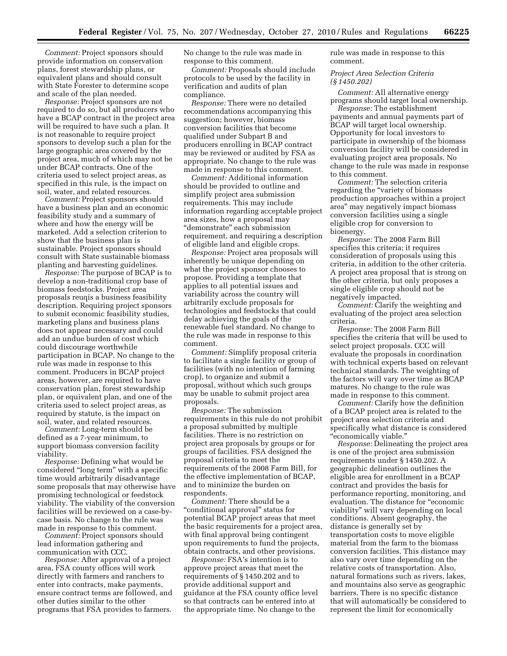*Comment:* Project sponsors should provide information on conservation plans, forest stewardship plans, or equivalent plans and should consult with State Forester to determine scope and scale of the plan needed.

*Response:* Project sponsors are not required to do so, but all producers who have a BCAP contract in the project area will be required to have such a plan. It is not reasonable to require project sponsors to develop such a plan for the large geographic area covered by the project area, much of which may not be under BCAP contracts. One of the criteria used to select project areas, as specified in this rule, is the impact on soil, water, and related resources.

*Comment:* Project sponsors should have a business plan and an economic feasibility study and a summary of where and how the energy will be marketed. Add a selection criterion to show that the business plan is sustainable. Project sponsors should consult with State sustainable biomass planting and harvesting guidelines.

*Response:* The purpose of BCAP is to develop a non-traditional crop base of biomass feedstocks. Project area proposals reuqis a business feasibility description. Requiring project sponsors to submit economic feasibility studies, marketing plans and business plans does not appear necessary and could add an undue burden of cost which could discourage worthwhile participation in BCAP. No change to the rule was made in response to this comment. Producers in BCAP project areas, however, are required to have conservation plan, forest stewardship plan, or equivalent plan, and one of the criteria used to select project areas, as required by statute, is the impact on soil, water, and related resources.

*Comment:* Long-term should be defined as a 7-year minimum, to support biomass conversion facility viability.

*Response:* Defining what would be considered ''long term'' with a specific time would arbitrarily disadvantage some proposals that may otherwise have promising technological or feedstock viability. The viability of the conversion facilities will be reviewed on a case-bycase basis. No change to the rule was made in response to this comment.

*Comment:* Project sponsors should lead information gathering and communication with CCC.

*Response:* After approval of a project area, FSA county offices will work directly with farmers and ranchers to enter into contracts, make payments, ensure contract terms are followed, and other duties similar to the other programs that FSA provides to farmers.

No change to the rule was made in response to this comment.

*Comment:* Proposals should include protocols to be used by the facility in verification and audits of plan compliance.

*Response:* There were no detailed recommendations accompanying this suggestion; however, biomass conversion facilities that become qualified under Subpart B and producers enrolling in BCAP contract may be reviewed or audited by FSA as appropriate. No change to the rule was made in response to this comment.

*Comment:* Additional information should be provided to outline and simplify project area submission requirements. This may include information regarding acceptable project area sizes, how a proposal may ''demonstrate'' each submission requirement, and requiring a description of eligible land and eligible crops.

*Response:* Project area proposals will inherently be unique depending on what the project sponsor chooses to propose. Providing a template that applies to all potential issues and variability across the country will arbitrarily exclude proposals for technologies and feedstocks that could delay achieving the goals of the renewable fuel standard. No change to the rule was made in response to this comment.

*Comment:* Simplify proposal criteria to facilitate a single facility or group of facilities (with no intention of farming crop), to organize and submit a proposal, without which such groups may be unable to submit project area proposals.

*Response:* The submission requirements in this rule do not prohibit a proposal submitted by multiple facilities. There is no restriction on project area proposals by groups or for groups of facilities. FSA designed the proposal criteria to meet the requirements of the 2008 Farm Bill, for the effective implementation of BCAP, and to minimize the burden on respondents.

*Comment:* There should be a "conditional approval" status for potential BCAP project areas that meet the basic requirements for a project area, with final approval being contingent upon requirements to fund the projects, obtain contracts, and other provisions.

*Response:* FSA's intention is to approve project areas that meet the requirements of § 1450.202 and to provide additional support and guidance at the FSA county office level so that contracts can be entered into at the appropriate time. No change to the

rule was made in response to this comment.

*Project Area Selection Criteria (§ 1450.202)* 

*Comment:* All alternative energy programs should target local ownership.

*Response:* The establishment payments and annual payments part of BCAP will target local ownership. Opportunity for local investors to participate in ownership of the biomass conversion facility will be considered in evaluating project area proposals. No change to the rule was made in response to this comment.

*Comment:* The selection criteria regarding the ''variety of biomass production approaches within a project area'' may negatively impact biomass conversion facilities using a single eligible crop for conversion to bioenergy.

*Response:* The 2008 Farm Bill specifies this criteria; it requires consideration of proposals using this criteria, in addition to the other criteria. A project area proposal that is strong on the other criteria, but only proposes a single eligible crop should not be negatively impacted.

*Comment:* Clarify the weighting and evaluating of the project area selection criteria.

*Response:* The 2008 Farm Bill specifies the criteria that will be used to select project proposals. CCC will evaluate the proposals in coordination with technical experts based on relevant technical standards. The weighting of the factors will vary over time as BCAP matures. No change to the rule was made in response to this comment.

*Comment:* Clarify how the definition of a BCAP project area is related to the project area selection criteria and specifically what distance is considered ''economically viable.''

*Response:* Delineating the project area is one of the project area submission requirements under § 1450.202. A geographic delineation outlines the eligible area for enrollment in a BCAP contract and provides the basis for performance reporting, monitoring, and evaluation. The distance for ''economic viability'' will vary depending on local conditions. Absent geography, the distance is generally set by transportation costs to move eligible material from the farm to the biomass conversion facilities. This distance may also vary over time depending on the relative costs of transportation. Also, natural formations such as rivers, lakes, and mountains also serve as geographic barriers. There is no specific distance that will automatically be considered to represent the limit for economically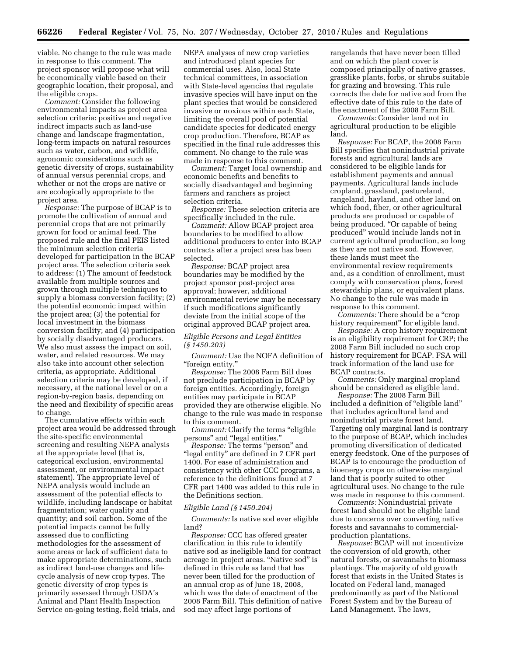viable. No change to the rule was made in response to this comment. The project sponsor will propose what will be economically viable based on their geographic location, their proposal, and the eligible crops.

*Comment:* Consider the following environmental impacts as project area selection criteria: positive and negative indirect impacts such as land-use change and landscape fragmentation, long-term impacts on natural resources such as water, carbon, and wildlife, agronomic considerations such as genetic diversity of crops, sustainability of annual versus perennial crops, and whether or not the crops are native or are ecologically appropriate to the project area.

*Response:* The purpose of BCAP is to promote the cultivation of annual and perennial crops that are not primarily grown for food or animal feed. The proposed rule and the final PEIS listed the minimum selection criteria developed for participation in the BCAP project area. The selection criteria seek to address: (1) The amount of feedstock available from multiple sources and grown through multiple techniques to supply a biomass conversion facility; (2) the potential economic impact within the project area; (3) the potential for local investment in the biomass conversion facility; and (4) participation by socially disadvantaged producers. We also must assess the impact on soil, water, and related resources. We may also take into account other selection criteria, as appropriate. Additional selection criteria may be developed, if necessary, at the national level or on a region-by-region basis, depending on the need and flexibility of specific areas to change.

The cumulative effects within each project area would be addressed through the site-specific environmental screening and resulting NEPA analysis at the appropriate level (that is, categorical exclusion, environmental assessment, or environmental impact statement). The appropriate level of NEPA analysis would include an assessment of the potential effects to wildlife, including landscape or habitat fragmentation; water quality and quantity; and soil carbon. Some of the potential impacts cannot be fully assessed due to conflicting methodologies for the assessment of some areas or lack of sufficient data to make appropriate determinations, such as indirect land-use changes and lifecycle analysis of new crop types. The genetic diversity of crop types is primarily assessed through USDA's Animal and Plant Health Inspection Service on-going testing, field trials, and NEPA analyses of new crop varieties and introduced plant species for commercial uses. Also, local State technical committees, in association with State-level agencies that regulate invasive species will have input on the plant species that would be considered invasive or noxious within each State, limiting the overall pool of potential candidate species for dedicated energy crop production. Therefore, BCAP as specified in the final rule addresses this comment. No change to the rule was made in response to this comment.

*Comment:* Target local ownership and economic benefits and benefits to socially disadvantaged and beginning farmers and ranchers as project selection criteria.

*Response:* These selection criteria are specifically included in the rule.

*Comment:* Allow BCAP project area boundaries to be modified to allow additional producers to enter into BCAP contracts after a project area has been selected.

*Response:* BCAP project area boundaries may be modified by the project sponsor post-project area approval; however, additional environmental review may be necessary if such modifications significantly deviate from the initial scope of the original approved BCAP project area.

# *Eligible Persons and Legal Entities (§ 1450.203)*

*Comment:* Use the NOFA definition of ''foreign entity.''

*Response:* The 2008 Farm Bill does not preclude participation in BCAP by foreign entities. Accordingly, foreign entities may participate in BCAP provided they are otherwise eligible. No change to the rule was made in response to this comment.

*Comment:* Clarify the terms "eligible" persons'' and ''legal entities.''

*Response:* The terms "person" and ''legal entity'' are defined in 7 CFR part 1400. For ease of administration and consistency with other CCC programs, a reference to the definitions found at 7 CFR part 1400 was added to this rule in the Definitions section.

## *Eligible Land (§ 1450.204)*

*Comments:* Is native sod ever eligible land?

*Response:* CCC has offered greater clarification in this rule to identify native sod as ineligible land for contract acreage in project areas. ''Native sod'' is defined in this rule as land that has never been tilled for the production of an annual crop as of June 18, 2008, which was the date of enactment of the 2008 Farm Bill. This definition of native sod may affect large portions of

rangelands that have never been tilled and on which the plant cover is composed principally of native grasses, grasslike plants, forbs, or shrubs suitable for grazing and browsing. This rule corrects the date for native sod from the effective date of this rule to the date of the enactment of the 2008 Farm Bill.

*Comments:* Consider land not in agricultural production to be eligible land.

*Response:* For BCAP, the 2008 Farm Bill specifies that nonindustrial private forests and agricultural lands are considered to be eligible lands for establishment payments and annual payments. Agricultural lands include cropland, grassland, pastureland, rangeland, hayland, and other land on which food, fiber, or other agricultural products are produced or capable of being produced. ''Or capable of being produced'' would include lands not in current agricultural production, so long as they are not native sod. However, these lands must meet the environmental review requirements and, as a condition of enrollment, must comply with conservation plans, forest stewardship plans, or equivalent plans. No change to the rule was made in response to this comment.

*Comments:* There should be a "crop" history requirement" for eligible land.

*Response:* A crop history requirement is an eligibility requirement for CRP; the 2008 Farm Bill included no such crop history requirement for BCAP. FSA will track information of the land use for BCAP contracts.

*Comments:* Only marginal cropland should be considered as eligible land.

*Response:* The 2008 Farm Bill included a definition of "eligible land" that includes agricultural land and nonindustrial private forest land. Targeting only marginal land is contrary to the purpose of BCAP, which includes promoting diversification of dedicated energy feedstock. One of the purposes of BCAP is to encourage the production of bioenergy crops on otherwise marginal land that is poorly suited to other agricultural uses. No change to the rule was made in response to this comment.

*Comments:* Nonindustrial private forest land should not be eligible land due to concerns over converting native forests and savannahs to commercialproduction plantations.

*Response:* BCAP will not incentivize the conversion of old growth, other natural forests, or savannahs to biomass plantings. The majority of old growth forest that exists in the United States is located on Federal land, managed predominantly as part of the National Forest System and by the Bureau of Land Management. The laws,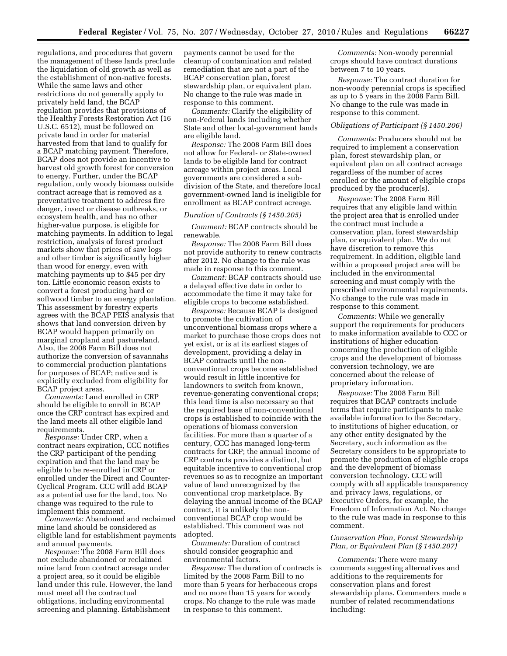regulations, and procedures that govern the management of these lands preclude the liquidation of old growth as well as the establishment of non-native forests. While the same laws and other restrictions do not generally apply to privately held land, the BCAP regulation provides that provisions of the Healthy Forests Restoration Act (16 U.S.C. 6512), must be followed on private land in order for material harvested from that land to qualify for a BCAP matching payment. Therefore, BCAP does not provide an incentive to harvest old growth forest for conversion to energy. Further, under the BCAP regulation, only woody biomass outside contract acreage that is removed as a preventative treatment to address fire danger, insect or disease outbreaks, or ecosystem health, and has no other higher-value purpose, is eligible for matching payments. In addition to legal restriction, analysis of forest product markets show that prices of saw logs and other timber is significantly higher than wood for energy, even with matching payments up to \$45 per dry ton. Little economic reason exists to convert a forest producing hard or softwood timber to an energy plantation. This assessment by forestry experts agrees with the BCAP PEIS analysis that shows that land conversion driven by BCAP would happen primarily on marginal cropland and pastureland. Also, the 2008 Farm Bill does not authorize the conversion of savannahs to commercial production plantations for purposes of BCAP; native sod is explicitly excluded from eligibility for BCAP project areas.

*Comments:* Land enrolled in CRP should be eligible to enroll in BCAP once the CRP contract has expired and the land meets all other eligible land requirements.

*Response:* Under CRP, when a contract nears expiration, CCC notifies the CRP participant of the pending expiration and that the land may be eligible to be re-enrolled in CRP or enrolled under the Direct and Counter-Cyclical Program. CCC will add BCAP as a potential use for the land, too. No change was required to the rule to implement this comment.

*Comments:* Abandoned and reclaimed mine land should be considered as eligible land for establishment payments and annual payments.

*Response:* The 2008 Farm Bill does not exclude abandoned or reclaimed mine land from contract acreage under a project area, so it could be eligible land under this rule. However, the land must meet all the contractual obligations, including environmental screening and planning. Establishment

payments cannot be used for the cleanup of contamination and related remediation that are not a part of the BCAP conservation plan, forest stewardship plan, or equivalent plan. No change to the rule was made in response to this comment.

*Comments:* Clarify the eligibility of non-Federal lands including whether State and other local-government lands are eligible land.

*Response:* The 2008 Farm Bill does not allow for Federal- or State-owned lands to be eligible land for contract acreage within project areas. Local governments are considered a subdivision of the State, and therefore local government-owned land is ineligible for enrollment as BCAP contract acreage.

#### *Duration of Contracts (§ 1450.205)*

*Comment:* BCAP contracts should be renewable.

*Response:* The 2008 Farm Bill does not provide authority to renew contracts after 2012. No change to the rule was made in response to this comment.

*Comment:* BCAP contracts should use a delayed effective date in order to accommodate the time it may take for eligible crops to become established.

*Response:* Because BCAP is designed to promote the cultivation of unconventional biomass crops where a market to purchase those crops does not yet exist, or is at its earliest stages of development, providing a delay in BCAP contracts until the nonconventional crops become established would result in little incentive for landowners to switch from known, revenue-generating conventional crops; this lead time is also necessary so that the required base of non-conventional crops is established to coincide with the operations of biomass conversion facilities. For more than a quarter of a century, CCC has managed long-term contracts for CRP; the annual income of CRP contracts provides a distinct, but equitable incentive to conventional crop revenues so as to recognize an important value of land unrecognized by the conventional crop marketplace. By delaying the annual income of the BCAP contract, it is unlikely the nonconventional BCAP crop would be established. This comment was not adopted.

*Comments:* Duration of contract should consider geographic and environmental factors.

*Response:* The duration of contracts is limited by the 2008 Farm Bill to no more than 5 years for herbaceous crops and no more than 15 years for woody crops. No change to the rule was made in response to this comment.

*Comments:* Non-woody perennial crops should have contract durations between 7 to 10 years.

*Response:* The contract duration for non-woody perennial crops is specified as up to 5 years in the 2008 Farm Bill. No change to the rule was made in response to this comment.

#### *Obligations of Participant (§ 1450.206)*

*Comments:* Producers should not be required to implement a conservation plan, forest stewardship plan, or equivalent plan on all contract acreage regardless of the number of acres enrolled or the amount of eligible crops produced by the producer(s).

*Response:* The 2008 Farm Bill requires that any eligible land within the project area that is enrolled under the contract must include a conservation plan, forest stewardship plan, or equivalent plan. We do not have discretion to remove this requirement. In addition, eligible land within a proposed project area will be included in the environmental screening and must comply with the prescribed environmental requirements. No change to the rule was made in response to this comment.

*Comments:* While we generally support the requirements for producers to make information available to CCC or institutions of higher education concerning the production of eligible crops and the development of biomass conversion technology, we are concerned about the release of proprietary information.

*Response:* The 2008 Farm Bill requires that BCAP contracts include terms that require participants to make available information to the Secretary, to institutions of higher education, or any other entity designated by the Secretary, such information as the Secretary considers to be appropriate to promote the production of eligible crops and the development of biomass conversion technology. CCC will comply with all applicable transparency and privacy laws, regulations, or Executive Orders, for example, the Freedom of Information Act. No change to the rule was made in response to this comment.

# *Conservation Plan, Forest Stewardship Plan, or Equivalent Plan (§ 1450.207)*

*Comments:* There were many comments suggesting alternatives and additions to the requirements for conservation plans and forest stewardship plans. Commenters made a number of related recommendations including: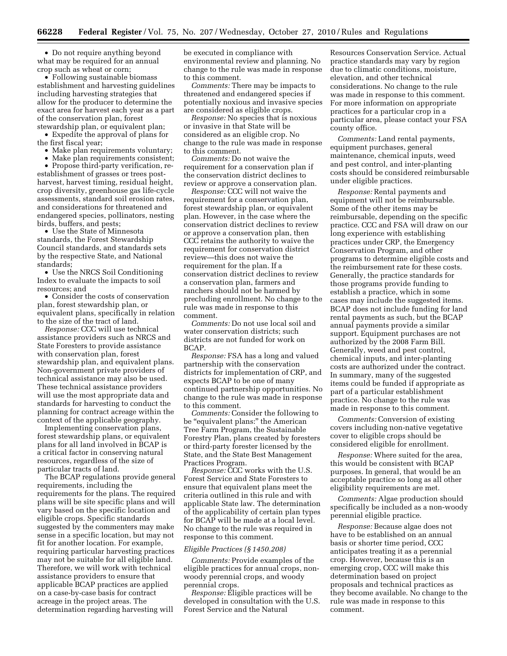• Do not require anything beyond what may be required for an annual crop such as wheat or corn;

• Following sustainable biomass establishment and harvesting guidelines including harvesting strategies that allow for the producer to determine the exact area for harvest each year as a part of the conservation plan, forest stewardship plan, or equivalent plan;

• Expedite the approval of plans for the first fiscal year;

• Make plan requirements voluntary;

• Make plan requirements consistent;

• Propose third-party verification, reestablishment of grasses or trees postharvest, harvest timing, residual height, crop diversity, greenhouse gas life-cycle assessments, standard soil erosion rates, and considerations for threatened and endangered species, pollinators, nesting birds, buffers, and pests;

• Use the State of Minnesota standards, the Forest Stewardship Council standards, and standards sets by the respective State, and National standards;

• Use the NRCS Soil Conditioning Index to evaluate the impacts to soil resources; and

• Consider the costs of conservation plan, forest stewardship plan, or equivalent plans, specifically in relation to the size of the tract of land.

*Response:* CCC will use technical assistance providers such as NRCS and State Foresters to provide assistance with conservation plan, forest stewardship plan, and equivalent plans. Non-government private providers of technical assistance may also be used. These technical assistance providers will use the most appropriate data and standards for harvesting to conduct the planning for contract acreage within the context of the applicable geography.

Implementing conservation plans, forest stewardship plans, or equivalent plans for all land involved in BCAP is a critical factor in conserving natural resources, regardless of the size of particular tracts of land.

The BCAP regulations provide general requirements, including the requirements for the plans. The required plans will be site specific plans and will vary based on the specific location and eligible crops. Specific standards suggested by the commenters may make sense in a specific location, but may not fit for another location. For example, requiring particular harvesting practices may not be suitable for all eligible land. Therefore, we will work with technical assistance providers to ensure that applicable BCAP practices are applied on a case-by-case basis for contract acreage in the project areas. The determination regarding harvesting will

be executed in compliance with environmental review and planning. No change to the rule was made in response to this comment.

*Comments:* There may be impacts to threatened and endangered species if potentially noxious and invasive species are considered as eligible crops.

*Response:* No species that is noxious or invasive in that State will be considered as an eligible crop. No change to the rule was made in response to this comment.

*Comments:* Do not waive the requirement for a conservation plan if the conservation district declines to review or approve a conservation plan.

*Response:* CCC will not waive the requirement for a conservation plan, forest stewardship plan, or equivalent plan. However, in the case where the conservation district declines to review or approve a conservation plan, then CCC retains the authority to waive the requirement for conservation district review—this does not waive the requirement for the plan. If a conservation district declines to review a conservation plan, farmers and ranchers should not be harmed by precluding enrollment. No change to the rule was made in response to this comment.

*Comments:* Do not use local soil and water conservation districts; such districts are not funded for work on BCAP.

*Response:* FSA has a long and valued partnership with the conservation districts for implementation of CRP, and expects BCAP to be one of many continued partnership opportunities. No change to the rule was made in response to this comment.

*Comments:* Consider the following to be "equivalent plans:" the American Tree Farm Program, the Sustainable Forestry Plan, plans created by foresters or third-party forester licensed by the State, and the State Best Management Practices Program.

*Response:* CCC works with the U.S. Forest Service and State Foresters to ensure that equivalent plans meet the criteria outlined in this rule and with applicable State law. The determination of the applicability of certain plan types for BCAP will be made at a local level. No change to the rule was required in response to this comment.

#### *Eligible Practices (§ 1450.208)*

*Comments:* Provide examples of the eligible practices for annual crops, nonwoody perennial crops, and woody perennial crops.

*Response:* Eligible practices will be developed in consultation with the U.S. Forest Service and the Natural

Resources Conservation Service. Actual practice standards may vary by region due to climatic conditions, moisture, elevation, and other technical considerations. No change to the rule was made in response to this comment. For more information on appropriate practices for a particular crop in a particular area, please contact your FSA county office.

*Comments:* Land rental payments, equipment purchases, general maintenance, chemical inputs, weed and pest control, and inter-planting costs should be considered reimbursable under eligible practices.

*Response:* Rental payments and equipment will not be reimbursable. Some of the other items may be reimbursable, depending on the specific practice. CCC and FSA will draw on our long experience with establishing practices under CRP, the Emergency Conservation Program, and other programs to determine eligible costs and the reimbursement rate for these costs. Generally, the practice standards for those programs provide funding to establish a practice, which in some cases may include the suggested items. BCAP does not include funding for land rental payments as such, but the BCAP annual payments provide a similar support. Equipment purchases are not authorized by the 2008 Farm Bill. Generally, weed and pest control, chemical inputs, and inter-planting costs are authorized under the contract. In summary, many of the suggested items could be funded if appropriate as part of a particular establishment practice. No change to the rule was made in response to this comment.

*Comments:* Conversion of existing covers including non-native vegetative cover to eligible crops should be considered eligible for enrollment.

*Response:* Where suited for the area, this would be consistent with BCAP purposes. In general, that would be an acceptable practice so long as all other eligibility requirements are met.

*Comments:* Algae production should specifically be included as a non-woody perennial eligible practice.

*Response:* Because algae does not have to be established on an annual basis or shorter time period, CCC anticipates treating it as a perennial crop. However, because this is an emerging crop, CCC will make this determination based on project proposals and technical practices as they become available. No change to the rule was made in response to this comment.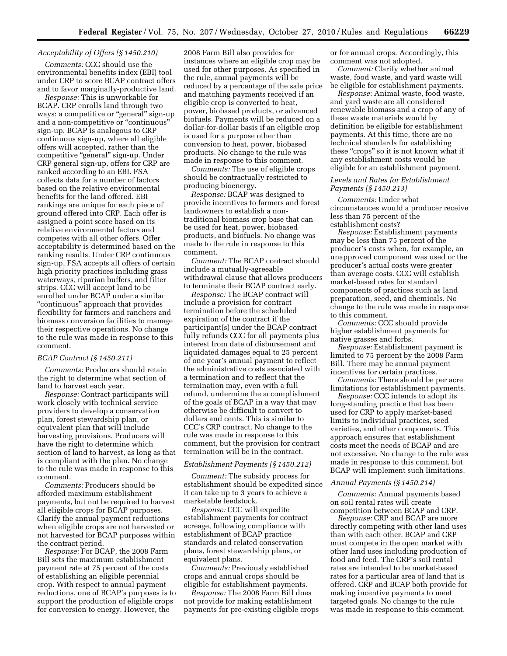# *Acceptability of Offers (§ 1450.210)*

*Comments:* CCC should use the environmental benefits index (EBI) tool under CRP to score BCAP contract offers and to favor marginally-productive land.

*Response:* This is unworkable for BCAP. CRP enrolls land through two ways: a competitive or "general" sign-up and a non-competitive or ''continuous'' sign-up. BCAP is analogous to CRP continuous sign-up, where all eligible offers will accepted, rather than the competitive "general" sign-up. Under CRP general sign-up, offers for CRP are ranked according to an EBI. FSA collects data for a number of factors based on the relative environmental benefits for the land offered. EBI rankings are unique for each piece of ground offered into CRP. Each offer is assigned a point score based on its relative environmental factors and competes with all other offers. Offer acceptability is determined based on the ranking results. Under CRP continuous sign-up, FSA accepts all offers of certain high priority practices including grass waterways, riparian buffers, and filter strips. CCC will accept land to be enrolled under BCAP under a similar ''continuous'' approach that provides flexibility for farmers and ranchers and biomass conversion facilities to manage their respective operations. No change to the rule was made in response to this comment.

#### *BCAP Contract (§ 1450.211)*

*Comments:* Producers should retain the right to determine what section of land to harvest each year.

*Response:* Contract participants will work closely with technical service providers to develop a conservation plan, forest stewardship plan, or equivalent plan that will include harvesting provisions. Producers will have the right to determine which section of land to harvest, as long as that is compliant with the plan. No change to the rule was made in response to this comment.

*Comments:* Producers should be afforded maximum establishment payments, but not be required to harvest all eligible crops for BCAP purposes. Clarify the annual payment reductions when eligible crops are not harvested or not harvested for BCAP purposes within the contract period.

*Response:* For BCAP, the 2008 Farm Bill sets the maximum establishment payment rate at 75 percent of the costs of establishing an eligible perennial crop. With respect to annual payment reductions, one of BCAP's purposes is to support the production of eligible crops for conversion to energy. However, the

2008 Farm Bill also provides for instances where an eligible crop may be used for other purposes. As specified in the rule, annual payments will be reduced by a percentage of the sale price and matching payments received if an eligible crop is converted to heat, power, biobased products, or advanced biofuels. Payments will be reduced on a dollar-for-dollar basis if an eligible crop is used for a purpose other than conversion to heat, power, biobased products. No change to the rule was made in response to this comment.

*Comments:* The use of eligible crops should be contractually restricted to producing bioenergy.

*Response:* BCAP was designed to provide incentives to farmers and forest landowners to establish a nontraditional biomass crop base that can be used for heat, power, biobased products, and biofuels. No change was made to the rule in response to this comment.

*Comment:* The BCAP contract should include a mutually-agreeable withdrawal clause that allows producers to terminate their BCAP contract early.

*Response:* The BCAP contract will include a provision for contract termination before the scheduled expiration of the contract if the participant(s) under the BCAP contract fully refunds CCC for all payments plus interest from date of disbursement and liquidated damages equal to 25 percent of one year's annual payment to reflect the administrative costs associated with a termination and to reflect that the termination may, even with a full refund, undermine the accomplishment of the goals of BCAP in a way that may otherwise be difficult to convert to dollars and cents. This is similar to CCC's CRP contract. No change to the rule was made in response to this comment, but the provision for contract termination will be in the contract.

#### *Establishment Payments (§ 1450.212)*

*Comment:* The subsidy process for establishment should be expedited since it can take up to 3 years to achieve a marketable feedstock.

*Response:* CCC will expedite establishment payments for contract acreage, following compliance with establishment of BCAP practice standards and related conservation plans, forest stewardship plans, or equivalent plans.

*Comments:* Previously established crops and annual crops should be eligible for establishment payments.

*Response:* The 2008 Farm Bill does not provide for making establishment payments for pre-existing eligible crops or for annual crops. Accordingly, this comment was not adopted.

*Comment:* Clarify whether animal waste, food waste, and yard waste will be eligible for establishment payments.

*Response:* Animal waste, food waste, and yard waste are all considered renewable biomass and a crop of any of these waste materials would by definition be eligible for establishment payments. At this time, there are no technical standards for establishing these "crops" so it is not known what if any establishment costs would be eligible for an establishment payment.

# *Levels and Rates for Establishment Payments (§ 1450.213)*

*Comments:* Under what circumstances would a producer receive less than 75 percent of the establishment costs?

*Response:* Establishment payments may be less than 75 percent of the producer's costs when, for example, an unapproved component was used or the producer's actual costs were greater than average costs. CCC will establish market-based rates for standard components of practices such as land preparation, seed, and chemicals. No change to the rule was made in response to this comment.

*Comments:* CCC should provide higher establishment payments for native grasses and forbs.

*Response:* Establishment payment is limited to 75 percent by the 2008 Farm Bill. There may be annual payment incentives for certain practices.

*Comments:* There should be per acre limitations for establishment payments.

*Response:* CCC intends to adopt its long-standing practice that has been used for CRP to apply market-based limits to individual practices, seed varieties, and other components. This approach ensures that establishment costs meet the needs of BCAP and are not excessive. No change to the rule was made in response to this comment, but BCAP will implement such limitations.

#### *Annual Payments (§ 1450.214)*

*Comments:* Annual payments based on soil rental rates will create competition between BCAP and CRP.

*Response:* CRP and BCAP are more directly competing with other land uses than with each other. BCAP and CRP must compete in the open market with other land uses including production of food and feed. The CRP's soil rental rates are intended to be market-based rates for a particular area of land that is offered. CRP and BCAP both provide for making incentive payments to meet targeted goals. No change to the rule was made in response to this comment.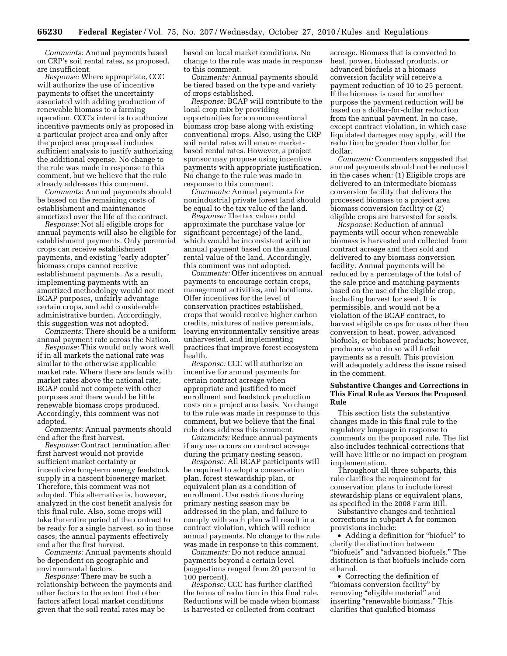*Comments:* Annual payments based on CRP's soil rental rates, as proposed, are insufficient.

*Response:* Where appropriate, CCC will authorize the use of incentive payments to offset the uncertainty associated with adding production of renewable biomass to a farming operation. CCC's intent is to authorize incentive payments only as proposed in a particular project area and only after the project area proposal includes sufficient analysis to justify authorizing the additional expense. No change to the rule was made in response to this comment, but we believe that the rule already addresses this comment.

*Comments:* Annual payments should be based on the remaining costs of establishment and maintenance amortized over the life of the contract.

*Response:* Not all eligible crops for annual payments will also be eligible for establishment payments. Only perennial crops can receive establishment payments, and existing "early adopter" biomass crops cannot receive establishment payments. As a result, implementing payments with an amortized methodology would not meet BCAP purposes, unfairly advantage certain crops, and add considerable administrative burden. Accordingly, this suggestion was not adopted.

*Comments:* There should be a uniform annual payment rate across the Nation.

*Response:* This would only work well if in all markets the national rate was similar to the otherwise applicable market rate. Where there are lands with market rates above the national rate, BCAP could not compete with other purposes and there would be little renewable biomass crops produced. Accordingly, this comment was not adopted.

*Comments:* Annual payments should end after the first harvest.

*Response:* Contract termination after first harvest would not provide sufficient market certainty or incentivize long-term energy feedstock supply in a nascent bioenergy market. Therefore, this comment was not adopted. This alternative is, however, analyzed in the cost benefit analysis for this final rule. Also, some crops will take the entire period of the contract to be ready for a single harvest, so in those cases, the annual payments effectively end after the first harvest.

*Comments:* Annual payments should be dependent on geographic and environmental factors.

*Response:* There may be such a relationship between the payments and other factors to the extent that other factors affect local market conditions given that the soil rental rates may be

based on local market conditions. No change to the rule was made in response to this comment.

*Comments:* Annual payments should be tiered based on the type and variety of crops established.

*Response:* BCAP will contribute to the local crop mix by providing opportunities for a nonconventional biomass crop base along with existing conventional crops. Also, using the CRP soil rental rates will ensure marketbased rental rates. However, a project sponsor may propose using incentive payments with appropriate justification. No change to the rule was made in response to this comment.

*Comments:* Annual payments for nonindustrial private forest land should be equal to the tax value of the land.

*Response:* The tax value could approximate the purchase value (or significant percentage) of the land, which would be inconsistent with an annual payment based on the annual rental value of the land. Accordingly, this comment was not adopted.

*Comments:* Offer incentives on annual payments to encourage certain crops, management activities, and locations. Offer incentives for the level of conservation practices established, crops that would receive higher carbon credits, mixtures of native perennials, leaving environmentally sensitive areas unharvested, and implementing practices that improve forest ecosystem health.

*Response:* CCC will authorize an incentive for annual payments for certain contract acreage when appropriate and justified to meet enrollment and feedstock production costs on a project area basis. No change to the rule was made in response to this comment, but we believe that the final rule does address this comment.

*Comments:* Reduce annual payments if any use occurs on contract acreage during the primary nesting season.

*Response:* All BCAP participants will be required to adopt a conservation plan, forest stewardship plan, or equivalent plan as a condition of enrollment. Use restrictions during primary nesting season may be addressed in the plan, and failure to comply with such plan will result in a contract violation, which will reduce annual payments. No change to the rule was made in response to this comment.

*Comments:* Do not reduce annual payments beyond a certain level (suggestions ranged from 20 percent to 100 percent).

*Response:* CCC has further clarified the terms of reduction in this final rule. Reductions will be made when biomass is harvested or collected from contract

acreage. Biomass that is converted to heat, power, biobased products, or advanced biofuels at a biomass conversion facility will receive a payment reduction of 10 to 25 percent. If the biomass is used for another purpose the payment reduction will be based on a dollar-for-dollar reduction from the annual payment. In no case, except contract violation, in which case liquidated damages may apply, will the reduction be greater than dollar for dollar.

*Comment:* Commenters suggested that annual payments should not be reduced in the cases when: (1) Eligible crops are delivered to an intermediate biomass conversion facility that delivers the processed biomass to a project area biomass conversion facility or (2) eligible crops are harvested for seeds.

*Response:* Reduction of annual payments will occur when renewable biomass is harvested and collected from contract acreage and then sold and delivered to any biomass conversion facility. Annual payments will be reduced by a percentage of the total of the sale price and matching payments based on the use of the eligible crop, including harvest for seed. It is permissible, and would not be a violation of the BCAP contract, to harvest eligible crops for uses other than conversion to heat, power, advanced biofuels, or biobased products; however, producers who do so will forfeit payments as a result. This provision will adequately address the issue raised in the comment.

# **Substantive Changes and Corrections in This Final Rule as Versus the Proposed Rule**

This section lists the substantive changes made in this final rule to the regulatory language in response to comments on the proposed rule. The list also includes technical corrections that will have little or no impact on program implementation.

Throughout all three subparts, this rule clarifies the requirement for conservation plans to include forest stewardship plans or equivalent plans, as specified in the 2008 Farm Bill.

Substantive changes and technical corrections in subpart A for common provisions include:

• Adding a definition for "biofuel" to clarify the distinction between ''biofuels'' and ''advanced biofuels.'' The distinction is that biofuels include corn ethanol.

• Correcting the definition of ''biomass conversion facility'' by removing "eligible material" and inserting "renewable biomass." This clarifies that qualified biomass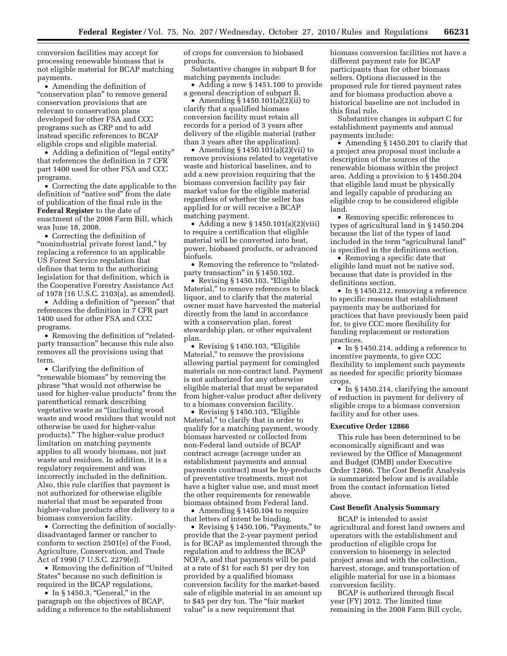conversion facilities may accept for processing renewable biomass that is not eligible material for BCAP matching payments.

• Amending the definition of "conservation plan" to remove general conservation provisions that are relevant to conservation plans developed for other FSA and CCC programs such as CRP and to add instead specific references to BCAP eligible crops and eligible material.

• Adding a definition of "legal entity" that references the definition in 7 CFR part 1400 used for other FSA and CCC programs.

• Correcting the date applicable to the definition of "native sod" from the date of publication of the final rule in the **Federal Register** to the date of enactment of the 2008 Farm Bill, which was June 18, 2008.

• Correcting the definition of "nonindustrial private forest land," by replacing a reference to an applicable US Forest Service regulation that defines that term to the authorizing legislation for that definition, which is the Cooperative Forestry Assistance Act of 1978 (16 U.S.C. 2103(a), as amended).

• Adding a definition of ''person'' that references the definition in 7 CFR part 1400 used for other FSA and CCC programs.

• Removing the definition of "relatedparty transaction'' because this rule also removes all the provisions using that term.

• Clarifying the definition of "renewable biomass" by removing the phrase ''that would not otherwise be used for higher-value products'' from the parenthetical remark describing vegetative waste as ''(including wood waste and wood residues that would not otherwise be used for higher-value products).'' The higher-value product limitation on matching payments applies to all woody biomass, not just waste and residues. In addition, it is a regulatory requirement and was incorrectly included in the definition. Also, this rule clarifies that payment is not authorized for otherwise eligible material that must be separated from higher-value products after delivery to a biomass conversion facility.

• Correcting the definition of sociallydisadvantaged farmer or rancher to conform to section 2501(e) of the Food, Agriculture, Conservation, and Trade Act of 1990 (7 U.S.C. 2279(e)).

• Removing the definition of ''United States'' because no such definition is required in the BCAP regulations,

• In  $§$  1450.3, "General," in the paragraph on the objectives of BCAP, adding a reference to the establishment of crops for conversion to biobased products.

Substantive changes in subpart B for matching payments include:

• Adding a new § 1451.100 to provide a general description of subpart B.

• Amending  $\S 1450.101(a)(2)(ii)$  to clarify that a qualified biomass conversion facility must retain all records for a period of 3 years after delivery of the eligible material (rather than 3 years after the application).

• Amending § 1450.101(a)(2)(vii) to remove provisions related to vegetative waste and historical baselines, and to add a new provision requiring that the biomass conversion facility pay fair market value for the eligible material regardless of whether the seller has applied for or will receive a BCAP matching payment.

• Adding a new § 1450.101(a)(2)(viii) to require a certification that eligible material will be converted into heat, power, biobased products, or advanced biofuels.

• Removing the reference to "relatedparty transaction'' in § 1450.102.

• Revising § 1450.103, "Eligible Material,'' to remove references to black liquor, and to clarify that the material owner must have harvested the material directly from the land in accordance with a conservation plan, forest stewardship plan, or other equivalent plan.

• Revising § 1450.103, "Eligible Material,'' to remove the provisions allowing partial payment for comingled materials on non-contract land. Payment is not authorized for any otherwise eligible material that must be separated from higher-value product after delivery to a biomass conversion facility.

• Revising § 1450.103, "Eligible Material,'' to clarify that in order to qualify for a matching payment, woody biomass harvested or collected from non-Federal land outside of BCAP contract acreage (acreage under an establishment payments and annual payments contract) must be by-products of preventative treatments, must not have a higher value use, and must meet the other requirements for renewable biomass obtained from Federal land.

• Amending § 1450.104 to require that letters of intent be binding.

• Revising § 1450.106, "Payments," to provide that the 2-year payment period is for BCAP as implemented through the regulation and to address the BCAP NOFA, and that payments will be paid at a rate of \$1 for each \$1 per dry ton provided by a qualified biomass conversion facility for the market-based sale of eligible material in an amount up to \$45 per dry ton. The ''fair market value'' is a new requirement that

biomass conversion facilities not have a different payment rate for BCAP participants than for other biomass sellers. Options discussed in the proposed rule for tiered payment rates and for biomass production above a historical baseline are not included in this final rule.

Substantive changes in subpart C for establishment payments and annual payments include:

• Amending § 1450.201 to clarify that a project area proposal must include a description of the sources of the renewable biomass within the project area. Adding a provision to § 1450.204 that eligible land must be physically and legally capable of producing an eligible crop to be considered eligible land.

• Removing specific references to types of agricultural land in § 1450.204 because the list of the types of land included in the term "agricultural land" is specified in the definitions section.

• Removing a specific date that eligible land must not be native sod, because that date is provided in the definitions section.

• In § 1450.212, removing a reference to specific reasons that establishment payments may be authorized for practices that have previously been paid for, to give CCC more flexibility for funding replacement or restoration practices.

• In §1450.214, adding a reference to incentive payments, to give CCC flexibility to implement such payments as needed for specific priority biomass crops.

• In § 1450.214, clarifying the amount of reduction in payment for delivery of eligible crops to a biomass conversion facility and for other uses.

#### **Executive Order 12866**

This rule has been determined to be economically significant and was reviewed by the Office of Management and Budget (OMB) under Executive Order 12866. The Cost Benefit Analysis is summarized below and is available from the contact information listed above.

## **Cost Benefit Analysis Summary**

BCAP is intended to assist agricultural and forest land owners and operators with the establishment and production of eligible crops for conversion to bioenergy in selected project areas and with the collection, harvest, storage, and transportation of eligible material for use in a biomass conversion facility.

BCAP is authorized through fiscal year (FY) 2012. The limited time remaining in the 2008 Farm Bill cycle,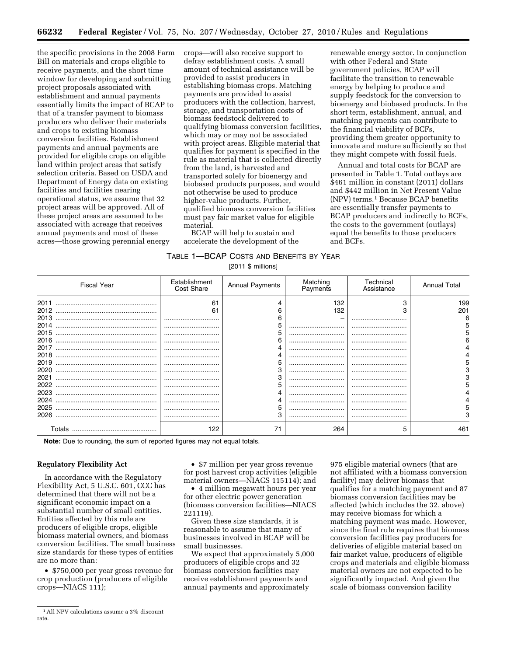the specific provisions in the 2008 Farm Bill on materials and crops eligible to receive payments, and the short time window for developing and submitting project proposals associated with establishment and annual payments essentially limits the impact of BCAP to that of a transfer payment to biomass producers who deliver their materials and crops to existing biomass conversion facilities. Establishment payments and annual payments are provided for eligible crops on eligible land within project areas that satisfy selection criteria. Based on USDA and Department of Energy data on existing facilities and facilities nearing operational status, we assume that 32 project areas will be approved. All of these project areas are assumed to be associated with acreage that receives annual payments and most of these acres—those growing perennial energy

crops—will also receive support to defray establishment costs. A small amount of technical assistance will be provided to assist producers in establishing biomass crops. Matching payments are provided to assist producers with the collection, harvest, storage, and transportation costs of biomass feedstock delivered to qualifying biomass conversion facilities, which may or may not be associated with project areas. Eligible material that qualifies for payment is specified in the rule as material that is collected directly from the land, is harvested and transported solely for bioenergy and biobased products purposes, and would not otherwise be used to produce higher-value products. Further, qualified biomass conversion facilities must pay fair market value for eligible material.

BCAP will help to sustain and accelerate the development of the renewable energy sector. In conjunction with other Federal and State government policies, BCAP will facilitate the transition to renewable energy by helping to produce and supply feedstock for the conversion to bioenergy and biobased products. In the short term, establishment, annual, and matching payments can contribute to the financial viability of BCFs, providing them greater opportunity to innovate and mature sufficiently so that they might compete with fossil fuels.

Annual and total costs for BCAP are presented in Table 1. Total outlays are \$461 million in constant (2011) dollars and \$442 million in Net Present Value (NPV) terms.1 Because BCAP benefits are essentially transfer payments to BCAP producers and indirectly to BCFs, the costs to the government (outlays) equal the benefits to those producers and BCFs.

| TABLE 1—BCAP COSTS AND BENEFITS BY YEAR |                            |  |
|-----------------------------------------|----------------------------|--|
|                                         | $[0.0110 \text{ million}]$ |  |

| <b>Fiscal Year</b> | Establishment<br>Cost Share | <b>Annual Payments</b> | Matching<br>Payments | Technical<br>Assistance | <b>Annual Total</b> |
|--------------------|-----------------------------|------------------------|----------------------|-------------------------|---------------------|
| 2011               | 61                          |                        | 132                  | 3                       | 199                 |
| 2012               | 61                          |                        | 132                  |                         | 201                 |
| 2013               |                             |                        |                      |                         |                     |
| 2014               |                             |                        |                      |                         |                     |
| 2015               |                             |                        |                      |                         |                     |
| 2016               |                             |                        |                      |                         |                     |
| 2017               |                             |                        |                      |                         |                     |
| 2018               |                             |                        |                      |                         |                     |
| 2019               |                             |                        |                      |                         |                     |
| 2020               |                             |                        |                      |                         |                     |
| 2021               |                             |                        |                      |                         |                     |
| 2022               |                             |                        |                      |                         |                     |
| 2023               |                             |                        |                      |                         |                     |
| 2024               |                             |                        |                      |                         |                     |
| 2025               |                             |                        |                      |                         | h                   |
| 2026               |                             |                        |                      |                         |                     |
|                    | 122                         |                        | 264                  |                         | 461                 |

**Note:** Due to rounding, the sum of reported figures may not equal totals.

# **Regulatory Flexibility Act**

In accordance with the Regulatory Flexibility Act, 5 U.S.C. 601, CCC has determined that there will not be a significant economic impact on a substantial number of small entities. Entities affected by this rule are producers of eligible crops, eligible biomass material owners, and biomass conversion facilities. The small business size standards for these types of entities are no more than:

• \$750,000 per year gross revenue for crop production (producers of eligible crops—NIACS 111);

• \$7 million per year gross revenue for post harvest crop activities (eligible material owners—NIACS 115114); and

• 4 million megawatt hours per year for other electric power generation (biomass conversion facilities—NIACS 221119).

Given these size standards, it is reasonable to assume that many of businesses involved in BCAP will be small businesses.

We expect that approximately 5,000 producers of eligible crops and 32 biomass conversion facilities may receive establishment payments and annual payments and approximately

975 eligible material owners (that are not affiliated with a biomass conversion facility) may deliver biomass that qualifies for a matching payment and 87 biomass conversion facilities may be affected (which includes the 32, above) may receive biomass for which a matching payment was made. However, since the final rule requires that biomass conversion facilities pay producers for deliveries of eligible material based on fair market value, producers of eligible crops and materials and eligible biomass material owners are not expected to be significantly impacted. And given the scale of biomass conversion facility

<sup>&</sup>lt;sup>1</sup> All NPV calculations assume a 3% discount rate.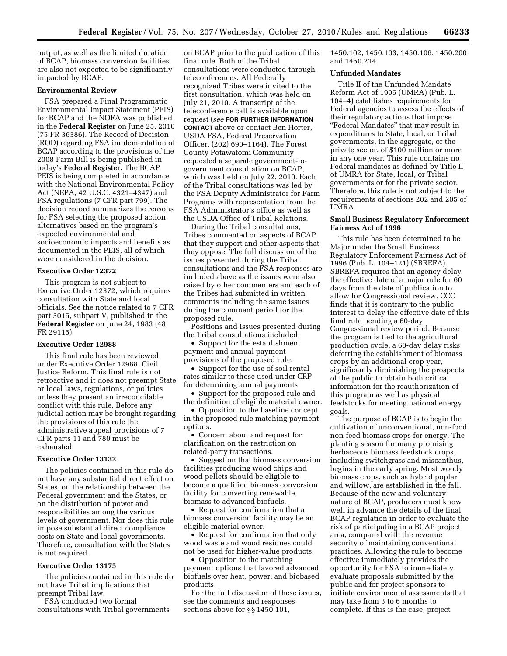output, as well as the limited duration of BCAP, biomass conversion facilities are also not expected to be significantly impacted by BCAP.

#### **Environmental Review**

FSA prepared a Final Programmatic Environmental Impact Statement (PEIS) for BCAP and the NOFA was published in the **Federal Register** on June 25, 2010 (75 FR 36386). The Record of Decision (ROD) regarding FSA implementation of BCAP according to the provisions of the 2008 Farm Bill is being published in today's **Federal Register**. The BCAP PEIS is being completed in accordance with the National Environmental Policy Act (NEPA, 42 U.S.C. 4321–4347) and FSA regulations (7 CFR part 799). The decision record summarizes the reasons for FSA selecting the proposed action alternatives based on the program's expected environmental and socioeconomic impacts and benefits as documented in the PEIS, all of which were considered in the decision.

#### **Executive Order 12372**

This program is not subject to Executive Order 12372, which requires consultation with State and local officials. See the notice related to 7 CFR part 3015, subpart V, published in the **Federal Register** on June 24, 1983 (48 FR 29115).

# **Executive Order 12988**

This final rule has been reviewed under Executive Order 12988, Civil Justice Reform. This final rule is not retroactive and it does not preempt State or local laws, regulations, or policies unless they present an irreconcilable conflict with this rule. Before any judicial action may be brought regarding the provisions of this rule the administrative appeal provisions of 7 CFR parts 11 and 780 must be exhausted.

# **Executive Order 13132**

The policies contained in this rule do not have any substantial direct effect on States, on the relationship between the Federal government and the States, or on the distribution of power and responsibilities among the various levels of government. Nor does this rule impose substantial direct compliance costs on State and local governments. Therefore, consultation with the States is not required.

# **Executive Order 13175**

The policies contained in this rule do not have Tribal implications that preempt Tribal law.

FSA conducted two formal consultations with Tribal governments

on BCAP prior to the publication of this final rule. Both of the Tribal consultations were conducted through teleconferences. All Federally recognized Tribes were invited to the first consultation, which was held on July 21, 2010. A transcript of the teleconference call is available upon request (*see* **FOR FURTHER INFORMATION CONTACT** above or contact Ben Horter, USDA FSA, Federal Preservation Officer, (202) 690–1164). The Forest County Potawatomi Community requested a separate government-togovernment consultation on BCAP, which was held on July 22, 2010. Each of the Tribal consultations was led by the FSA Deputy Administrator for Farm Programs with representation from the FSA Administrator's office as well as the USDA Office of Tribal Relations.

During the Tribal consultations, Tribes commented on aspects of BCAP that they support and other aspects that they oppose. The full discussion of the issues presented during the Tribal consultations and the FSA responses are included above as the issues were also raised by other commenters and each of the Tribes had submitted in written comments including the same issues during the comment period for the proposed rule.

Positions and issues presented during the Tribal consultations included:

• Support for the establishment payment and annual payment provisions of the proposed rule.

• Support for the use of soil rental rates similar to those used under CRP for determining annual payments.

• Support for the proposed rule and the definition of eligible material owner.

• Opposition to the baseline concept in the proposed rule matching payment options.

• Concern about and request for clarification on the restriction on related-party transactions.

• Suggestion that biomass conversion facilities producing wood chips and wood pellets should be eligible to become a qualified biomass conversion facility for converting renewable biomass to advanced biofuels.

• Request for confirmation that a biomass conversion facility may be an eligible material owner.

• Request for confirmation that only wood waste and wood residues could not be used for higher-value products.

• Opposition to the matching payment options that favored advanced biofuels over heat, power, and biobased products.

For the full discussion of these issues, see the comments and responses sections above for §§ 1450.101,

1450.102, 1450.103, 1450.106, 1450.200 and 1450.214.

#### **Unfunded Mandates**

Title II of the Unfunded Mandate Reform Act of 1995 (UMRA) (Pub. L. 104–4) establishes requirements for Federal agencies to assess the effects of their regulatory actions that impose ''Federal Mandates'' that may result in expenditures to State, local, or Tribal governments, in the aggregate, or the private sector, of \$100 million or more in any one year. This rule contains no Federal mandates as defined by Title II of UMRA for State, local, or Tribal governments or for the private sector. Therefore, this rule is not subject to the requirements of sections 202 and 205 of UMRA.

# **Small Business Regulatory Enforcement Fairness Act of 1996**

This rule has been determined to be Major under the Small Business Regulatory Enforcement Fairness Act of 1996 (Pub. L. 104–121) (SBREFA). SBREFA requires that an agency delay the effective date of a major rule for 60 days from the date of publication to allow for Congressional review. CCC finds that it is contrary to the public interest to delay the effective date of this final rule pending a 60-day Congressional review period. Because the program is tied to the agricultural production cycle, a 60-day delay risks deferring the establishment of biomass crops by an additional crop year, significantly diminishing the prospects of the public to obtain both critical information for the reauthorization of this program as well as physical feedstocks for meeting national energy goals.

The purpose of BCAP is to begin the cultivation of unconventional, non-food non-feed biomass crops for energy. The planting season for many promising herbaceous biomass feedstock crops, including switchgrass and miscanthus, begins in the early spring. Most woody biomass crops, such as hybrid poplar and willow, are established in the fall. Because of the new and voluntary nature of BCAP, producers must know well in advance the details of the final BCAP regulation in order to evaluate the risk of participating in a BCAP project area, compared with the revenue security of maintaining conventional practices. Allowing the rule to become effective immediately provides the opportunity for FSA to immediately evaluate proposals submitted by the public and for project sponsors to initiate environmental assessments that may take from 3 to 6 months to complete. If this is the case, project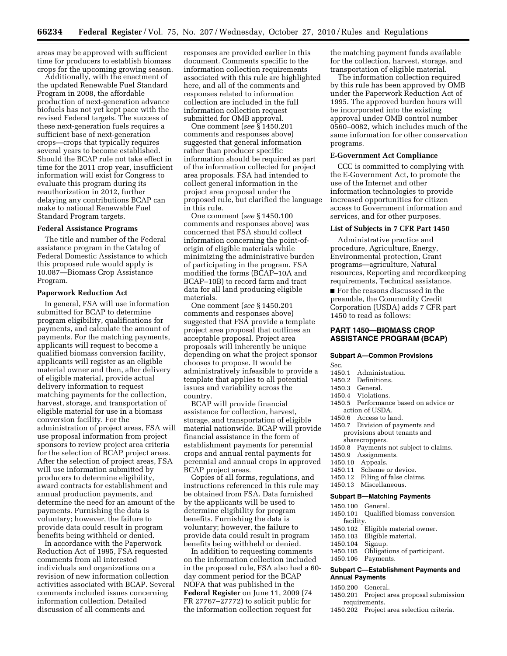areas may be approved with sufficient time for producers to establish biomass crops for the upcoming growing season.

Additionally, with the enactment of the updated Renewable Fuel Standard Program in 2008, the affordable production of next-generation advance biofuels has not yet kept pace with the revised Federal targets. The success of these next-generation fuels requires a sufficient base of next-generation crops—crops that typically requires several years to become established. Should the BCAP rule not take effect in time for the 2011 crop year, insufficient information will exist for Congress to evaluate this program during its reauthorization in 2012, further delaying any contributions BCAP can make to national Renewable Fuel Standard Program targets.

#### **Federal Assistance Programs**

The title and number of the Federal assistance program in the Catalog of Federal Domestic Assistance to which this proposed rule would apply is 10.087—Biomass Crop Assistance Program.

# **Paperwork Reduction Act**

In general, FSA will use information submitted for BCAP to determine program eligibility, qualifications for payments, and calculate the amount of payments. For the matching payments, applicants will request to become a qualified biomass conversion facility, applicants will register as an eligible material owner and then, after delivery of eligible material, provide actual delivery information to request matching payments for the collection, harvest, storage, and transportation of eligible material for use in a biomass conversion facility. For the administration of project areas, FSA will use proposal information from project sponsors to review project area criteria for the selection of BCAP project areas. After the selection of project areas, FSA will use information submitted by producers to determine eligibility, award contracts for establishment and annual production payments, and determine the need for an amount of the payments. Furnishing the data is voluntary; however, the failure to provide data could result in program benefits being withheld or denied.

In accordance with the Paperwork Reduction Act of 1995, FSA requested comments from all interested individuals and organizations on a revision of new information collection activities associated with BCAP. Several comments included issues concerning information collection. Detailed discussion of all comments and

responses are provided earlier in this document. Comments specific to the information collection requirements associated with this rule are highlighted here, and all of the comments and responses related to information collection are included in the full information collection request submitted for OMB approval.

One comment (*see* § 1450.201 comments and responses above) suggested that general information rather than producer specific information should be required as part of the information collected for project area proposals. FSA had intended to collect general information in the project area proposal under the proposed rule, but clarified the language in this rule.

One comment (*see* § 1450.100 comments and responses above) was concerned that FSA should collect information concerning the point-oforigin of eligible materials while minimizing the administrative burden of participating in the program. FSA modified the forms (BCAP–10A and BCAP–10B) to record farm and tract data for all land producing eligible materials.

One comment (*see* § 1450.201 comments and responses above) suggested that FSA provide a template project area proposal that outlines an acceptable proposal. Project area proposals will inherently be unique depending on what the project sponsor chooses to propose. It would be administratively infeasible to provide a template that applies to all potential issues and variability across the country.

BCAP will provide financial assistance for collection, harvest, storage, and transportation of eligible material nationwide. BCAP will provide financial assistance in the form of establishment payments for perennial crops and annual rental payments for perennial and annual crops in approved BCAP project areas.

Copies of all forms, regulations, and instructions referenced in this rule may be obtained from FSA. Data furnished by the applicants will be used to determine eligibility for program benefits. Furnishing the data is voluntary; however, the failure to provide data could result in program benefits being withheld or denied.

In addition to requesting comments on the information collection included in the proposed rule, FSA also had a 60 day comment period for the BCAP NOFA that was published in the **Federal Register** on June 11, 2009 (74 FR 27767–27772) to solicit public for the information collection request for

the matching payment funds available for the collection, harvest, storage, and transportation of eligible material.

The information collection required by this rule has been approved by OMB under the Paperwork Reduction Act of 1995. The approved burden hours will be incorporated into the existing approval under OMB control number 0560–0082, which includes much of the same information for other conservation programs.

#### **E-Government Act Compliance**

CCC is committed to complying with the E-Government Act, to promote the use of the Internet and other information technologies to provide increased opportunities for citizen access to Government information and services, and for other purposes.

#### **List of Subjects in 7 CFR Part 1450**

Administrative practice and procedure, Agriculture, Energy, Environmental protection, Grant programs—agriculture, Natural resources, Reporting and recordkeeping requirements, Technical assistance.

■ For the reasons discussed in the preamble, the Commodity Credit Corporation (USDA) adds 7 CFR part 1450 to read as follows:

# **PART 1450—BIOMASS CROP ASSISTANCE PROGRAM (BCAP)**

#### **Subpart A—Common Provisions**

Sec.

- 1450.1 Administration.
- 1450.2 Definitions.
- 1450.3 General.
- 1450.4 Violations.
- 1450.5 Performance based on advice or
- action of USDA.
- 1450.6 Access to land.
- 1450.7 Division of payments and provisions about tenants and sharecroppers.
- 1450.8 Payments not subject to claims.<br>1450.9 Assignments.
- Assignments.
- 1450.10 Appeals.
	-
- 1450.11 Scheme or device.<br>1450.12 Filing of false clair Filing of false claims.
- 1450.13 Miscellaneous.

#### **Subpart B—Matching Payments**

- 1450.100 General. 1450.101 Qualified biomass conversion
	- facility.
- 1450.102 Eligible material owner.
- 1450.103 Eligible material.
- 
- 1450.104 Signup. Obligations of participant.
- 1450.106 Payments.

#### **Subpart C—Establishment Payments and Annual Payments**

- 1450.200 General.
- 1450.201 Project area proposal submission requirements.
- 1450.202 Project area selection criteria.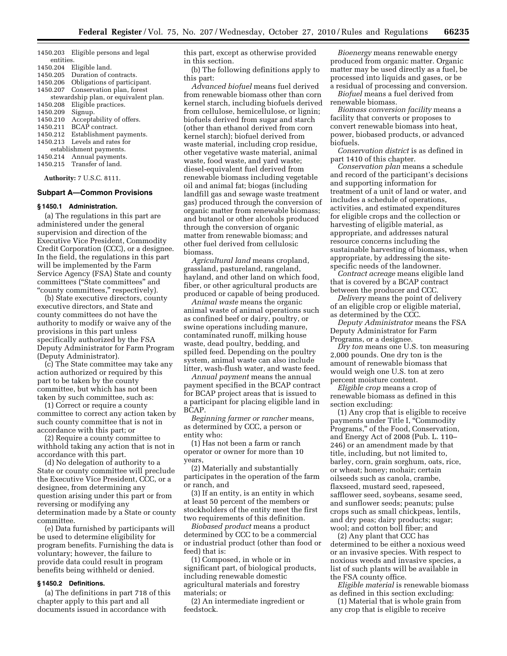1450.203 Eligible persons and legal entities. 1450.204 Eligible land. 1450.205 Duration of contracts. 1450.206 Obligations of participant.<br>1450.207 Conservation plan, forest Conservation plan, forest stewardship plan, or equivalent plan. 1450.208 Eligible practices.

- 1450.209 Signup. 1450.210 Acceptability of offers.<br>1450.211 BCAP contract. BCAP contract. 1450.212 Establishment payments. 1450.213 Levels and rates for establishment payments. 1450.214 Annual payments.
- 1450.215 Transfer of land.

**Authority:** 7 U.S.C. 8111.

#### **Subpart A—Common Provisions**

#### **§ 1450.1 Administration.**

(a) The regulations in this part are administered under the general supervision and direction of the Executive Vice President, Commodity Credit Corporation (CCC), or a designee. In the field, the regulations in this part will be implemented by the Farm Service Agency (FSA) State and county committees (''State committees'' and "county committees," respectively).

(b) State executive directors, county executive directors, and State and county committees do not have the authority to modify or waive any of the provisions in this part unless specifically authorized by the FSA Deputy Administrator for Farm Program (Deputy Administrator).

(c) The State committee may take any action authorized or required by this part to be taken by the county committee, but which has not been taken by such committee, such as:

(1) Correct or require a county committee to correct any action taken by such county committee that is not in accordance with this part; or

(2) Require a county committee to withhold taking any action that is not in accordance with this part.

(d) No delegation of authority to a State or county committee will preclude the Executive Vice President, CCC, or a designee, from determining any question arising under this part or from reversing or modifying any determination made by a State or county committee.

(e) Data furnished by participants will be used to determine eligibility for program benefits. Furnishing the data is voluntary; however, the failure to provide data could result in program benefits being withheld or denied.

# **§ 1450.2 Definitions.**

(a) The definitions in part 718 of this chapter apply to this part and all documents issued in accordance with

this part, except as otherwise provided in this section.

(b) The following definitions apply to this part:

*Advanced biofuel* means fuel derived from renewable biomass other than corn kernel starch, including biofuels derived from cellulose, hemicellulose, or lignin; biofuels derived from sugar and starch (other than ethanol derived from corn kernel starch); biofuel derived from waste material, including crop residue, other vegetative waste material, animal waste, food waste, and yard waste; diesel-equivalent fuel derived from renewable biomass including vegetable oil and animal fat; biogas (including landfill gas and sewage waste treatment gas) produced through the conversion of organic matter from renewable biomass; and butanol or other alcohols produced through the conversion of organic matter from renewable biomass; and other fuel derived from cellulosic biomass.

*Agricultural land* means cropland, grassland, pastureland, rangeland, hayland, and other land on which food, fiber, or other agricultural products are produced or capable of being produced.

*Animal waste* means the organic animal waste of animal operations such as confined beef or dairy, poultry, or swine operations including manure, contaminated runoff, milking house waste, dead poultry, bedding, and spilled feed. Depending on the poultry system, animal waste can also include litter, wash-flush water, and waste feed.

*Annual payment* means the annual payment specified in the BCAP contract for BCAP project areas that is issued to a participant for placing eligible land in BCAP.

*Beginning farmer or rancher* means, as determined by CCC, a person or entity who:

(1) Has not been a farm or ranch operator or owner for more than 10 years,

(2) Materially and substantially participates in the operation of the farm or ranch, and

(3) If an entity, is an entity in which at least 50 percent of the members or stockholders of the entity meet the first two requirements of this definition.

*Biobased product* means a product determined by CCC to be a commercial or industrial product (other than food or feed) that is:

(1) Composed, in whole or in significant part, of biological products, including renewable domestic agricultural materials and forestry materials; or

(2) An intermediate ingredient or feedstock.

*Bioenergy* means renewable energy produced from organic matter. Organic matter may be used directly as a fuel, be processed into liquids and gases, or be a residual of processing and conversion.

*Biofuel* means a fuel derived from renewable biomass.

*Biomass conversion facility* means a facility that converts or proposes to convert renewable biomass into heat, power, biobased products, or advanced biofuels.

*Conservation district* is as defined in part 1410 of this chapter.

*Conservation plan* means a schedule and record of the participant's decisions and supporting information for treatment of a unit of land or water, and includes a schedule of operations, activities, and estimated expenditures for eligible crops and the collection or harvesting of eligible material, as appropriate, and addresses natural resource concerns including the sustainable harvesting of biomass, when appropriate, by addressing the sitespecific needs of the landowner.

*Contract acreage* means eligible land that is covered by a BCAP contract between the producer and CCC.

*Delivery* means the point of delivery of an eligible crop or eligible material, as determined by the CCC.

*Deputy Administrator* means the FSA Deputy Administrator for Farm Programs, or a designee.

*Dry ton* means one U.S. ton measuring 2,000 pounds. One dry ton is the amount of renewable biomass that would weigh one U.S. ton at zero percent moisture content.

*Eligible crop* means a crop of renewable biomass as defined in this section excluding:

(1) Any crop that is eligible to receive payments under Title I, ''Commodity Programs,'' of the Food, Conservation, and Energy Act of 2008 (Pub. L. 110– 246) or an amendment made by that title, including, but not limited to, barley, corn, grain sorghum, oats, rice, or wheat; honey; mohair; certain oilseeds such as canola, crambe, flaxseed, mustard seed, rapeseed, safflower seed, soybeans, sesame seed, and sunflower seeds; peanuts; pulse crops such as small chickpeas, lentils, and dry peas; dairy products; sugar; wool; and cotton boll fiber; and

(2) Any plant that CCC has determined to be either a noxious weed or an invasive species. With respect to noxious weeds and invasive species, a list of such plants will be available in the FSA county office.

*Eligible material* is renewable biomass as defined in this section excluding:

(1) Material that is whole grain from any crop that is eligible to receive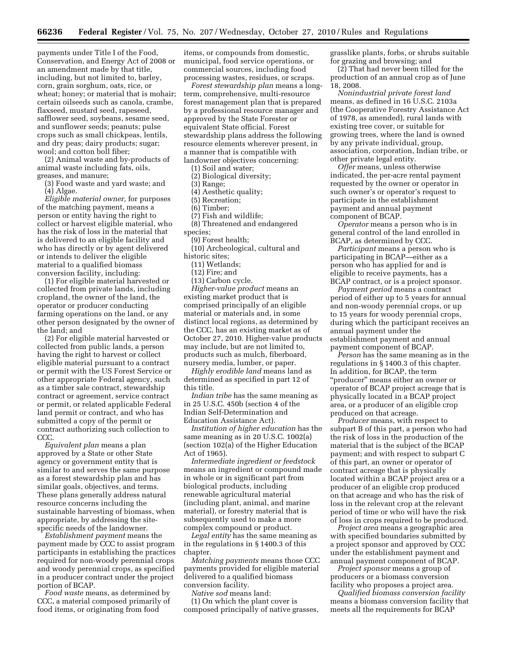payments under Title I of the Food, Conservation, and Energy Act of 2008 or an amendment made by that title, including, but not limited to, barley, corn, grain sorghum, oats, rice, or wheat; honey; or material that is mohair; certain oilseeds such as canola, crambe, flaxseed, mustard seed, rapeseed, safflower seed, soybeans, sesame seed, and sunflower seeds; peanuts; pulse crops such as small chickpeas, lentils, and dry peas; dairy products; sugar; wool; and cotton boll fiber;

(2) Animal waste and by-products of animal waste including fats, oils, greases, and manure;

(3) Food waste and yard waste; and (4) Algae.

*Eligible material owner,* for purposes of the matching payment, means a person or entity having the right to collect or harvest eligible material, who has the risk of loss in the material that is delivered to an eligible facility and who has directly or by agent delivered or intends to deliver the eligible material to a qualified biomass conversion facility, including:

(1) For eligible material harvested or collected from private lands, including cropland, the owner of the land, the operator or producer conducting farming operations on the land, or any other person designated by the owner of the land; and

(2) For eligible material harvested or collected from public lands, a person having the right to harvest or collect eligible material pursuant to a contract or permit with the US Forest Service or other appropriate Federal agency, such as a timber sale contract, stewardship contract or agreement, service contract or permit, or related applicable Federal land permit or contract, and who has submitted a copy of the permit or contract authorizing such collection to CCC.

*Equivalent plan* means a plan approved by a State or other State agency or government entity that is similar to and serves the same purpose as a forest stewardship plan and has similar goals, objectives, and terms. These plans generally address natural resource concerns including the sustainable harvesting of biomass, when appropriate, by addressing the sitespecific needs of the landowner.

*Establishment payment* means the payment made by CCC to assist program participants in establishing the practices required for non-woody perennial crops and woody perennial crops, as specified in a producer contract under the project portion of BCAP.

*Food waste* means, as determined by CCC, a material composed primarily of food items, or originating from food

items, or compounds from domestic, municipal, food service operations, or commercial sources, including food processing wastes, residues, or scraps.

*Forest stewardship plan* means a longterm, comprehensive, multi-resource forest management plan that is prepared by a professional resource manager and approved by the State Forester or equivalent State official. Forest stewardship plans address the following resource elements wherever present, in a manner that is compatible with landowner objectives concerning:

(1) Soil and water;

(2) Biological diversity;

(3) Range;

(4) Aesthetic quality;

(5) Recreation;

(6) Timber;

(7) Fish and wildlife; (8) Threatened and endangered

species;

(9) Forest health;

(10) Archeological, cultural and historic sites;

(11) Wetlands;

(12) Fire; and

(13) Carbon cycle.

*Higher-value product* means an existing market product that is comprised principally of an eligible material or materials and, in some distinct local regions, as determined by the CCC, has an existing market as of October 27, 2010. Higher-value products may include, but are not limited to, products such as mulch, fiberboard, nursery media, lumber, or paper.

*Highly erodible land* means land as determined as specified in part 12 of this title.

*Indian tribe* has the same meaning as in 25 U.S.C. 450b (section 4 of the Indian Self-Determination and Education Assistance Act).

*Institution of higher education* has the same meaning as in 20 U.S.C. 1002(a) (section 102(a) of the Higher Education Act of 1965).

*Intermediate ingredient or feedstock*  means an ingredient or compound made in whole or in significant part from biological products, including renewable agricultural material (including plant, animal, and marine material), or forestry material that is subsequently used to make a more complex compound or product.

*Legal entity* has the same meaning as in the regulations in § 1400.3 of this chapter.

*Matching payments* means those CCC payments provided for eligible material delivered to a qualified biomass conversion facility.

*Native sod* means land:

(1) On which the plant cover is composed principally of native grasses, grasslike plants, forbs, or shrubs suitable for grazing and browsing; and

(2) That had never been tilled for the production of an annual crop as of June 18, 2008.

*Nonindustrial private forest land*  means, as defined in 16 U.S.C. 2103a (the Cooperative Forestry Assistance Act of 1978, as amended), rural lands with existing tree cover, or suitable for growing trees, where the land is owned by any private individual, group, association, corporation, Indian tribe, or other private legal entity.

*Offer* means, unless otherwise indicated, the per-acre rental payment requested by the owner or operator in such owner's or operator's request to participate in the establishment payment and annual payment component of BCAP.

*Operator* means a person who is in general control of the land enrolled in BCAP, as determined by CCC.

*Participant* means a person who is participating in BCAP—either as a person who has applied for and is eligible to receive payments, has a BCAP contract, or is a project sponsor.

*Payment period* means a contract period of either up to 5 years for annual and non-woody perennial crops, or up to 15 years for woody perennial crops, during which the participant receives an annual payment under the establishment payment and annual payment component of BCAP.

*Person* has the same meaning as in the regulations in § 1400.3 of this chapter. In addition, for BCAP, the term ''producer'' means either an owner or operator of BCAP project acreage that is physically located in a BCAP project area, or a producer of an eligible crop produced on that acreage.

*Producer* means, with respect to subpart B of this part, a person who had the risk of loss in the production of the material that is the subject of the BCAP payment; and with respect to subpart C of this part, an owner or operator of contract acreage that is physically located within a BCAP project area or a producer of an eligible crop produced on that acreage and who has the risk of loss in the relevant crop at the relevant period of time or who will have the risk of loss in crops required to be produced.

*Project area* means a geographic area with specified boundaries submitted by a project sponsor and approved by CCC under the establishment payment and annual payment component of BCAP.

*Project sponsor* means a group of producers or a biomass conversion facility who proposes a project area.

*Qualified biomass conversion facility*  means a biomass conversion facility that meets all the requirements for BCAP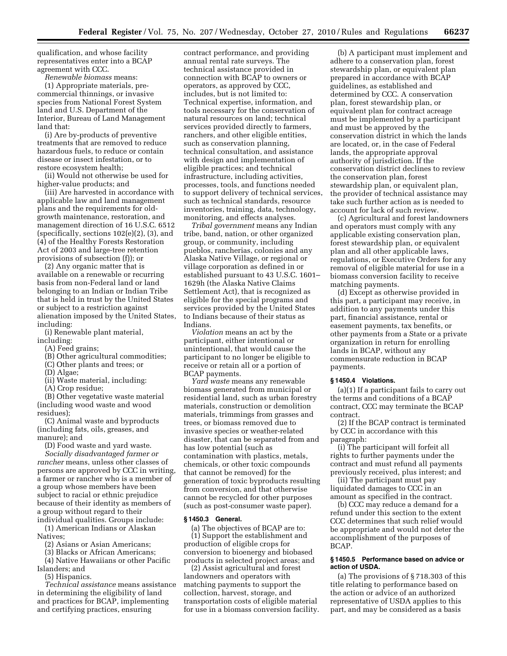qualification, and whose facility representatives enter into a BCAP agreement with CCC.

*Renewable biomass* means: (1) Appropriate materials, precommercial thinnings, or invasive species from National Forest System land and U.S. Department of the Interior, Bureau of Land Management land that:

(i) Are by-products of preventive treatments that are removed to reduce hazardous fuels, to reduce or contain disease or insect infestation, or to restore ecosystem health;

(ii) Would not otherwise be used for higher-value products; and

(iii) Are harvested in accordance with applicable law and land management plans and the requirements for oldgrowth maintenance, restoration, and management direction of 16 U.S.C. 6512 (specifically, sections 102(e)(2), (3), and (4) of the Healthy Forests Restoration Act of 2003 and large-tree retention provisions of subsection (f)); or

(2) Any organic matter that is available on a renewable or recurring basis from non-Federal land or land belonging to an Indian or Indian Tribe that is held in trust by the United States or subject to a restriction against alienation imposed by the United States, including:

(i) Renewable plant material, including:

- (A) Feed grains;
- (B) Other agricultural commodities;
- (C) Other plants and trees; or
- (D) Algae;
- (ii) Waste material, including:
- (A) Crop residue;

(B) Other vegetative waste material (including wood waste and wood residues);

(C) Animal waste and byproducts (including fats, oils, greases, and manure); and

(D) Food waste and yard waste.

*Socially disadvantaged farmer or rancher* means, unless other classes of persons are approved by CCC in writing, a farmer or rancher who is a member of a group whose members have been subject to racial or ethnic prejudice because of their identity as members of a group without regard to their

individual qualities. Groups include: (1) American Indians or Alaskan Natives;

(2) Asians or Asian Americans;

(3) Blacks or African Americans;

(4) Native Hawaiians or other Pacific Islanders; and

(5) Hispanics.

*Technical assistance* means assistance in determining the eligibility of land and practices for BCAP, implementing and certifying practices, ensuring

contract performance, and providing annual rental rate surveys. The technical assistance provided in connection with BCAP to owners or operators, as approved by CCC, includes, but is not limited to: Technical expertise, information, and tools necessary for the conservation of natural resources on land; technical services provided directly to farmers, ranchers, and other eligible entities, such as conservation planning, technical consultation, and assistance with design and implementation of eligible practices; and technical infrastructure, including activities, processes, tools, and functions needed to support delivery of technical services, such as technical standards, resource inventories, training, data, technology, monitoring, and effects analyses.

*Tribal government* means any Indian tribe, band, nation, or other organized group, or community, including pueblos, rancherias, colonies and any Alaska Native Village, or regional or village corporation as defined in or established pursuant to 43 U.S.C. 1601– 1629h (the Alaska Native Claims Settlement Act), that is recognized as eligible for the special programs and services provided by the United States to Indians because of their status as Indians.

*Violation* means an act by the participant, either intentional or unintentional, that would cause the participant to no longer be eligible to receive or retain all or a portion of BCAP payments.

*Yard waste* means any renewable biomass generated from municipal or residential land, such as urban forestry materials, construction or demolition materials, trimmings from grasses and trees, or biomass removed due to invasive species or weather-related disaster, that can be separated from and has low potential (such as contamination with plastics, metals, chemicals, or other toxic compounds that cannot be removed) for the generation of toxic byproducts resulting from conversion, and that otherwise cannot be recycled for other purposes (such as post-consumer waste paper).

#### **§ 1450.3 General.**

(a) The objectives of BCAP are to:

(1) Support the establishment and production of eligible crops for conversion to bioenergy and biobased products in selected project areas; and

(2) Assist agricultural and forest landowners and operators with matching payments to support the collection, harvest, storage, and transportation costs of eligible material for use in a biomass conversion facility.

(b) A participant must implement and adhere to a conservation plan, forest stewardship plan, or equivalent plan prepared in accordance with BCAP guidelines, as established and determined by CCC. A conservation plan, forest stewardship plan, or equivalent plan for contract acreage must be implemented by a participant and must be approved by the conservation district in which the lands are located, or, in the case of Federal lands, the appropriate approval authority of jurisdiction. If the conservation district declines to review the conservation plan, forest stewardship plan, or equivalent plan, the provider of technical assistance may take such further action as is needed to account for lack of such review.

(c) Agricultural and forest landowners and operators must comply with any applicable existing conservation plan, forest stewardship plan, or equivalent plan and all other applicable laws, regulations, or Executive Orders for any removal of eligible material for use in a biomass conversion facility to receive matching payments.

(d) Except as otherwise provided in this part, a participant may receive, in addition to any payments under this part, financial assistance, rental or easement payments, tax benefits, or other payments from a State or a private organization in return for enrolling lands in BCAP, without any commensurate reduction in BCAP payments.

#### **§ 1450.4 Violations.**

(a)(1) If a participant fails to carry out the terms and conditions of a BCAP contract, CCC may terminate the BCAP contract.

(2) If the BCAP contract is terminated by CCC in accordance with this paragraph:

(i) The participant will forfeit all rights to further payments under the contract and must refund all payments previously received, plus interest; and

(ii) The participant must pay liquidated damages to CCC in an amount as specified in the contract.

(b) CCC may reduce a demand for a refund under this section to the extent CCC determines that such relief would be appropriate and would not deter the accomplishment of the purposes of BCAP.

#### **§ 1450.5 Performance based on advice or action of USDA.**

(a) The provisions of § 718.303 of this title relating to performance based on the action or advice of an authorized representative of USDA applies to this part, and may be considered as a basis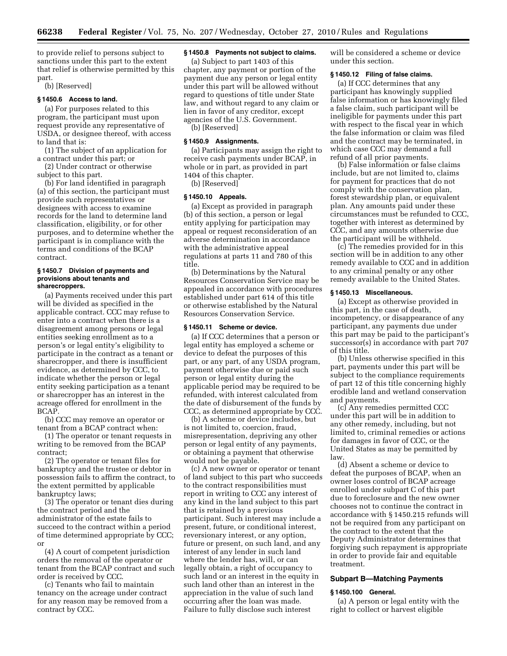to provide relief to persons subject to sanctions under this part to the extent that relief is otherwise permitted by this part.

(b) [Reserved]

#### **§ 1450.6 Access to land.**

(a) For purposes related to this program, the participant must upon request provide any representative of USDA, or designee thereof, with access to land that is:

(1) The subject of an application for a contract under this part; or

(2) Under contract or otherwise subject to this part.

(b) For land identified in paragraph (a) of this section, the participant must provide such representatives or designees with access to examine records for the land to determine land classification, eligibility, or for other purposes, and to determine whether the participant is in compliance with the terms and conditions of the BCAP contract.

#### **§ 1450.7 Division of payments and provisions about tenants and sharecroppers.**

(a) Payments received under this part will be divided as specified in the applicable contract. CCC may refuse to enter into a contract when there is a disagreement among persons or legal entities seeking enrollment as to a person's or legal entity's eligibility to participate in the contract as a tenant or sharecropper, and there is insufficient evidence, as determined by CCC, to indicate whether the person or legal entity seeking participation as a tenant or sharecropper has an interest in the acreage offered for enrollment in the BCAP.

(b) CCC may remove an operator or tenant from a BCAP contract when:

(1) The operator or tenant requests in writing to be removed from the BCAP contract;

(2) The operator or tenant files for bankruptcy and the trustee or debtor in possession fails to affirm the contract, to the extent permitted by applicable bankruptcy laws;

(3) The operator or tenant dies during the contract period and the administrator of the estate fails to succeed to the contract within a period of time determined appropriate by CCC; or

(4) A court of competent jurisdiction orders the removal of the operator or tenant from the BCAP contract and such order is received by CCC.

(c) Tenants who fail to maintain tenancy on the acreage under contract for any reason may be removed from a contract by CCC.

# **§ 1450.8 Payments not subject to claims.**

(a) Subject to part 1403 of this chapter, any payment or portion of the payment due any person or legal entity under this part will be allowed without regard to questions of title under State law, and without regard to any claim or lien in favor of any creditor, except agencies of the U.S. Government. (b) [Reserved]

# **§ 1450.9 Assignments.**

(a) Participants may assign the right to receive cash payments under BCAP, in whole or in part, as provided in part 1404 of this chapter.

(b) [Reserved]

# **§ 1450.10 Appeals.**

(a) Except as provided in paragraph (b) of this section, a person or legal entity applying for participation may appeal or request reconsideration of an adverse determination in accordance with the administrative appeal regulations at parts 11 and 780 of this title.

(b) Determinations by the Natural Resources Conservation Service may be appealed in accordance with procedures established under part 614 of this title or otherwise established by the Natural Resources Conservation Service.

#### **§ 1450.11 Scheme or device.**

(a) If CCC determines that a person or legal entity has employed a scheme or device to defeat the purposes of this part, or any part, of any USDA program, payment otherwise due or paid such person or legal entity during the applicable period may be required to be refunded, with interest calculated from the date of disbursement of the funds by CCC, as determined appropriate by CCC.

(b) A scheme or device includes, but is not limited to, coercion, fraud, misrepresentation, depriving any other person or legal entity of any payments, or obtaining a payment that otherwise would not be payable.

(c) A new owner or operator or tenant of land subject to this part who succeeds to the contract responsibilities must report in writing to CCC any interest of any kind in the land subject to this part that is retained by a previous participant. Such interest may include a present, future, or conditional interest, reversionary interest, or any option, future or present, on such land, and any interest of any lender in such land where the lender has, will, or can legally obtain, a right of occupancy to such land or an interest in the equity in such land other than an interest in the appreciation in the value of such land occurring after the loan was made. Failure to fully disclose such interest

will be considered a scheme or device under this section.

# **§ 1450.12 Filing of false claims.**

(a) If CCC determines that any participant has knowingly supplied false information or has knowingly filed a false claim, such participant will be ineligible for payments under this part with respect to the fiscal year in which the false information or claim was filed and the contract may be terminated, in which case CCC may demand a full refund of all prior payments.

(b) False information or false claims include, but are not limited to, claims for payment for practices that do not comply with the conservation plan, forest stewardship plan, or equivalent plan. Any amounts paid under these circumstances must be refunded to CCC, together with interest as determined by CCC, and any amounts otherwise due the participant will be withheld.

(c) The remedies provided for in this section will be in addition to any other remedy available to CCC and in addition to any criminal penalty or any other remedy available to the United States.

#### **§ 1450.13 Miscellaneous.**

(a) Except as otherwise provided in this part, in the case of death, incompetency, or disappearance of any participant, any payments due under this part may be paid to the participant's successor(s) in accordance with part 707 of this title.

(b) Unless otherwise specified in this part, payments under this part will be subject to the compliance requirements of part 12 of this title concerning highly erodible land and wetland conservation and payments.

(c) Any remedies permitted CCC under this part will be in addition to any other remedy, including, but not limited to, criminal remedies or actions for damages in favor of CCC, or the United States as may be permitted by law.

(d) Absent a scheme or device to defeat the purposes of BCAP, when an owner loses control of BCAP acreage enrolled under subpart C of this part due to foreclosure and the new owner chooses not to continue the contract in accordance with § 1450.215 refunds will not be required from any participant on the contract to the extent that the Deputy Administrator determines that forgiving such repayment is appropriate in order to provide fair and equitable treatment.

#### **Subpart B—Matching Payments**

# **§ 1450.100 General.**

(a) A person or legal entity with the right to collect or harvest eligible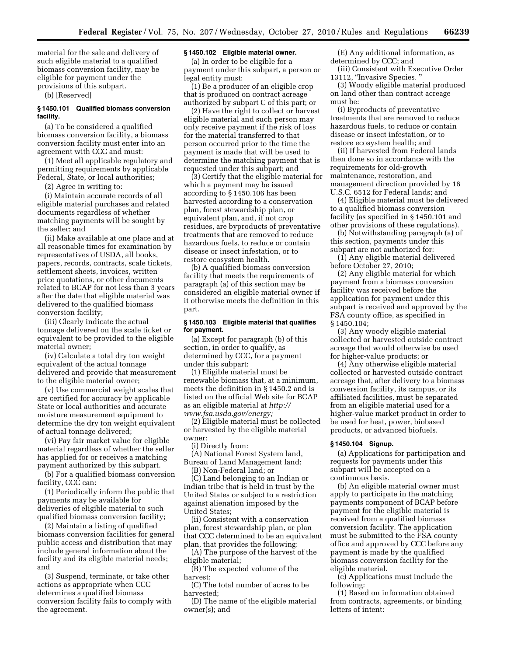material for the sale and delivery of such eligible material to a qualified biomass conversion facility, may be eligible for payment under the provisions of this subpart.

(b) [Reserved]

# **§ 1450.101 Qualified biomass conversion facility.**

(a) To be considered a qualified biomass conversion facility, a biomass conversion facility must enter into an agreement with CCC and must:

(1) Meet all applicable regulatory and permitting requirements by applicable Federal, State, or local authorities;

(2) Agree in writing to:

(i) Maintain accurate records of all eligible material purchases and related documents regardless of whether matching payments will be sought by the seller; and

(ii) Make available at one place and at all reasonable times for examination by representatives of USDA, all books, papers, records, contracts, scale tickets, settlement sheets, invoices, written price quotations, or other documents related to BCAP for not less than 3 years after the date that eligible material was delivered to the qualified biomass conversion facility;

(iii) Clearly indicate the actual tonnage delivered on the scale ticket or equivalent to be provided to the eligible material owner;

(iv) Calculate a total dry ton weight equivalent of the actual tonnage delivered and provide that measurement to the eligible material owner;

(v) Use commercial weight scales that are certified for accuracy by applicable State or local authorities and accurate moisture measurement equipment to determine the dry ton weight equivalent of actual tonnage delivered;

(vi) Pay fair market value for eligible material regardless of whether the seller has applied for or receives a matching payment authorized by this subpart.

(b) For a qualified biomass conversion facility, CCC can:

(1) Periodically inform the public that payments may be available for deliveries of eligible material to such qualified biomass conversion facility;

(2) Maintain a listing of qualified biomass conversion facilities for general public access and distribution that may include general information about the facility and its eligible material needs; and

(3) Suspend, terminate, or take other actions as appropriate when CCC determines a qualified biomass conversion facility fails to comply with the agreement.

# **§ 1450.102 Eligible material owner.**

(a) In order to be eligible for a payment under this subpart, a person or legal entity must:

(1) Be a producer of an eligible crop that is produced on contract acreage authorized by subpart C of this part; or

(2) Have the right to collect or harvest eligible material and such person may only receive payment if the risk of loss for the material transferred to that person occurred prior to the time the payment is made that will be used to determine the matching payment that is requested under this subpart; and

(3) Certify that the eligible material for which a payment may be issued according to § 1450.106 has been harvested according to a conservation plan, forest stewardship plan, or equivalent plan, and, if not crop residues, are byproducts of preventative treatments that are removed to reduce hazardous fuels, to reduce or contain disease or insect infestation, or to restore ecosystem health.

(b) A qualified biomass conversion facility that meets the requirements of paragraph (a) of this section may be considered an eligible material owner if it otherwise meets the definition in this part.

#### **§ 1450.103 Eligible material that qualifies for payment.**

(a) Except for paragraph (b) of this section, in order to qualify, as determined by CCC, for a payment under this subpart:

(1) Eligible material must be renewable biomass that, at a minimum, meets the definition in § 1450.2 and is listed on the official Web site for BCAP as an eligible material at *[http://](http://www.fsa.usda.gov/energy) [www.fsa.usda.gov/energy;](http://www.fsa.usda.gov/energy)* 

(2) Eligible material must be collected or harvested by the eligible material owner:

(i) Directly from:

- (A) National Forest System land, Bureau of Land Management land;
	- (B) Non-Federal land; or

(C) Land belonging to an Indian or Indian tribe that is held in trust by the United States or subject to a restriction against alienation imposed by the United States;

(ii) Consistent with a conservation plan, forest stewardship plan, or plan that CCC determined to be an equivalent plan, that provides the following:

(A) The purpose of the harvest of the eligible material;

(B) The expected volume of the harvest;

(C) The total number of acres to be harvested;

(D) The name of the eligible material owner(s); and

(E) Any additional information, as determined by CCC; and

(iii) Consistent with Executive Order 13112, "Invasive Species."

(3) Woody eligible material produced on land other than contract acreage must be:

(i) Byproducts of preventative treatments that are removed to reduce hazardous fuels, to reduce or contain disease or insect infestation, or to restore ecosystem health; and

(ii) If harvested from Federal lands then done so in accordance with the requirements for old-growth maintenance, restoration, and management direction provided by 16 U.S.C. 6512 for Federal lands; and

(4) Eligible material must be delivered to a qualified biomass conversion facility (as specified in § 1450.101 and other provisions of these regulations).

(b) Notwithstanding paragraph (a) of this section, payments under this subpart are not authorized for:

(1) Any eligible material delivered before October 27, 2010;

(2) Any eligible material for which payment from a biomass conversion facility was received before the application for payment under this subpart is received and approved by the FSA county office, as specified in § 1450.104;

(3) Any woody eligible material collected or harvested outside contract acreage that would otherwise be used for higher-value products; or

(4) Any otherwise eligible material collected or harvested outside contract acreage that, after delivery to a biomass conversion facility, its campus, or its affiliated facilities, must be separated from an eligible material used for a higher-value market product in order to be used for heat, power, biobased products, or advanced biofuels.

#### **§ 1450.104 Signup.**

(a) Applications for participation and requests for payments under this subpart will be accepted on a continuous basis.

(b) An eligible material owner must apply to participate in the matching payments component of BCAP before payment for the eligible material is received from a qualified biomass conversion facility. The application must be submitted to the FSA county office and approved by CCC before any payment is made by the qualified biomass conversion facility for the eligible material.

(c) Applications must include the following:

(1) Based on information obtained from contracts, agreements, or binding letters of intent: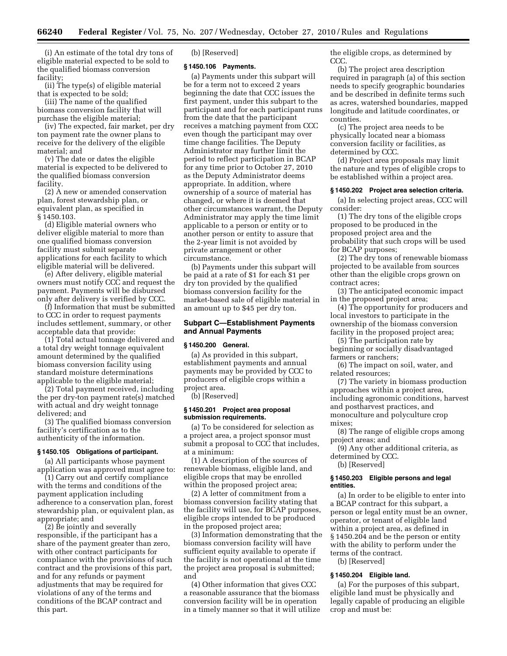(i) An estimate of the total dry tons of eligible material expected to be sold to the qualified biomass conversion facility;

(ii) The type(s) of eligible material that is expected to be sold;

(iii) The name of the qualified biomass conversion facility that will purchase the eligible material;

(iv) The expected, fair market, per dry ton payment rate the owner plans to receive for the delivery of the eligible material; and

(v) The date or dates the eligible material is expected to be delivered to the qualified biomass conversion facility.

(2) A new or amended conservation plan, forest stewardship plan, or equivalent plan, as specified in § 1450.103.

(d) Eligible material owners who deliver eligible material to more than one qualified biomass conversion facility must submit separate applications for each facility to which eligible material will be delivered.

(e) After delivery, eligible material owners must notify CCC and request the payment. Payments will be disbursed only after delivery is verified by CCC.

(f) Information that must be submitted to CCC in order to request payments includes settlement, summary, or other acceptable data that provide:

(1) Total actual tonnage delivered and a total dry weight tonnage equivalent amount determined by the qualified biomass conversion facility using standard moisture determinations applicable to the eligible material;

(2) Total payment received, including the per dry-ton payment rate(s) matched with actual and dry weight tonnage delivered; and

(3) The qualified biomass conversion facility's certification as to the authenticity of the information.

#### **§ 1450.105 Obligations of participant.**

(a) All participants whose payment application was approved must agree to:

(1) Carry out and certify compliance with the terms and conditions of the payment application including adherence to a conservation plan, forest stewardship plan, or equivalent plan, as appropriate; and

(2) Be jointly and severally responsible, if the participant has a share of the payment greater than zero, with other contract participants for compliance with the provisions of such contract and the provisions of this part, and for any refunds or payment adjustments that may be required for violations of any of the terms and conditions of the BCAP contract and this part.

(b) [Reserved]

#### **§ 1450.106 Payments.**

(a) Payments under this subpart will be for a term not to exceed 2 years beginning the date that CCC issues the first payment, under this subpart to the participant and for each participant runs from the date that the participant receives a matching payment from CCC even though the participant may over time change facilities. The Deputy Administrator may further limit the period to reflect participation in BCAP for any time prior to October 27, 2010 as the Deputy Administrator deems appropriate. In addition, where ownership of a source of material has changed, or where it is deemed that other circumstances warrant, the Deputy Administrator may apply the time limit applicable to a person or entity or to another person or entity to assure that the 2-year limit is not avoided by private arrangement or other circumstance.

(b) Payments under this subpart will be paid at a rate of \$1 for each \$1 per dry ton provided by the qualified biomass conversion facility for the market-based sale of eligible material in an amount up to \$45 per dry ton.

# **Subpart C—Establishment Payments and Annual Payments**

# **§ 1450.200 General.**

(a) As provided in this subpart, establishment payments and annual payments may be provided by CCC to producers of eligible crops within a project area.

(b) [Reserved]

# **§ 1450.201 Project area proposal submission requirements.**

(a) To be considered for selection as a project area, a project sponsor must submit a proposal to CCC that includes, at a minimum:

(1) A description of the sources of renewable biomass, eligible land, and eligible crops that may be enrolled within the proposed project area;

(2) A letter of commitment from a biomass conversion facility stating that the facility will use, for BCAP purposes, eligible crops intended to be produced in the proposed project area;

(3) Information demonstrating that the biomass conversion facility will have sufficient equity available to operate if the facility is not operational at the time the project area proposal is submitted; and

(4) Other information that gives CCC a reasonable assurance that the biomass conversion facility will be in operation in a timely manner so that it will utilize

the eligible crops, as determined by CCC.

(b) The project area description required in paragraph (a) of this section needs to specify geographic boundaries and be described in definite terms such as acres, watershed boundaries, mapped longitude and latitude coordinates, or counties.

(c) The project area needs to be physically located near a biomass conversion facility or facilities, as determined by CCC.

(d) Project area proposals may limit the nature and types of eligible crops to be established within a project area.

#### **§ 1450.202 Project area selection criteria.**

(a) In selecting project areas, CCC will consider:

(1) The dry tons of the eligible crops proposed to be produced in the proposed project area and the probability that such crops will be used for BCAP purposes;

(2) The dry tons of renewable biomass projected to be available from sources other than the eligible crops grown on contract acres;

(3) The anticipated economic impact in the proposed project area;

(4) The opportunity for producers and local investors to participate in the ownership of the biomass conversion facility in the proposed project area;

(5) The participation rate by beginning or socially disadvantaged farmers or ranchers;

(6) The impact on soil, water, and related resources;

(7) The variety in biomass production approaches within a project area, including agronomic conditions, harvest and postharvest practices, and monoculture and polyculture crop mixes;

(8) The range of eligible crops among project areas; and

(9) Any other additional criteria, as determined by CCC.

(b) [Reserved]

#### **§ 1450.203 Eligible persons and legal entities.**

(a) In order to be eligible to enter into a BCAP contract for this subpart, a person or legal entity must be an owner, operator, or tenant of eligible land within a project area, as defined in § 1450.204 and be the person or entity with the ability to perform under the terms of the contract.

(b) [Reserved]

#### **§ 1450.204 Eligible land.**

(a) For the purposes of this subpart, eligible land must be physically and legally capable of producing an eligible crop and must be: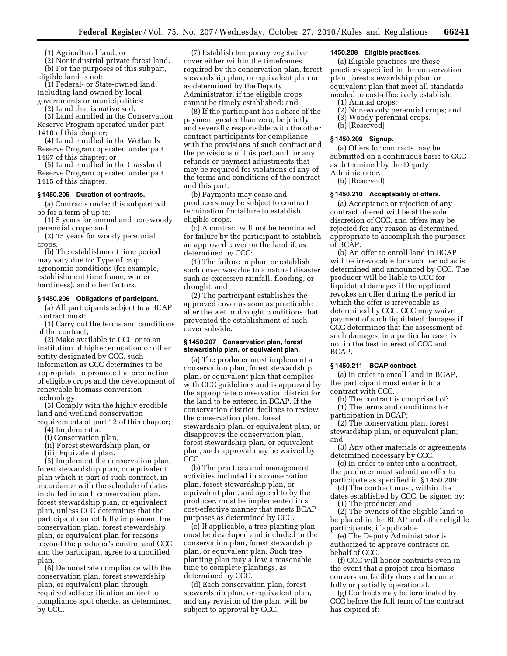(1) Agricultural land; or

(2) Nonindustrial private forest land. (b) For the purposes of this subpart, eligible land is not:

(1) Federal- or State-owned land, including land owned by local governments or municipalities;

(2) Land that is native sod;

(3) Land enrolled in the Conservation Reserve Program operated under part 1410 of this chapter;

(4) Land enrolled in the Wetlands Reserve Program operated under part 1467 of this chapter; or

(5) Land enrolled in the Grassland Reserve Program operated under part 1415 of this chapter.

#### **§ 1450.205 Duration of contracts.**

(a) Contracts under this subpart will be for a term of up to:

(1) 5 years for annual and non-woody perennial crops; and

(2) 15 years for woody perennial crops.

(b) The establishment time period may vary due to: Type of crop, agronomic conditions (for example, establishment time frame, winter hardiness), and other factors.

#### **§ 1450.206 Obligations of participant.**

(a) All participants subject to a BCAP contract must:

(1) Carry out the terms and conditions of the contract;

(2) Make available to CCC or to an institution of higher education or other entity designated by CCC, such information as CCC determines to be appropriate to promote the production of eligible crops and the development of renewable biomass conversion technology;

(3) Comply with the highly erodible land and wetland conservation requirements of part 12 of this chapter;

(4) Implement a:

(i) Conservation plan,

(ii) Forest stewardship plan, or

(iii) Equivalent plan.

(5) Implement the conservation plan, forest stewardship plan, or equivalent plan which is part of such contract, in accordance with the schedule of dates included in such conservation plan, forest stewardship plan, or equivalent plan, unless CCC determines that the participant cannot fully implement the conservation plan, forest stewardship plan, or equivalent plan for reasons beyond the producer's control and CCC and the participant agree to a modified plan.

(6) Demonstrate compliance with the conservation plan, forest stewardship plan, or equivalent plan through required self-certification subject to compliance spot checks, as determined by CCC.

(7) Establish temporary vegetative cover either within the timeframes required by the conservation plan, forest stewardship plan, or equivalent plan or as determined by the Deputy Administrator, if the eligible crops cannot be timely established; and

(8) If the participant has a share of the payment greater than zero, be jointly and severally responsible with the other contract participants for compliance with the provisions of such contract and the provisions of this part, and for any refunds or payment adjustments that may be required for violations of any of the terms and conditions of the contract and this part.

(b) Payments may cease and producers may be subject to contract termination for failure to establish eligible crops.

(c) A contract will not be terminated for failure by the participant to establish an approved cover on the land if, as determined by CCC:

(1) The failure to plant or establish such cover was due to a natural disaster such as excessive rainfall, flooding, or drought; and

(2) The participant establishes the approved cover as soon as practicable after the wet or drought conditions that prevented the establishment of such cover subside.

# **§ 1450.207 Conservation plan, forest stewardship plan, or equivalent plan.**

(a) The producer must implement a conservation plan, forest stewardship plan, or equivalent plan that complies with CCC guidelines and is approved by the appropriate conservation district for the land to be entered in BCAP. If the conservation district declines to review the conservation plan, forest stewardship plan, or equivalent plan, or disapproves the conservation plan, forest stewardship plan, or equivalent plan, such approval may be waived by CCC.

(b) The practices and management activities included in a conservation plan, forest stewardship plan, or equivalent plan, and agreed to by the producer, must be implemented in a cost-effective manner that meets BCAP purposes as determined by CCC.

(c) If applicable, a tree planting plan must be developed and included in the conservation plan, forest stewardship plan, or equivalent plan. Such tree planting plan may allow a reasonable time to complete plantings, as determined by CCC.

(d) Each conservation plan, forest stewardship plan, or equivalent plan, and any revision of the plan, will be subject to approval by CCC.

# **1450.208 Eligible practices.**

(a) Eligible practices are those practices specified in the conservation plan, forest stewardship plan, or equivalent plan that meet all standards needed to cost-effectively establish:

- (1) Annual crops;
- (2) Non-woody perennial crops; and
- (3) Woody perennial crops.
- (b) [Reserved]

#### **§ 1450.209 Signup.**

(a) Offers for contracts may be submitted on a continuous basis to CCC as determined by the Deputy Administrator.

(b) [Reserved]

#### **§ 1450.210 Acceptability of offers.**

(a) Acceptance or rejection of any contract offered will be at the sole discretion of CCC, and offers may be rejected for any reason as determined appropriate to accomplish the purposes of BCAP.

(b) An offer to enroll land in BCAP will be irrevocable for such period as is determined and announced by CCC. The producer will be liable to CCC for liquidated damages if the applicant revokes an offer during the period in which the offer is irrevocable as determined by CCC. CCC may waive payment of such liquidated damages if CCC determines that the assessment of such damages, in a particular case, is not in the best interest of CCC and BCAP.

# **§ 1450.211 BCAP contract.**

(a) In order to enroll land in BCAP, the participant must enter into a contract with CCC.

(b) The contract is comprised of: (1) The terms and conditions for participation in BCAP;

(2) The conservation plan, forest stewardship plan, or equivalent plan; and

(3) Any other materials or agreements determined necessary by CCC.

(c) In order to enter into a contract, the producer must submit an offer to participate as specified in § 1450.209;

(d) The contract must, within the dates established by CCC, be signed by:

(1) The producer; and

(2) The owners of the eligible land to be placed in the BCAP and other eligible participants, if applicable.

(e) The Deputy Administrator is authorized to approve contracts on behalf of CCC.

(f) CCC will honor contracts even in the event that a project area biomass conversion facility does not become fully or partially operational.

(g) Contracts may be terminated by CCC before the full term of the contract has expired if: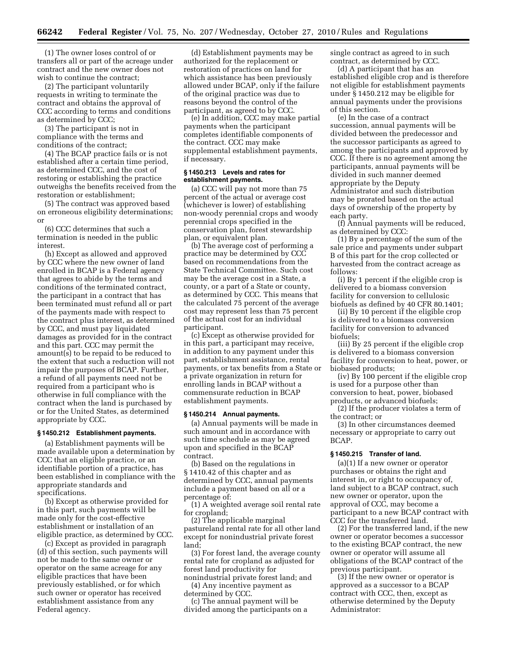(1) The owner loses control of or transfers all or part of the acreage under contract and the new owner does not wish to continue the contract;

(2) The participant voluntarily requests in writing to terminate the contract and obtains the approval of CCC according to terms and conditions as determined by CCC;

(3) The participant is not in compliance with the terms and conditions of the contract;

(4) The BCAP practice fails or is not established after a certain time period, as determined CCC, and the cost of restoring or establishing the practice outweighs the benefits received from the restoration or establishment;

(5) The contract was approved based on erroneous eligibility determinations; or

(6) CCC determines that such a termination is needed in the public interest.

(h) Except as allowed and approved by CCC where the new owner of land enrolled in BCAP is a Federal agency that agrees to abide by the terms and conditions of the terminated contract, the participant in a contract that has been terminated must refund all or part of the payments made with respect to the contract plus interest, as determined by CCC, and must pay liquidated damages as provided for in the contract and this part. CCC may permit the amount(s) to be repaid to be reduced to the extent that such a reduction will not impair the purposes of BCAP. Further, a refund of all payments need not be required from a participant who is otherwise in full compliance with the contract when the land is purchased by or for the United States, as determined appropriate by CCC.

#### **§ 1450.212 Establishment payments.**

(a) Establishment payments will be made available upon a determination by CCC that an eligible practice, or an identifiable portion of a practice, has been established in compliance with the appropriate standards and specifications.

(b) Except as otherwise provided for in this part, such payments will be made only for the cost-effective establishment or installation of an eligible practice, as determined by CCC.

(c) Except as provided in paragraph (d) of this section, such payments will not be made to the same owner or operator on the same acreage for any eligible practices that have been previously established, or for which such owner or operator has received establishment assistance from any Federal agency.

(d) Establishment payments may be authorized for the replacement or restoration of practices on land for which assistance has been previously allowed under BCAP, only if the failure of the original practice was due to reasons beyond the control of the participant, as agreed to by CCC.

(e) In addition, CCC may make partial payments when the participant completes identifiable components of the contract. CCC may make supplemental establishment payments, if necessary.

#### **§ 1450.213 Levels and rates for establishment payments.**

(a) CCC will pay not more than 75 percent of the actual or average cost (whichever is lower) of establishing non-woody perennial crops and woody perennial crops specified in the conservation plan, forest stewardship plan, or equivalent plan.

(b) The average cost of performing a practice may be determined by CCC based on recommendations from the State Technical Committee. Such cost may be the average cost in a State, a county, or a part of a State or county, as determined by CCC. This means that the calculated 75 percent of the average cost may represent less than 75 percent of the actual cost for an individual participant.

(c) Except as otherwise provided for in this part, a participant may receive, in addition to any payment under this part, establishment assistance, rental payments, or tax benefits from a State or a private organization in return for enrolling lands in BCAP without a commensurate reduction in BCAP establishment payments.

#### **§ 1450.214 Annual payments.**

(a) Annual payments will be made in such amount and in accordance with such time schedule as may be agreed upon and specified in the BCAP contract.

(b) Based on the regulations in § 1410.42 of this chapter and as determined by CCC, annual payments include a payment based on all or a percentage of:

(1) A weighted average soil rental rate for cropland;

(2) The applicable marginal pastureland rental rate for all other land except for nonindustrial private forest land;

(3) For forest land, the average county rental rate for cropland as adjusted for forest land productivity for nonindustrial private forest land; and

(4) Any incentive payment as determined by CCC.

(c) The annual payment will be divided among the participants on a single contract as agreed to in such contract, as determined by CCC.

(d) A participant that has an established eligible crop and is therefore not eligible for establishment payments under § 1450.212 may be eligible for annual payments under the provisions of this section.

(e) In the case of a contract succession, annual payments will be divided between the predecessor and the successor participants as agreed to among the participants and approved by CCC. If there is no agreement among the participants, annual payments will be divided in such manner deemed appropriate by the Deputy Administrator and such distribution may be prorated based on the actual days of ownership of the property by each party.

(f) Annual payments will be reduced, as determined by CCC:

(1) By a percentage of the sum of the sale price and payments under subpart B of this part for the crop collected or harvested from the contract acreage as follows:

(i) By 1 percent if the eligible crop is delivered to a biomass conversion facility for conversion to cellulosic biofuels as defined by 40 CFR 80.1401;

(ii) By 10 percent if the eligible crop is delivered to a biomass conversion facility for conversion to advanced biofuels;

(iii) By 25 percent if the eligible crop is delivered to a biomass conversion facility for conversion to heat, power, or biobased products;

(iv) By 100 percent if the eligible crop is used for a purpose other than conversion to heat, power, biobased products, or advanced biofuels;

(2) If the producer violates a term of the contract; or

(3) In other circumstances deemed necessary or appropriate to carry out BCAP.

#### **§ 1450.215 Transfer of land.**

(a)(1) If a new owner or operator purchases or obtains the right and interest in, or right to occupancy of, land subject to a BCAP contract, such new owner or operator, upon the approval of CCC, may become a participant to a new BCAP contract with CCC for the transferred land.

(2) For the transferred land, if the new owner or operator becomes a successor to the existing BCAP contract, the new owner or operator will assume all obligations of the BCAP contract of the previous participant.

(3) If the new owner or operator is approved as a successor to a BCAP contract with CCC, then, except as otherwise determined by the Deputy Administrator: